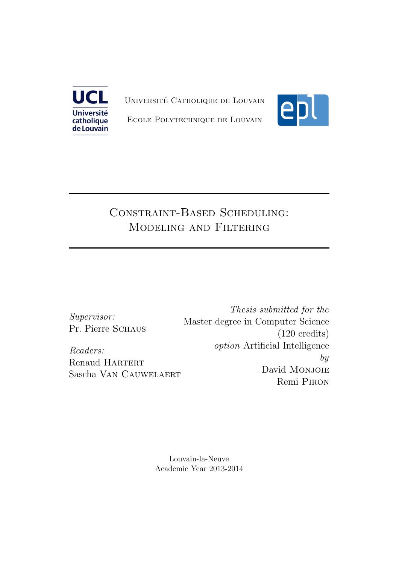

UNIVERSITÉ CATHOLIQUE DE LOUVAIN



Ecole Polytechnique de Louvain

## Constraint-Based Scheduling: Modeling and Filtering

Supervisor: Pr. Pierre Schaus

Readers: Renaud HARTERT Sascha Van Cauwelaert

Thesis submitted for the Master degree in Computer Science (120 credits) option Artificial Intelligence by David Monjoie Remi Piron

Louvain-la-Neuve Academic Year 2013-2014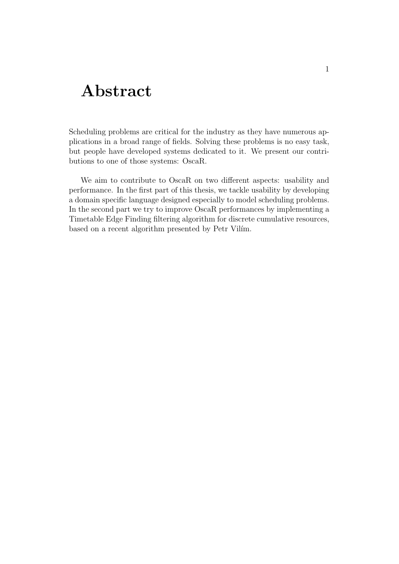## Abstract

Scheduling problems are critical for the industry as they have numerous applications in a broad range of fields. Solving these problems is no easy task, but people have developed systems dedicated to it. We present our contributions to one of those systems: OscaR.

We aim to contribute to OscaR on two different aspects: usability and performance. In the first part of this thesis, we tackle usability by developing a domain specific language designed especially to model scheduling problems. In the second part we try to improve OscaR performances by implementing a Timetable Edge Finding filtering algorithm for discrete cumulative resources, based on a recent algorithm presented by Petr Vilim.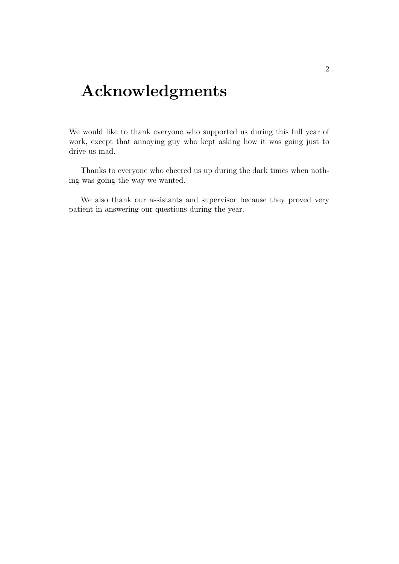## Acknowledgments

We would like to thank everyone who supported us during this full year of work, except that annoying guy who kept asking how it was going just to drive us mad.

Thanks to everyone who cheered us up during the dark times when nothing was going the way we wanted.

We also thank our assistants and supervisor because they proved very patient in answering our questions during the year.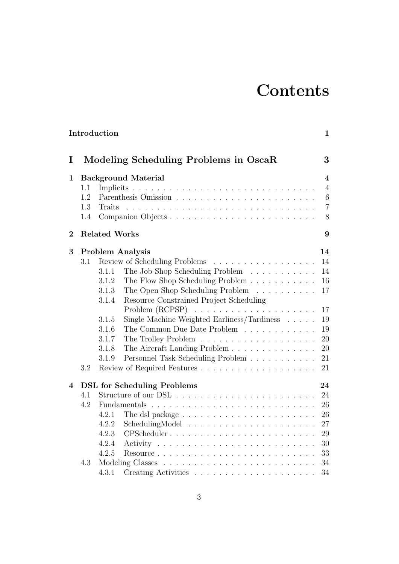# **Contents**

|                |                            | Introduction                                                     |  |                                                                                                                                                                                                                                                                                                                                                                                                                                                             |  |    |    |  |                         |  | $\mathbf{1}$   |
|----------------|----------------------------|------------------------------------------------------------------|--|-------------------------------------------------------------------------------------------------------------------------------------------------------------------------------------------------------------------------------------------------------------------------------------------------------------------------------------------------------------------------------------------------------------------------------------------------------------|--|----|----|--|-------------------------|--|----------------|
|                |                            |                                                                  |  |                                                                                                                                                                                                                                                                                                                                                                                                                                                             |  |    |    |  |                         |  |                |
| I              |                            | Modeling Scheduling Problems in OscaR                            |  |                                                                                                                                                                                                                                                                                                                                                                                                                                                             |  |    |    |  |                         |  | 3              |
| 1              | <b>Background Material</b> |                                                                  |  |                                                                                                                                                                                                                                                                                                                                                                                                                                                             |  |    |    |  | $\overline{\mathbf{4}}$ |  |                |
|                | 1.1                        |                                                                  |  |                                                                                                                                                                                                                                                                                                                                                                                                                                                             |  |    |    |  |                         |  | $\overline{4}$ |
|                | 1.2                        |                                                                  |  |                                                                                                                                                                                                                                                                                                                                                                                                                                                             |  |    |    |  |                         |  | 6              |
|                | 1.3                        | Traits                                                           |  |                                                                                                                                                                                                                                                                                                                                                                                                                                                             |  |    |    |  |                         |  | $\overline{7}$ |
|                | 1.4                        |                                                                  |  |                                                                                                                                                                                                                                                                                                                                                                                                                                                             |  |    |    |  |                         |  | 8              |
| $\overline{2}$ | <b>Related Works</b>       |                                                                  |  |                                                                                                                                                                                                                                                                                                                                                                                                                                                             |  |    | 9  |  |                         |  |                |
| 3              | <b>Problem Analysis</b>    |                                                                  |  |                                                                                                                                                                                                                                                                                                                                                                                                                                                             |  |    | 14 |  |                         |  |                |
|                | 3.1                        | Review of Scheduling Problems                                    |  |                                                                                                                                                                                                                                                                                                                                                                                                                                                             |  |    |    |  |                         |  | 14             |
|                |                            | The Job Shop Scheduling Problem<br>3.1.1                         |  |                                                                                                                                                                                                                                                                                                                                                                                                                                                             |  |    |    |  |                         |  | 14             |
|                |                            | The Flow Shop Scheduling Problem<br>3.1.2                        |  |                                                                                                                                                                                                                                                                                                                                                                                                                                                             |  |    |    |  |                         |  | 16             |
|                |                            | The Open Shop Scheduling Problem $\ldots \ldots \ldots$<br>3.1.3 |  |                                                                                                                                                                                                                                                                                                                                                                                                                                                             |  |    |    |  |                         |  | 17             |
|                |                            | Resource Constrained Project Scheduling<br>3.1.4                 |  |                                                                                                                                                                                                                                                                                                                                                                                                                                                             |  |    |    |  |                         |  |                |
|                |                            | Problem (RCPSP)                                                  |  | $\mathcal{L}(\mathcal{L}(\mathcal{L},\mathcal{L},\mathcal{L},\mathcal{L},\mathcal{L},\mathcal{L},\mathcal{L},\mathcal{L},\mathcal{L},\mathcal{L},\mathcal{L},\mathcal{L},\mathcal{L},\mathcal{L},\mathcal{L},\mathcal{L},\mathcal{L},\mathcal{L},\mathcal{L},\mathcal{L},\mathcal{L},\mathcal{L},\mathcal{L},\mathcal{L},\mathcal{L},\mathcal{L},\mathcal{L},\mathcal{L},\mathcal{L},\mathcal{L},\mathcal{L},\mathcal{L},\mathcal{L},\mathcal{L},\mathcal{$ |  |    |    |  |                         |  | 17             |
|                |                            | Single Machine Weighted Earliness/Tardiness<br>3.1.5             |  |                                                                                                                                                                                                                                                                                                                                                                                                                                                             |  |    |    |  |                         |  | 19             |
|                |                            | 3.1.6<br>The Common Due Date Problem                             |  |                                                                                                                                                                                                                                                                                                                                                                                                                                                             |  |    |    |  |                         |  | 19             |
|                |                            | 3.1.7                                                            |  |                                                                                                                                                                                                                                                                                                                                                                                                                                                             |  |    |    |  |                         |  | 20             |
|                |                            | The Aircraft Landing Problem<br>3.1.8                            |  |                                                                                                                                                                                                                                                                                                                                                                                                                                                             |  |    |    |  |                         |  | 20             |
|                |                            | Personnel Task Scheduling Problem<br>3.1.9                       |  |                                                                                                                                                                                                                                                                                                                                                                                                                                                             |  |    |    |  |                         |  | 21             |
|                | 3.2                        |                                                                  |  |                                                                                                                                                                                                                                                                                                                                                                                                                                                             |  |    |    |  |                         |  | 21             |
| 4              |                            | <b>DSL</b> for Scheduling Problems                               |  |                                                                                                                                                                                                                                                                                                                                                                                                                                                             |  |    |    |  |                         |  | 24             |
|                | 4.1                        | 4.2                                                              |  |                                                                                                                                                                                                                                                                                                                                                                                                                                                             |  | 24 |    |  |                         |  |                |
|                |                            |                                                                  |  |                                                                                                                                                                                                                                                                                                                                                                                                                                                             |  | 26 |    |  |                         |  |                |
|                |                            | 4.2.1                                                            |  |                                                                                                                                                                                                                                                                                                                                                                                                                                                             |  |    |    |  |                         |  | 26             |
|                |                            | 4.2.2                                                            |  |                                                                                                                                                                                                                                                                                                                                                                                                                                                             |  |    |    |  |                         |  | 27             |
|                |                            | 4.2.3<br>CPScheduler                                             |  |                                                                                                                                                                                                                                                                                                                                                                                                                                                             |  |    |    |  |                         |  | 29             |
|                |                            | 4.2.4                                                            |  |                                                                                                                                                                                                                                                                                                                                                                                                                                                             |  |    |    |  |                         |  | 30             |
|                |                            | 4.2.5                                                            |  |                                                                                                                                                                                                                                                                                                                                                                                                                                                             |  |    |    |  |                         |  | 33             |
|                | 4.3                        |                                                                  |  |                                                                                                                                                                                                                                                                                                                                                                                                                                                             |  |    | 34 |  |                         |  |                |
|                |                            | 4.3.1                                                            |  |                                                                                                                                                                                                                                                                                                                                                                                                                                                             |  |    |    |  |                         |  | 34             |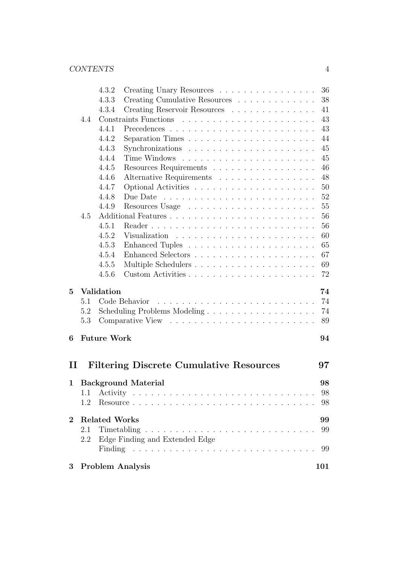| $3 -$          |            |                      | <b>Problem Analysis</b>                                                                                 | 101      |
|----------------|------------|----------------------|---------------------------------------------------------------------------------------------------------|----------|
|                |            |                      |                                                                                                         | 99       |
|                | 2.1<br>2.2 | Timetabling          | a de la caractería de la caractería de la caractería de la caractería<br>Edge Finding and Extended Edge | 99       |
| $\overline{2}$ |            | <b>Related Works</b> |                                                                                                         | 99       |
|                | 1.2        |                      |                                                                                                         | 98       |
|                | 1.1        |                      |                                                                                                         | 98       |
|                |            |                      | 1 Background Material                                                                                   | 98       |
|                |            |                      |                                                                                                         |          |
| $\bm{\Pi}$     |            |                      | <b>Filtering Discrete Cumulative Resources</b>                                                          | 97       |
| 6              |            | <b>Future Work</b>   |                                                                                                         | 94       |
|                | 5.3        |                      |                                                                                                         | 89       |
|                | 5.2        |                      | Scheduling Problems Modeling                                                                            | 74       |
|                | 5.1        |                      | Code Behavior                                                                                           | 74       |
| 5              |            | <b>Validation</b>    |                                                                                                         | 74       |
|                |            | 4.5.6                | Custom Activities                                                                                       | 72       |
|                |            | 4.5.5                |                                                                                                         | 69       |
|                |            | 4.5.4                |                                                                                                         | 67       |
|                |            | 4.5.3                |                                                                                                         | 65       |
|                |            | 4.5.2                |                                                                                                         | 60       |
|                |            | 4.5.1                |                                                                                                         | 56       |
|                | 4.5        |                      |                                                                                                         | 56       |
|                |            | 4.4.9                |                                                                                                         | 55       |
|                |            | 4.4.8                | Due Date<br><u>. A series a la serie a la serie a la serie a la serie a la serie a la se</u>            | 52       |
|                |            | 4.4.7                |                                                                                                         | 50       |
|                |            | 4.4.6                | Alternative Requirements                                                                                | 48       |
|                |            | 4.4.5                | Resources Requirements                                                                                  | 46       |
|                |            | 4.4.4                |                                                                                                         | 45       |
|                |            | 4.4.3                |                                                                                                         | 45       |
|                |            | 4.4.2                |                                                                                                         | 44       |
|                |            | 4.4.1                |                                                                                                         | 43       |
|                | 4.4        |                      |                                                                                                         | 43       |
|                |            | 4.3.3<br>4.3.4       | Creating Cumulative Resources $\dots \dots \dots \dots$<br>Creating Reservoir Resources                 | 38<br>41 |
|                |            | 4.3.2                | Creating Unary Resources                                                                                | 36       |
|                |            |                      |                                                                                                         |          |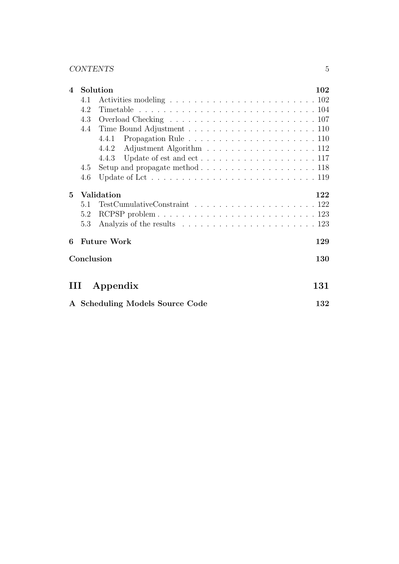#### CONTENTS 5

| $\overline{\mathbf{4}}$         |     | Solution                                                                                                                 |     |  |  |
|---------------------------------|-----|--------------------------------------------------------------------------------------------------------------------------|-----|--|--|
|                                 | 4.1 |                                                                                                                          |     |  |  |
|                                 | 4.2 |                                                                                                                          |     |  |  |
|                                 | 4.3 |                                                                                                                          |     |  |  |
|                                 | 4.4 |                                                                                                                          |     |  |  |
|                                 |     | 4.4.1                                                                                                                    |     |  |  |
|                                 |     | Adjustment Algorithm 112<br>4.4.2                                                                                        |     |  |  |
|                                 |     | 4.4.3                                                                                                                    |     |  |  |
|                                 | 4.5 | Setup and propagate method $\ldots \ldots \ldots \ldots \ldots \ldots \ldots 118$                                        |     |  |  |
|                                 | 4.6 |                                                                                                                          |     |  |  |
| 5.                              |     | Validation                                                                                                               | 122 |  |  |
|                                 | 5.1 | $\label{eq:TestCumulative} TestCumulative Constant \ \ldots \ \ldots \ \ldots \ \ldots \ \ldots \ \ldots \ \ldots \ 122$ |     |  |  |
|                                 | 5.2 |                                                                                                                          |     |  |  |
|                                 | 5.3 |                                                                                                                          |     |  |  |
| 6                               |     | <b>Future Work</b>                                                                                                       | 129 |  |  |
|                                 |     | Conclusion                                                                                                               | 130 |  |  |
| Ш                               |     | Appendix                                                                                                                 | 131 |  |  |
| A Scheduling Models Source Code |     |                                                                                                                          |     |  |  |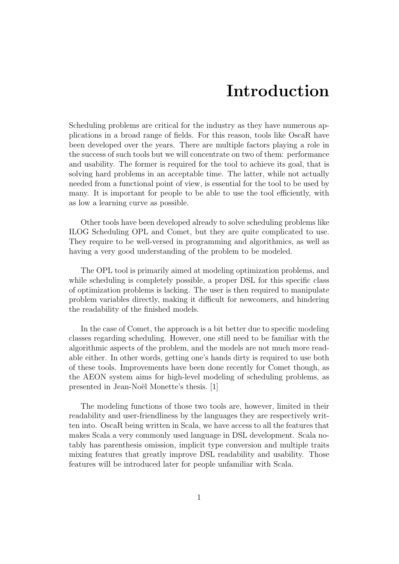## Introduction

Scheduling problems are critical for the industry as they have numerous applications in a broad range of fields. For this reason, tools like OscaR have been developed over the years. There are multiple factors playing a role in the success of such tools but we will concentrate on two of them: performance and usability. The former is required for the tool to achieve its goal, that is solving hard problems in an acceptable time. The latter, while not actually needed from a functional point of view, is essential for the tool to be used by many. It is important for people to be able to use the tool efficiently, with as low a learning curve as possible.

Other tools have been developed already to solve scheduling problems like ILOG Scheduling OPL and Comet, but they are quite complicated to use. They require to be well-versed in programming and algorithmics, as well as having a very good understanding of the problem to be modeled.

The OPL tool is primarily aimed at modeling optimization problems, and while scheduling is completely possible, a proper DSL for this specific class of optimization problems is lacking. The user is then required to manipulate problem variables directly, making it difficult for newcomers, and hindering the readability of the finished models.

In the case of Comet, the approach is a bit better due to specific modeling classes regarding scheduling. However, one still need to be familiar with the algorithmic aspects of the problem, and the models are not much more readable either. In other words, getting one's hands dirty is required to use both of these tools. Improvements have been done recently for Comet though, as the AEON system aims for high-level modeling of scheduling problems, as presented in Jean-Noël Monette's thesis. [1]

The modeling functions of those two tools are, however, limited in their readability and user-friendliness by the languages they are respectively written into. OscaR being written in Scala, we have access to all the features that makes Scala a very commonly used language in DSL development. Scala notably has parenthesis omission, implicit type conversion and multiple traits mixing features that greatly improve DSL readability and usability. Those features will be introduced later for people unfamiliar with Scala.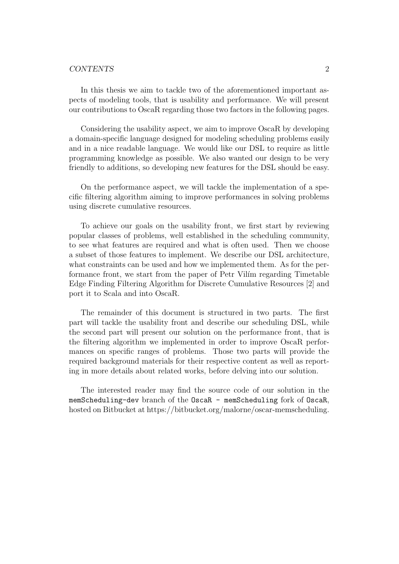#### CONTENTS 2

In this thesis we aim to tackle two of the aforementioned important aspects of modeling tools, that is usability and performance. We will present our contributions to OscaR regarding those two factors in the following pages.

Considering the usability aspect, we aim to improve OscaR by developing a domain-specific language designed for modeling scheduling problems easily and in a nice readable language. We would like our DSL to require as little programming knowledge as possible. We also wanted our design to be very friendly to additions, so developing new features for the DSL should be easy.

On the performance aspect, we will tackle the implementation of a specific filtering algorithm aiming to improve performances in solving problems using discrete cumulative resources.

To achieve our goals on the usability front, we first start by reviewing popular classes of problems, well established in the scheduling community, to see what features are required and what is often used. Then we choose a subset of those features to implement. We describe our DSL architecture, what constraints can be used and how we implemented them. As for the performance front, we start from the paper of Petr Vilim regarding Timetable Edge Finding Filtering Algorithm for Discrete Cumulative Resources [2] and port it to Scala and into OscaR.

The remainder of this document is structured in two parts. The first part will tackle the usability front and describe our scheduling DSL, while the second part will present our solution on the performance front, that is the filtering algorithm we implemented in order to improve OscaR performances on specific ranges of problems. Those two parts will provide the required background materials for their respective content as well as reporting in more details about related works, before delving into our solution.

The interested reader may find the source code of our solution in the memScheduling-dev branch of the OscaR - memScheduling fork of OscaR, hosted on Bitbucket at https://bitbucket.org/malorne/oscar-memscheduling.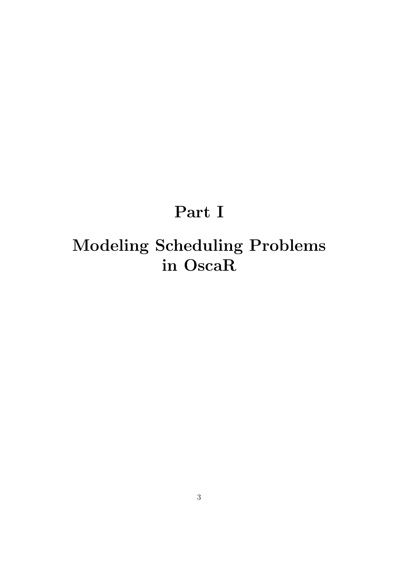# Part I

# Modeling Scheduling Problems in OscaR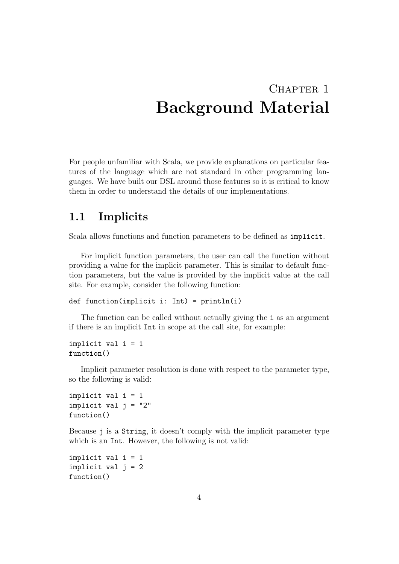## CHAPTER<sub>1</sub> Background Material

For people unfamiliar with Scala, we provide explanations on particular features of the language which are not standard in other programming languages. We have built our DSL around those features so it is critical to know them in order to understand the details of our implementations.

### 1.1 Implicits

Scala allows functions and function parameters to be defined as implicit.

For implicit function parameters, the user can call the function without providing a value for the implicit parameter. This is similar to default function parameters, but the value is provided by the implicit value at the call site. For example, consider the following function:

```
def function(implicit i: Int) = println(i)
```
The function can be called without actually giving the i as an argument if there is an implicit Int in scope at the call site, for example:

```
implicit val i = 1function()
```
Implicit parameter resolution is done with respect to the parameter type, so the following is valid:

```
implicit val i = 1implicit val j = "2"function()
```
Because j is a String, it doesn't comply with the implicit parameter type which is an Int. However, the following is not valid:

```
implicit val i = 1
implicit val j = 2function()
```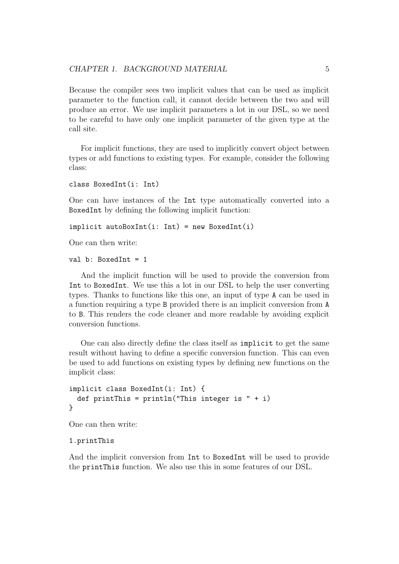Because the compiler sees two implicit values that can be used as implicit parameter to the function call, it cannot decide between the two and will produce an error. We use implicit parameters a lot in our DSL, so we need to be careful to have only one implicit parameter of the given type at the call site.

For implicit functions, they are used to implicitly convert object between types or add functions to existing types. For example, consider the following class:

```
class BoxedInt(i: Int)
```
One can have instances of the Int type automatically converted into a BoxedInt by defining the following implicit function:

```
implicit autoBoxInt(i: Int) = new BoxedInt(i)
```
One can then write:

val b: BoxedInt = 1

And the implicit function will be used to provide the conversion from Int to BoxedInt. We use this a lot in our DSL to help the user converting types. Thanks to functions like this one, an input of type A can be used in a function requiring a type B provided there is an implicit conversion from A to B. This renders the code cleaner and more readable by avoiding explicit conversion functions.

One can also directly define the class itself as implicit to get the same result without having to define a specific conversion function. This can even be used to add functions on existing types by defining new functions on the implicit class:

```
implicit class BoxedInt(i: Int) {
 def printThis = printIn("This integer is " + i)}
```
One can then write:

```
1.printThis
```
And the implicit conversion from Int to BoxedInt will be used to provide the printThis function. We also use this in some features of our DSL.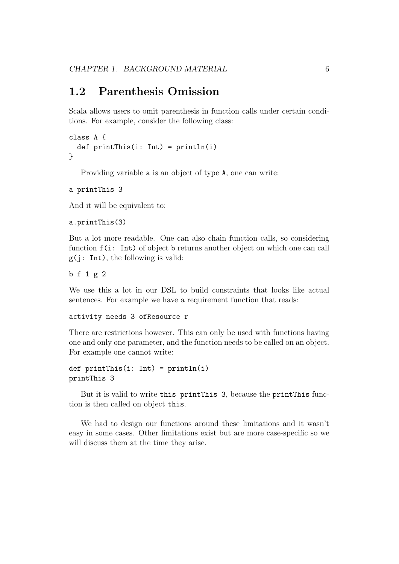### 1.2 Parenthesis Omission

Scala allows users to omit parenthesis in function calls under certain conditions. For example, consider the following class:

```
class A {
  def printThis(i: Int) = printIn(i)}
```
Providing variable a is an object of type A, one can write:

```
a printThis 3
```
And it will be equivalent to:

```
a.printThis(3)
```
But a lot more readable. One can also chain function calls, so considering function  $f(i: Int)$  of object b returns another object on which one can call  $g(j: Int)$ , the following is valid:

b f 1 g 2

We use this a lot in our DSL to build constraints that looks like actual sentences. For example we have a requirement function that reads:

```
activity needs 3 ofResource r
```
There are restrictions however. This can only be used with functions having one and only one parameter, and the function needs to be called on an object. For example one cannot write:

```
def printThis(i: Int) = println(i)
printThis 3
```
But it is valid to write this printThis 3, because the printThis function is then called on object this.

We had to design our functions around these limitations and it wasn't easy in some cases. Other limitations exist but are more case-specific so we will discuss them at the time they arise.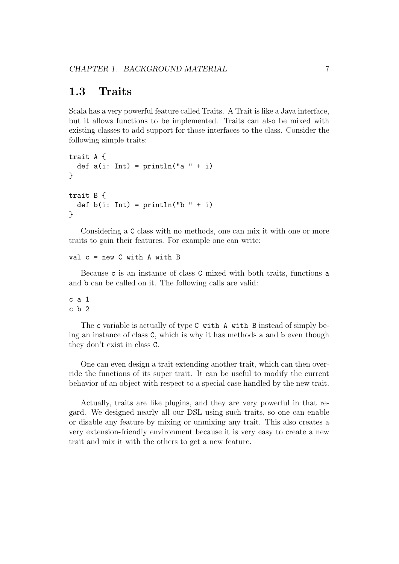### 1.3 Traits

Scala has a very powerful feature called Traits. A Trait is like a Java interface, but it allows functions to be implemented. Traits can also be mixed with existing classes to add support for those interfaces to the class. Consider the following simple traits:

```
trait A {
  def a(i: Int) = println("a " + i)}
trait B {
  def b(i: Int) = println("b" + i)}
```
Considering a C class with no methods, one can mix it with one or more traits to gain their features. For example one can write:

```
val c = new C with A with B
```
Because c is an instance of class C mixed with both traits, functions a and b can be called on it. The following calls are valid:

c a 1 c b 2

The c variable is actually of type C with A with B instead of simply being an instance of class C, which is why it has methods a and b even though they don't exist in class C.

One can even design a trait extending another trait, which can then override the functions of its super trait. It can be useful to modify the current behavior of an object with respect to a special case handled by the new trait.

Actually, traits are like plugins, and they are very powerful in that regard. We designed nearly all our DSL using such traits, so one can enable or disable any feature by mixing or unmixing any trait. This also creates a very extension-friendly environment because it is very easy to create a new trait and mix it with the others to get a new feature.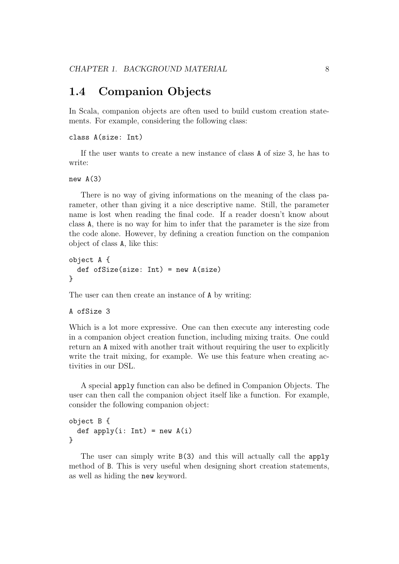### 1.4 Companion Objects

In Scala, companion objects are often used to build custom creation statements. For example, considering the following class:

```
class A(size: Int)
```
If the user wants to create a new instance of class A of size 3, he has to write:

new  $A(3)$ 

There is no way of giving informations on the meaning of the class parameter, other than giving it a nice descriptive name. Still, the parameter name is lost when reading the final code. If a reader doesn't know about class A, there is no way for him to infer that the parameter is the size from the code alone. However, by defining a creation function on the companion object of class A, like this:

```
object A {
  def of Size(size: Int) = new A(size)}
```
The user can then create an instance of A by writing:

```
A ofSize 3
```
Which is a lot more expressive. One can then execute any interesting code in a companion object creation function, including mixing traits. One could return an A mixed with another trait without requiring the user to explicitly write the trait mixing, for example. We use this feature when creating activities in our DSL.

A special apply function can also be defined in Companion Objects. The user can then call the companion object itself like a function. For example, consider the following companion object:

```
object B {
  def apply(i: Int) = new A(i)}
```
The user can simply write B(3) and this will actually call the apply method of B. This is very useful when designing short creation statements, as well as hiding the new keyword.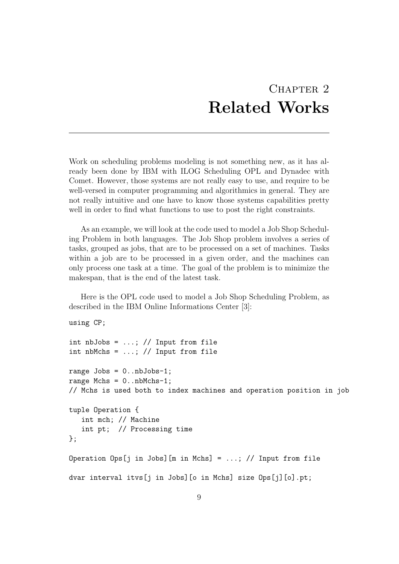## CHAPTER<sub>2</sub> Related Works

Work on scheduling problems modeling is not something new, as it has already been done by IBM with ILOG Scheduling OPL and Dynadec with Comet. However, those systems are not really easy to use, and require to be well-versed in computer programming and algorithmics in general. They are not really intuitive and one have to know those systems capabilities pretty well in order to find what functions to use to post the right constraints.

As an example, we will look at the code used to model a Job Shop Scheduling Problem in both languages. The Job Shop problem involves a series of tasks, grouped as jobs, that are to be processed on a set of machines. Tasks within a job are to be processed in a given order, and the machines can only process one task at a time. The goal of the problem is to minimize the makespan, that is the end of the latest task.

Here is the OPL code used to model a Job Shop Scheduling Problem, as described in the IBM Online Informations Center [3]:

```
using CP;
int nbJobs = ...; // Input from file
int nbMchs = \dots; // Input from file
range Jobs = 0..nbJobs-1;
range Mchs = 0 \dots nbMchs-1;
// Mchs is used both to index machines and operation position in job
tuple Operation {
   int mch; // Machine
   int pt; // Processing time
};
Operation Ops[j in Jobs][m in Mchs] = ...; // Input from file
dvar interval itvs[j in Jobs][o in Mchs] size Ops[j][o].pt;
```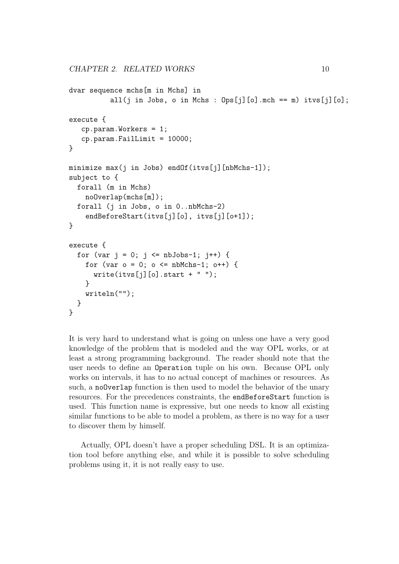```
dvar sequence mchs[m in Mchs] in
          all(j in Jobs, o in Mchs : 0ps[j][o].mch == m) itvs[j][o];
execute {
   cp.param.Workers = 1;
   cp.param.Faillimit = 10000;}
minimize max(j in Jobs) endOf(itvs[j][nbMchs-1]);
subject to {
  forall (m in Mchs)
    noOverlap(mchs[m]);
  forall (j in Jobs, o in 0..nbMchs-2)
    endBeforeStart(itvs[j][o], itvs[j][o+1]);
}
execute {
  for (var j = 0; j \leq n b \text{J} \cdot 1; j++) {
    for (var o = 0; o \le mbMchs-1; o++) {
      write(itvs[j][o].start + " ");}
    writeln("");
  }
}
```
It is very hard to understand what is going on unless one have a very good knowledge of the problem that is modeled and the way OPL works, or at least a strong programming background. The reader should note that the user needs to define an Operation tuple on his own. Because OPL only works on intervals, it has to no actual concept of machines or resources. As such, a noOverlap function is then used to model the behavior of the unary resources. For the precedences constraints, the endBeforeStart function is used. This function name is expressive, but one needs to know all existing similar functions to be able to model a problem, as there is no way for a user to discover them by himself.

Actually, OPL doesn't have a proper scheduling DSL. It is an optimization tool before anything else, and while it is possible to solve scheduling problems using it, it is not really easy to use.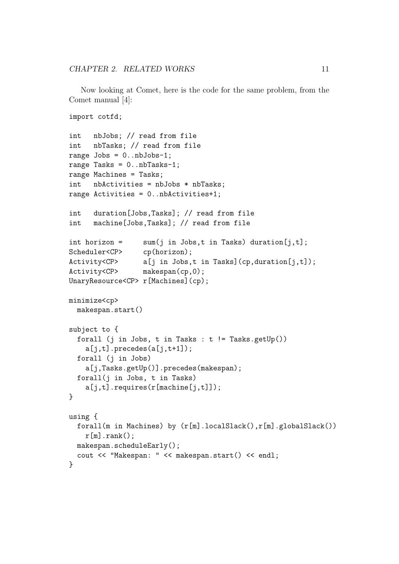Now looking at Comet, here is the code for the same problem, from the Comet manual [4]:

```
import cotfd;
int nbJobs; // read from file
int nbTasks; // read from file
range Jobs = 0..nbJobs-1;range Tasks = 0..nbTasks-1;
range Machines = Tasks;
int nbActivities = nbJobs * nbTasks;
range Activities = 0..nbActivities+1;
int duration[Jobs,Tasks]; // read from file
int machine[Jobs,Tasks]; // read from file
int horizon = sum(j \in j) sum (j in Jobs,t in Tasks) duration [j, t];
Scheduler<CP> cp(horizon);
Activity<CP> a[j in Jobs,t in Tasks](cp,duration[j,t]);
Activity<CP> makespan(cp,0);
UnaryResource<CP> r[Machines](cp);
minimize<cp>
 makespan.start()
subject to {
  forall (j in Jobs, t in Tasks : t != Tasks.getUp())
    a[j,t].precedes(a[j,t+1]);
  forall (j in Jobs)
    a[j,Tasks.getUp()].precedes(makespan);
 forall(j in Jobs, t in Tasks)
    a[i,t].requires(r[machine[j,t]]);
}
using {
  forall(m in Machines) by (r[m].localSlack(),r[m].globalSlack())
    r[m].rank();
 makespan.scheduleEarly();
  cout << "Makespan: " << makespan.start() << endl;
}
```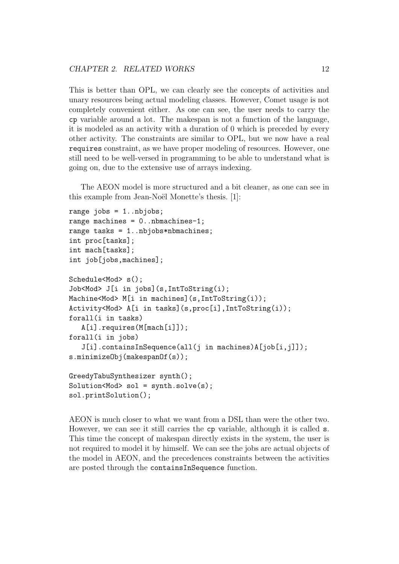This is better than OPL, we can clearly see the concepts of activities and unary resources being actual modeling classes. However, Comet usage is not completely convenient either. As one can see, the user needs to carry the cp variable around a lot. The makespan is not a function of the language, it is modeled as an activity with a duration of 0 which is preceded by every other activity. The constraints are similar to OPL, but we now have a real requires constraint, as we have proper modeling of resources. However, one still need to be well-versed in programming to be able to understand what is going on, due to the extensive use of arrays indexing.

The AEON model is more structured and a bit cleaner, as one can see in this example from Jean-Noël Monette's thesis. [1]:

```
range jobs = 1..nbjobs;
range machines = 0..nbmachines-1;
range tasks = 1..nbjobs*nbmachines;
int proc[tasks];
int mach[tasks];
int job[jobs,machines];
Schedule<Mod> s();
Job<Mod> J[i in jobs](s,IntToString(i);
Machine<Mod> M[i in machines](s,IntToString(i));
Activity<Mod> A[i in tasks](s,proc[i],IntToString(i));
forall(i in tasks)
   A[i].requires(M[mach[i]]);
forall(i in jobs)
   J[i].containsInSequence(all(j in machines)A[job[i,j]]);
s.minimizeObj(makespanOf(s));
GreedyTabuSynthesizer synth();
Solution < Mod \geq ol = synth.solve(s);
sol.printSolution();
```
AEON is much closer to what we want from a DSL than were the other two. However, we can see it still carries the cp variable, although it is called s. This time the concept of makespan directly exists in the system, the user is not required to model it by himself. We can see the jobs are actual objects of the model in AEON, and the precedences constraints between the activities are posted through the containsInSequence function.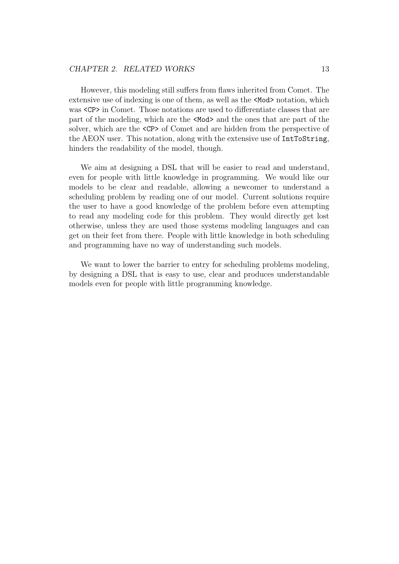#### CHAPTER 2. RELATED WORKS 13

However, this modeling still suffers from flaws inherited from Comet. The extensive use of indexing is one of them, as well as the <Mod> notation, which was  $\langle CP \rangle$  in Comet. Those notations are used to differentiate classes that are part of the modeling, which are the <Mod> and the ones that are part of the solver, which are the <CP> of Comet and are hidden from the perspective of the AEON user. This notation, along with the extensive use of IntToString, hinders the readability of the model, though.

We aim at designing a DSL that will be easier to read and understand, even for people with little knowledge in programming. We would like our models to be clear and readable, allowing a newcomer to understand a scheduling problem by reading one of our model. Current solutions require the user to have a good knowledge of the problem before even attempting to read any modeling code for this problem. They would directly get lost otherwise, unless they are used those systems modeling languages and can get on their feet from there. People with little knowledge in both scheduling and programming have no way of understanding such models.

We want to lower the barrier to entry for scheduling problems modeling, by designing a DSL that is easy to use, clear and produces understandable models even for people with little programming knowledge.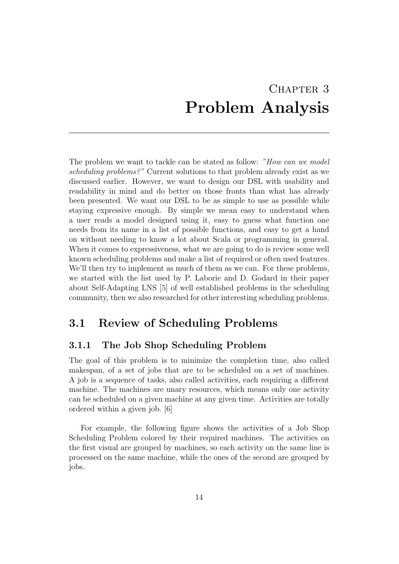## CHAPTER 3 Problem Analysis

The problem we want to tackle can be stated as follow: "How can we model scheduling problems?" Current solutions to that problem already exist as we discussed earlier. However, we want to design our DSL with usability and readability in mind and do better on those fronts than what has already been presented. We want our DSL to be as simple to use as possible while staying expressive enough. By simple we mean easy to understand when a user reads a model designed using it, easy to guess what function one needs from its name in a list of possible functions, and easy to get a hand on without needing to know a lot about Scala or programming in general. When it comes to expressiveness, what we are going to do is review some well known scheduling problems and make a list of required or often used features. We'll then try to implement as much of them as we can. For these problems, we started with the list used by P. Laborie and D. Godard in their paper about Self-Adapting LNS [5] of well established problems in the scheduling community, then we also researched for other interesting scheduling problems.

## 3.1 Review of Scheduling Problems

### 3.1.1 The Job Shop Scheduling Problem

The goal of this problem is to minimize the completion time, also called makespan, of a set of jobs that are to be scheduled on a set of machines. A job is a sequence of tasks, also called activities, each requiring a different machine. The machines are unary resources, which means only one activity can be scheduled on a given machine at any given time. Activities are totally ordered within a given job. [6]

For example, the following figure shows the activities of a Job Shop Scheduling Problem colored by their required machines. The activities on the first visual are grouped by machines, so each activity on the same line is processed on the same machine, while the ones of the second are grouped by jobs.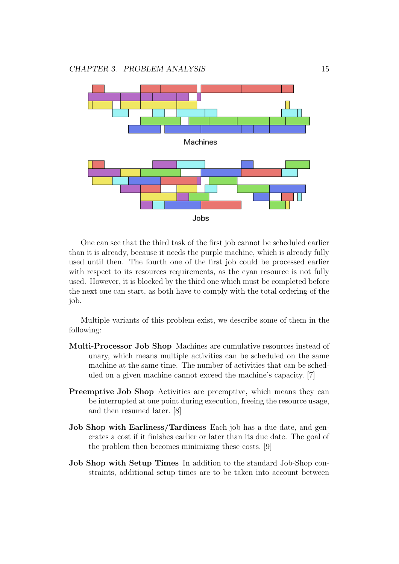

One can see that the third task of the first job cannot be scheduled earlier than it is already, because it needs the purple machine, which is already fully used until then. The fourth one of the first job could be processed earlier with respect to its resources requirements, as the cyan resource is not fully used. However, it is blocked by the third one which must be completed before the next one can start, as both have to comply with the total ordering of the job.

Multiple variants of this problem exist, we describe some of them in the following:

- Multi-Processor Job Shop Machines are cumulative resources instead of unary, which means multiple activities can be scheduled on the same machine at the same time. The number of activities that can be scheduled on a given machine cannot exceed the machine's capacity. [7]
- Preemptive Job Shop Activities are preemptive, which means they can be interrupted at one point during execution, freeing the resource usage, and then resumed later. [8]
- Job Shop with Earliness/Tardiness Each job has a due date, and generates a cost if it finishes earlier or later than its due date. The goal of the problem then becomes minimizing these costs. [9]
- Job Shop with Setup Times In addition to the standard Job-Shop constraints, additional setup times are to be taken into account between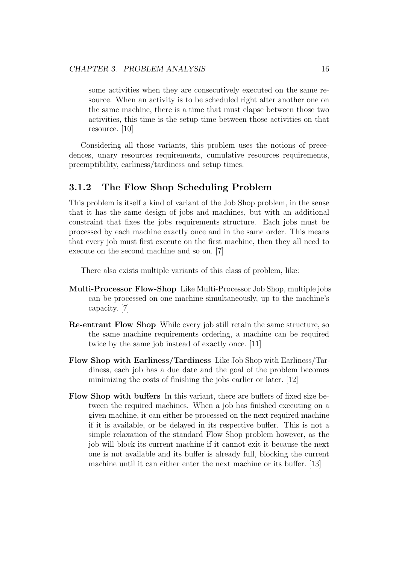some activities when they are consecutively executed on the same resource. When an activity is to be scheduled right after another one on the same machine, there is a time that must elapse between those two activities, this time is the setup time between those activities on that resource. [10]

Considering all those variants, this problem uses the notions of precedences, unary resources requirements, cumulative resources requirements, preemptibility, earliness/tardiness and setup times.

#### 3.1.2 The Flow Shop Scheduling Problem

This problem is itself a kind of variant of the Job Shop problem, in the sense that it has the same design of jobs and machines, but with an additional constraint that fixes the jobs requirements structure. Each jobs must be processed by each machine exactly once and in the same order. This means that every job must first execute on the first machine, then they all need to execute on the second machine and so on. [7]

There also exists multiple variants of this class of problem, like:

- Multi-Processor Flow-Shop Like Multi-Processor Job Shop, multiple jobs can be processed on one machine simultaneously, up to the machine's capacity. [7]
- Re-entrant Flow Shop While every job still retain the same structure, so the same machine requirements ordering, a machine can be required twice by the same job instead of exactly once. [11]
- Flow Shop with Earliness/Tardiness Like Job Shop with Earliness/Tardiness, each job has a due date and the goal of the problem becomes minimizing the costs of finishing the jobs earlier or later. [12]
- Flow Shop with buffers In this variant, there are buffers of fixed size between the required machines. When a job has finished executing on a given machine, it can either be processed on the next required machine if it is available, or be delayed in its respective buffer. This is not a simple relaxation of the standard Flow Shop problem however, as the job will block its current machine if it cannot exit it because the next one is not available and its buffer is already full, blocking the current machine until it can either enter the next machine or its buffer. [13]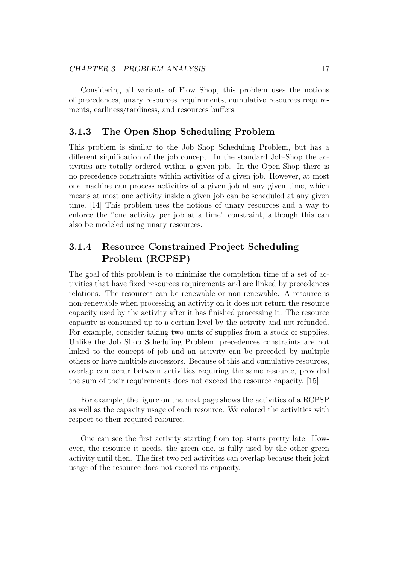Considering all variants of Flow Shop, this problem uses the notions of precedences, unary resources requirements, cumulative resources requirements, earliness/tardiness, and resources buffers.

#### 3.1.3 The Open Shop Scheduling Problem

This problem is similar to the Job Shop Scheduling Problem, but has a different signification of the job concept. In the standard Job-Shop the activities are totally ordered within a given job. In the Open-Shop there is no precedence constraints within activities of a given job. However, at most one machine can process activities of a given job at any given time, which means at most one activity inside a given job can be scheduled at any given time. [14] This problem uses the notions of unary resources and a way to enforce the "one activity per job at a time" constraint, although this can also be modeled using unary resources.

### 3.1.4 Resource Constrained Project Scheduling Problem (RCPSP)

The goal of this problem is to minimize the completion time of a set of activities that have fixed resources requirements and are linked by precedences relations. The resources can be renewable or non-renewable. A resource is non-renewable when processing an activity on it does not return the resource capacity used by the activity after it has finished processing it. The resource capacity is consumed up to a certain level by the activity and not refunded. For example, consider taking two units of supplies from a stock of supplies. Unlike the Job Shop Scheduling Problem, precedences constraints are not linked to the concept of job and an activity can be preceded by multiple others or have multiple successors. Because of this and cumulative resources, overlap can occur between activities requiring the same resource, provided the sum of their requirements does not exceed the resource capacity. [15]

For example, the figure on the next page shows the activities of a RCPSP as well as the capacity usage of each resource. We colored the activities with respect to their required resource.

One can see the first activity starting from top starts pretty late. However, the resource it needs, the green one, is fully used by the other green activity until then. The first two red activities can overlap because their joint usage of the resource does not exceed its capacity.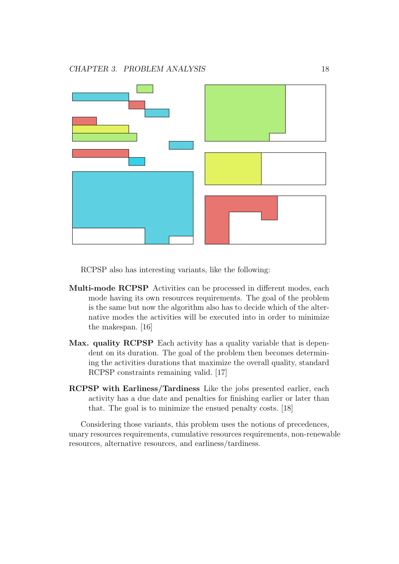

RCPSP also has interesting variants, like the following:

- Multi-mode RCPSP Activities can be processed in different modes, each mode having its own resources requirements. The goal of the problem is the same but now the algorithm also has to decide which of the alternative modes the activities will be executed into in order to minimize the makespan. [16]
- Max. quality RCPSP Each activity has a quality variable that is dependent on its duration. The goal of the problem then becomes determining the activities durations that maximize the overall quality, standard RCPSP constraints remaining valid. [17]
- RCPSP with Earliness/Tardiness Like the jobs presented earlier, each activity has a due date and penalties for finishing earlier or later than that. The goal is to minimize the ensued penalty costs. [18]

Considering those variants, this problem uses the notions of precedences, unary resources requirements, cumulative resources requirements, non-renewable resources, alternative resources, and earliness/tardiness.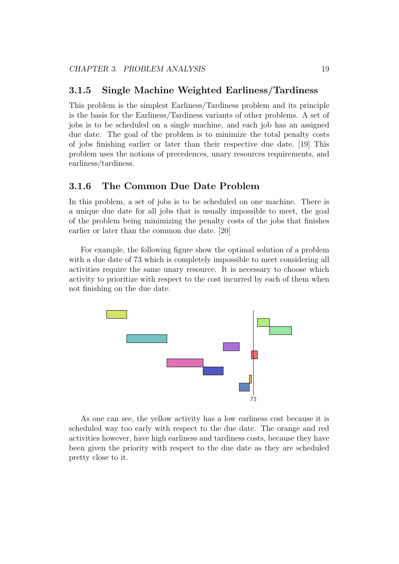#### 3.1.5 Single Machine Weighted Earliness/Tardiness

This problem is the simplest Earliness/Tardiness problem and its principle is the basis for the Earliness/Tardiness variants of other problems. A set of jobs is to be scheduled on a single machine, and each job has an assigned due date. The goal of the problem is to minimize the total penalty costs of jobs finishing earlier or later than their respective due date. [19] This problem uses the notions of precedences, unary resources requirements, and earliness/tardiness.

#### 3.1.6 The Common Due Date Problem

In this problem, a set of jobs is to be scheduled on one machine. There is a unique due date for all jobs that is usually impossible to meet, the goal of the problem being minimizing the penalty costs of the jobs that finishes earlier or later than the common due date. [20]

For example, the following figure show the optimal solution of a problem with a due date of 73 which is completely impossible to meet considering all activities require the same unary resource. It is necessary to choose which activity to prioritize with respect to the cost incurred by each of them when not finishing on the due date.



As one can see, the yellow activity has a low earliness cost because it is scheduled way too early with respect to the due date. The orange and red activities however, have high earliness and tardiness costs, because they have been given the priority with respect to the due date as they are scheduled pretty close to it.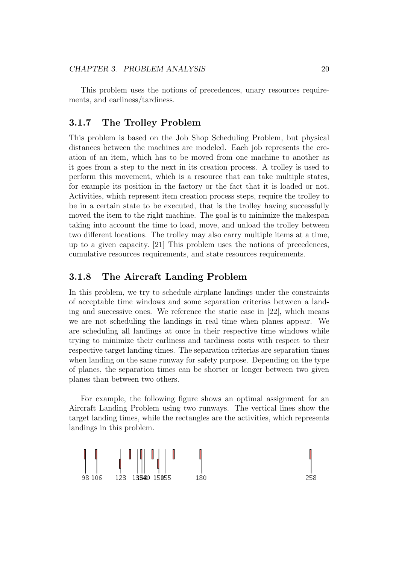This problem uses the notions of precedences, unary resources requirements, and earliness/tardiness.

#### 3.1.7 The Trolley Problem

This problem is based on the Job Shop Scheduling Problem, but physical distances between the machines are modeled. Each job represents the creation of an item, which has to be moved from one machine to another as it goes from a step to the next in its creation process. A trolley is used to perform this movement, which is a resource that can take multiple states, for example its position in the factory or the fact that it is loaded or not. Activities, which represent item creation process steps, require the trolley to be in a certain state to be executed, that is the trolley having successfully moved the item to the right machine. The goal is to minimize the makespan taking into account the time to load, move, and unload the trolley between two different locations. The trolley may also carry multiple items at a time, up to a given capacity. [21] This problem uses the notions of precedences, cumulative resources requirements, and state resources requirements.

#### 3.1.8 The Aircraft Landing Problem

In this problem, we try to schedule airplane landings under the constraints of acceptable time windows and some separation criterias between a landing and successive ones. We reference the static case in [22], which means we are not scheduling the landings in real time when planes appear. We are scheduling all landings at once in their respective time windows while trying to minimize their earliness and tardiness costs with respect to their respective target landing times. The separation criterias are separation times when landing on the same runway for safety purpose. Depending on the type of planes, the separation times can be shorter or longer between two given planes than between two others.

For example, the following figure shows an optimal assignment for an Aircraft Landing Problem using two runways. The vertical lines show the target landing times, while the rectangles are the activities, which represents landings in this problem.

$$
\begin{array}{c}\n\begin{array}{c}\n\mathbf{I} \\
\mathbf{I} \\
\mathbf{I}\n\end{array}\n\end{array}\n\quad\n\begin{array}{c}\n\begin{array}{c}\n\mathbf{I} \\
\mathbf{I} \\
\mathbf{I} \\
\mathbf{I}\n\end{array}\n\end{array}\n\quad\n\begin{array}{c}\n\mathbf{I} \\
\mathbf{I} \\
\mathbf{I}\n\end{array}\n\quad\n\begin{array}{c}\n\mathbf{I} \\
\mathbf{I} \\
\mathbf{I}\n\end{array}\n\quad\n\begin{array}{c}\n\mathbf{I} \\
\mathbf{I} \\
\mathbf{I}\n\end{array}\n\end{array}
$$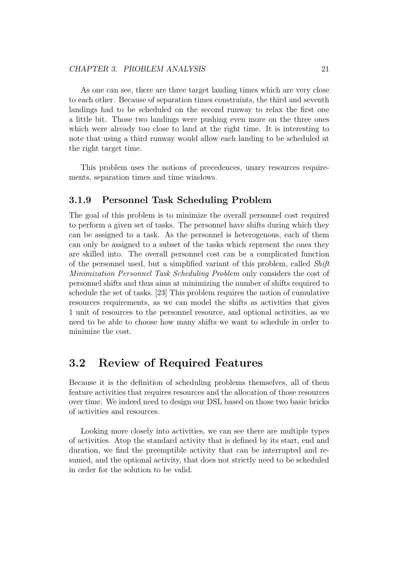As one can see, there are three target landing times which are very close to each other. Because of separation times constraints, the third and seventh landings had to be scheduled on the second runway to relax the first one a little bit. Those two landings were pushing even more on the three ones which were already too close to land at the right time. It is interesting to note that using a third runway would allow each landing to be scheduled at the right target time.

This problem uses the notions of precedences, unary resources requirements, separation times and time windows.

#### 3.1.9 Personnel Task Scheduling Problem

The goal of this problem is to minimize the overall personnel cost required to perform a given set of tasks. The personnel have shifts during which they can be assigned to a task. As the personnel is heterogenous, each of them can only be assigned to a subset of the tasks which represent the ones they are skilled into. The overall personnel cost can be a complicated function of the personnel used, but a simplified variant of this problem, called Shift Minimization Personnel Task Scheduling Problem only considers the cost of personnel shifts and thus aims at minimizing the number of shifts required to schedule the set of tasks. [23] This problem requires the notion of cumulative resources requirements, as we can model the shifts as activities that gives 1 unit of resources to the personnel resource, and optional activities, as we need to be able to choose how many shifts we want to schedule in order to minimize the cost.

### 3.2 Review of Required Features

Because it is the definition of scheduling problems themselves, all of them feature activities that requires resources and the allocation of those resources over time. We indeed need to design our DSL based on those two basic bricks of activities and resources.

Looking more closely into activities, we can see there are multiple types of activities. Atop the standard activity that is defined by its start, end and duration, we find the preemptible activity that can be interrupted and resumed, and the optional activity, that does not strictly need to be scheduled in order for the solution to be valid.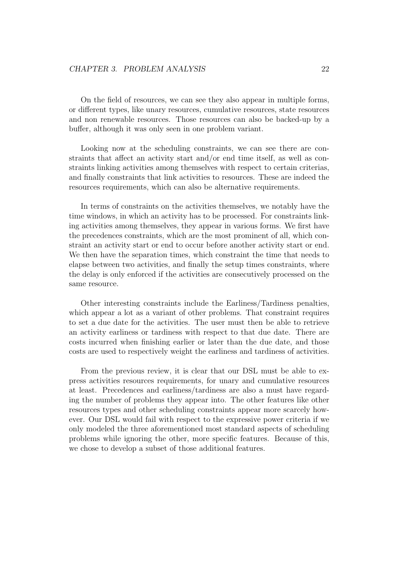On the field of resources, we can see they also appear in multiple forms, or different types, like unary resources, cumulative resources, state resources and non renewable resources. Those resources can also be backed-up by a buffer, although it was only seen in one problem variant.

Looking now at the scheduling constraints, we can see there are constraints that affect an activity start and/or end time itself, as well as constraints linking activities among themselves with respect to certain criterias, and finally constraints that link activities to resources. These are indeed the resources requirements, which can also be alternative requirements.

In terms of constraints on the activities themselves, we notably have the time windows, in which an activity has to be processed. For constraints linking activities among themselves, they appear in various forms. We first have the precedences constraints, which are the most prominent of all, which constraint an activity start or end to occur before another activity start or end. We then have the separation times, which constraint the time that needs to elapse between two activities, and finally the setup times constraints, where the delay is only enforced if the activities are consecutively processed on the same resource.

Other interesting constraints include the Earliness/Tardiness penalties, which appear a lot as a variant of other problems. That constraint requires to set a due date for the activities. The user must then be able to retrieve an activity earliness or tardiness with respect to that due date. There are costs incurred when finishing earlier or later than the due date, and those costs are used to respectively weight the earliness and tardiness of activities.

From the previous review, it is clear that our DSL must be able to express activities resources requirements, for unary and cumulative resources at least. Precedences and earliness/tardiness are also a must have regarding the number of problems they appear into. The other features like other resources types and other scheduling constraints appear more scarcely however. Our DSL would fail with respect to the expressive power criteria if we only modeled the three aforementioned most standard aspects of scheduling problems while ignoring the other, more specific features. Because of this, we chose to develop a subset of those additional features.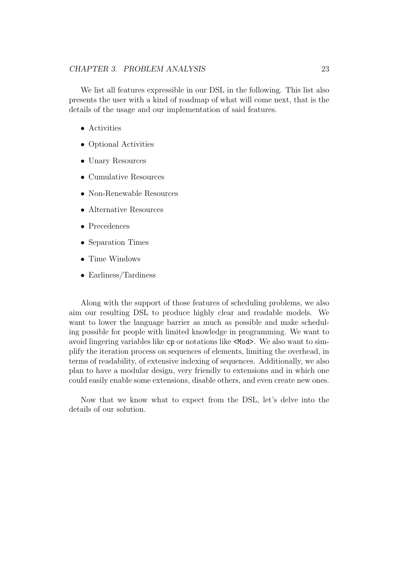#### CHAPTER 3. PROBLEM ANALYSIS 23

We list all features expressible in our DSL in the following. This list also presents the user with a kind of roadmap of what will come next, that is the details of the usage and our implementation of said features.

- Activities
- Optional Activities
- Unary Resources
- Cumulative Resources
- Non-Renewable Resources
- Alternative Resources
- Precedences
- Separation Times
- Time Windows
- Earliness/Tardiness

Along with the support of those features of scheduling problems, we also aim our resulting DSL to produce highly clear and readable models. We want to lower the language barrier as much as possible and make scheduling possible for people with limited knowledge in programming. We want to avoid lingering variables like cp or notations like <Mod>. We also want to simplify the iteration process on sequences of elements, limiting the overhead, in terms of readability, of extensive indexing of sequences. Additionally, we also plan to have a modular design, very friendly to extensions and in which one could easily enable some extensions, disable others, and even create new ones.

Now that we know what to expect from the DSL, let's delve into the details of our solution.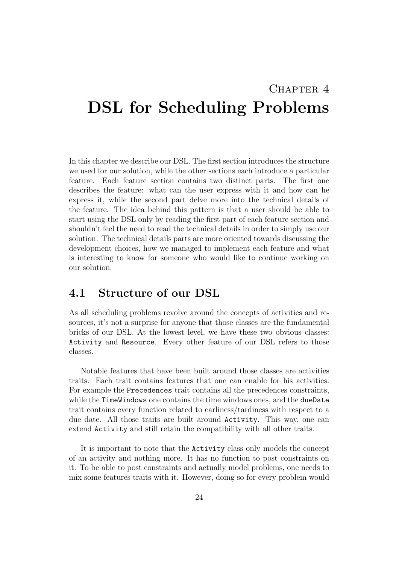# CHAPTER<sub>4</sub> DSL for Scheduling Problems

In this chapter we describe our DSL. The first section introduces the structure we used for our solution, while the other sections each introduce a particular feature. Each feature section contains two distinct parts. The first one describes the feature: what can the user express with it and how can he express it, while the second part delve more into the technical details of the feature. The idea behind this pattern is that a user should be able to start using the DSL only by reading the first part of each feature section and shouldn't feel the need to read the technical details in order to simply use our solution. The technical details parts are more oriented towards discussing the development choices, how we managed to implement each feature and what is interesting to know for someone who would like to continue working on our solution.

## 4.1 Structure of our DSL

As all scheduling problems revolve around the concepts of activities and resources, it's not a surprise for anyone that those classes are the fundamental bricks of our DSL. At the lowest level, we have these two obvious classes: Activity and Resource. Every other feature of our DSL refers to those classes.

Notable features that have been built around those classes are activities traits. Each trait contains features that one can enable for his activities. For example the Precedences trait contains all the precedences constraints, while the TimeWindows one contains the time windows ones, and the dueDate trait contains every function related to earliness/tardiness with respect to a due date. All those traits are built around Activity. This way, one can extend Activity and still retain the compatibility with all other traits.

It is important to note that the Activity class only models the concept of an activity and nothing more. It has no function to post constraints on it. To be able to post constraints and actually model problems, one needs to mix some features traits with it. However, doing so for every problem would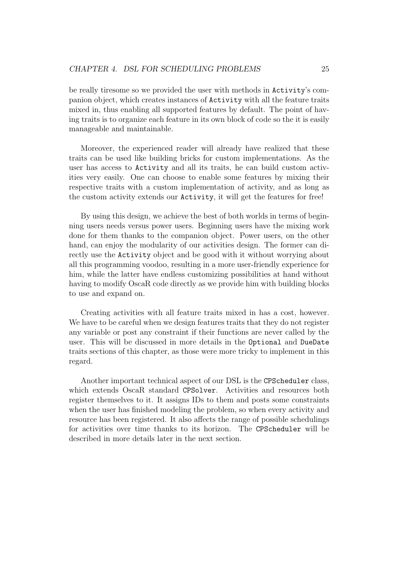be really tiresome so we provided the user with methods in Activity's companion object, which creates instances of Activity with all the feature traits mixed in, thus enabling all supported features by default. The point of having traits is to organize each feature in its own block of code so the it is easily manageable and maintainable.

Moreover, the experienced reader will already have realized that these traits can be used like building bricks for custom implementations. As the user has access to Activity and all its traits, he can build custom activities very easily. One can choose to enable some features by mixing their respective traits with a custom implementation of activity, and as long as the custom activity extends our Activity, it will get the features for free!

By using this design, we achieve the best of both worlds in terms of beginning users needs versus power users. Beginning users have the mixing work done for them thanks to the companion object. Power users, on the other hand, can enjoy the modularity of our activities design. The former can directly use the Activity object and be good with it without worrying about all this programming voodoo, resulting in a more user-friendly experience for him, while the latter have endless customizing possibilities at hand without having to modify OscaR code directly as we provide him with building blocks to use and expand on.

Creating activities with all feature traits mixed in has a cost, however. We have to be careful when we design features traits that they do not register any variable or post any constraint if their functions are never called by the user. This will be discussed in more details in the Optional and DueDate traits sections of this chapter, as those were more tricky to implement in this regard.

Another important technical aspect of our DSL is the CPScheduler class, which extends OscaR standard CPSolver. Activities and resources both register themselves to it. It assigns IDs to them and posts some constraints when the user has finished modeling the problem, so when every activity and resource has been registered. It also affects the range of possible schedulings for activities over time thanks to its horizon. The CPScheduler will be described in more details later in the next section.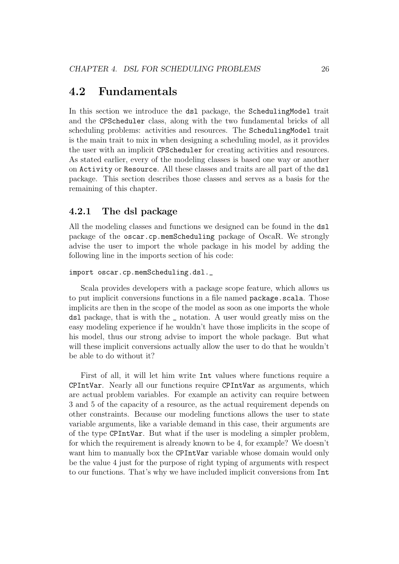## 4.2 Fundamentals

In this section we introduce the dsl package, the SchedulingModel trait and the CPScheduler class, along with the two fundamental bricks of all scheduling problems: activities and resources. The SchedulingModel trait is the main trait to mix in when designing a scheduling model, as it provides the user with an implicit CPScheduler for creating activities and resources. As stated earlier, every of the modeling classes is based one way or another on Activity or Resource. All these classes and traits are all part of the dsl package. This section describes those classes and serves as a basis for the remaining of this chapter.

## 4.2.1 The dsl package

All the modeling classes and functions we designed can be found in the dsl package of the oscar.cp.memScheduling package of OscaR. We strongly advise the user to import the whole package in his model by adding the following line in the imports section of his code:

```
import oscar.cp.memScheduling.dsl._
```
Scala provides developers with a package scope feature, which allows us to put implicit conversions functions in a file named package.scala. Those implicits are then in the scope of the model as soon as one imports the whole dsl package, that is with the \_ notation. A user would greatly miss on the easy modeling experience if he wouldn't have those implicits in the scope of his model, thus our strong advise to import the whole package. But what will these implicit conversions actually allow the user to do that he wouldn't be able to do without it?

First of all, it will let him write Int values where functions require a CPIntVar. Nearly all our functions require CPIntVar as arguments, which are actual problem variables. For example an activity can require between 3 and 5 of the capacity of a resource, as the actual requirement depends on other constraints. Because our modeling functions allows the user to state variable arguments, like a variable demand in this case, their arguments are of the type CPIntVar. But what if the user is modeling a simpler problem, for which the requirement is already known to be 4, for example? We doesn't want him to manually box the CPIntVar variable whose domain would only be the value 4 just for the purpose of right typing of arguments with respect to our functions. That's why we have included implicit conversions from Int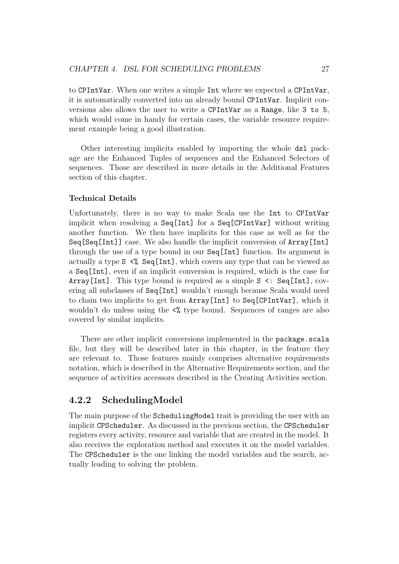to CPIntVar. When one writes a simple Int where we expected a CPIntVar, it is automatically converted into an already bound CPIntVar. Implicit conversions also allows the user to write a CPIntVar as a Range, like 3 to 5, which would come in handy for certain cases, the variable resource requirement example being a good illustration.

Other interesting implicits enabled by importing the whole dsl package are the Enhanced Tuples of sequences and the Enhanced Selectors of sequences. Those are described in more details in the Additional Features section of this chapter.

#### Technical Details

Unfortunately, there is no way to make Scala use the Int to CPIntVar implicit when resolving a Seq[Int] for a Seq[CPIntVar] without writing another function. We then have implicits for this case as well as for the Seq[Seq[Int]] case. We also handle the implicit conversion of Array[Int] through the use of a type bound in our Seq[Int] function. Its argument is actually a type S <% Seq[Int], which covers any type that can be viewed as a Seq[Int], even if an implicit conversion is required, which is the case for Array[Int]. This type bound is required as a simple S <: Seq[Int], covering all subclasses of Seq[Int] wouldn't enough because Scala would need to chain two implicits to get from Array[Int] to Seq[CPIntVar], which it wouldn't do unless using the  $\leq$  type bound. Sequences of ranges are also covered by similar implicits.

There are other implicit conversions implemented in the package.scala file, but they will be described later in this chapter, in the feature they are relevant to. Those features mainly comprises alternative requirements notation, which is described in the Alternative Requirements section, and the sequence of activities accessors described in the Creating Activities section.

## 4.2.2 SchedulingModel

The main purpose of the SchedulingModel trait is providing the user with an implicit CPScheduler. As discussed in the previous section, the CPScheduler registers every activity, resource and variable that are created in the model. It also receives the exploration method and executes it on the model variables. The CPScheduler is the one linking the model variables and the search, actually leading to solving the problem.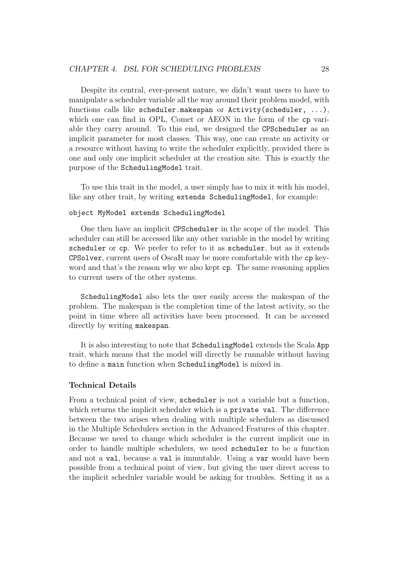Despite its central, ever-present nature, we didn't want users to have to manipulate a scheduler variable all the way around their problem model, with functions calls like scheduler.makespan or Activity(scheduler, ...), which one can find in OPL, Comet or AEON in the form of the cp variable they carry around. To this end, we designed the CPScheduler as an implicit parameter for most classes. This way, one can create an activity or a resource without having to write the scheduler explicitly, provided there is one and only one implicit scheduler at the creation site. This is exactly the purpose of the SchedulingModel trait.

To use this trait in the model, a user simply has to mix it with his model, like any other trait, by writing extends SchedulingModel, for example:

#### object MyModel extends SchedulingModel

One then have an implicit CPScheduler in the scope of the model. This scheduler can still be accessed like any other variable in the model by writing scheduler or cp. We prefer to refer to it as scheduler, but as it extends CPSolver, current users of OscaR may be more comfortable with the cp keyword and that's the reason why we also kept cp. The same reasoning applies to current users of the other systems.

SchedulingModel also lets the user easily access the makespan of the problem. The makespan is the completion time of the latest activity, so the point in time where all activities have been processed. It can be accessed directly by writing makespan.

It is also interesting to note that SchedulingModel extends the Scala App trait, which means that the model will directly be runnable without having to define a main function when SchedulingModel is mixed in.

#### Technical Details

From a technical point of view, scheduler is not a variable but a function, which returns the implicit scheduler which is a **private** val. The difference between the two arises when dealing with multiple schedulers as discussed in the Multiple Schedulers section in the Advanced Features of this chapter. Because we need to change which scheduler is the current implicit one in order to handle multiple schedulers, we need scheduler to be a function and not a val, because a val is immutable. Using a var would have been possible from a technical point of view, but giving the user direct access to the implicit scheduler variable would be asking for troubles. Setting it as a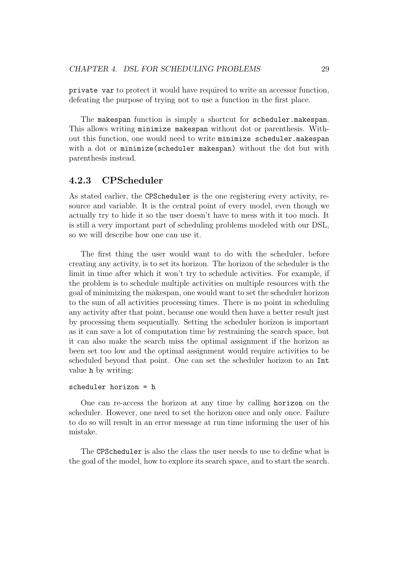private var to protect it would have required to write an accessor function, defeating the purpose of trying not to use a function in the first place.

The makespan function is simply a shortcut for scheduler.makespan. This allows writing minimize makespan without dot or parenthesis. Without this function, one would need to write minimize scheduler.makespan with a dot or minimize(scheduler makespan) without the dot but with parenthesis instead.

## 4.2.3 CPScheduler

As stated earlier, the CPScheduler is the one registering every activity, resource and variable. It is the central point of every model, even though we actually try to hide it so the user doesn't have to mess with it too much. It is still a very important part of scheduling problems modeled with our DSL, so we will describe how one can use it.

The first thing the user would want to do with the scheduler, before creating any activity, is to set its horizon. The horizon of the scheduler is the limit in time after which it won't try to schedule activities. For example, if the problem is to schedule multiple activities on multiple resources with the goal of minimizing the makespan, one would want to set the scheduler horizon to the sum of all activities processing times. There is no point in scheduling any activity after that point, because one would then have a better result just by processing them sequentially. Setting the scheduler horizon is important as it can save a lot of computation time by restraining the search space, but it can also make the search miss the optimal assignment if the horizon as been set too low and the optimal assignment would require activities to be scheduled beyond that point. One can set the scheduler horizon to an Int value h by writing:

#### scheduler horizon = h

One can re-access the horizon at any time by calling horizon on the scheduler. However, one need to set the horizon once and only once. Failure to do so will result in an error message at run time informing the user of his mistake.

The CPScheduler is also the class the user needs to use to define what is the goal of the model, how to explore its search space, and to start the search.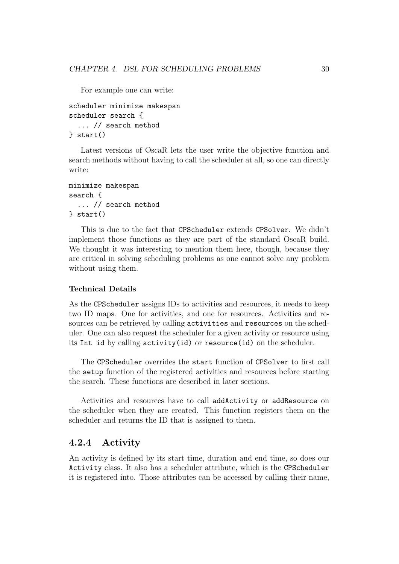For example one can write:

```
scheduler minimize makespan
scheduler search {
  ... // search method
} start()
```
Latest versions of OscaR lets the user write the objective function and search methods without having to call the scheduler at all, so one can directly write:

```
minimize makespan
search {
  ... // search method
} start()
```
This is due to the fact that CPScheduler extends CPSolver. We didn't implement those functions as they are part of the standard OscaR build. We thought it was interesting to mention them here, though, because they are critical in solving scheduling problems as one cannot solve any problem without using them.

#### Technical Details

As the CPScheduler assigns IDs to activities and resources, it needs to keep two ID maps. One for activities, and one for resources. Activities and resources can be retrieved by calling activities and resources on the scheduler. One can also request the scheduler for a given activity or resource using its Int id by calling activity(id) or resource(id) on the scheduler.

The CPScheduler overrides the start function of CPSolver to first call the setup function of the registered activities and resources before starting the search. These functions are described in later sections.

Activities and resources have to call addActivity or addResource on the scheduler when they are created. This function registers them on the scheduler and returns the ID that is assigned to them.

### 4.2.4 Activity

An activity is defined by its start time, duration and end time, so does our Activity class. It also has a scheduler attribute, which is the CPScheduler it is registered into. Those attributes can be accessed by calling their name,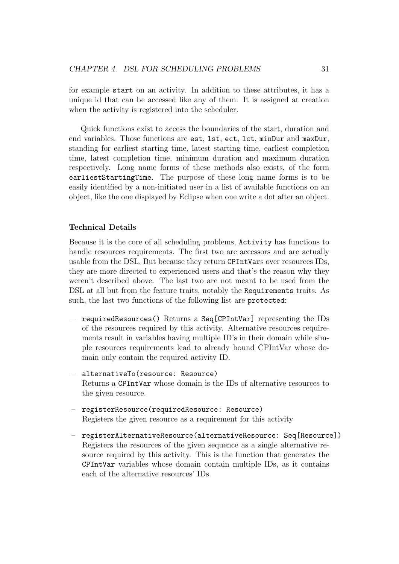for example start on an activity. In addition to these attributes, it has a unique id that can be accessed like any of them. It is assigned at creation when the activity is registered into the scheduler.

Quick functions exist to access the boundaries of the start, duration and end variables. Those functions are est, lst, ect, lct, minDur and maxDur, standing for earliest starting time, latest starting time, earliest completion time, latest completion time, minimum duration and maximum duration respectively. Long name forms of these methods also exists, of the form earliestStartingTime. The purpose of these long name forms is to be easily identified by a non-initiated user in a list of available functions on an object, like the one displayed by Eclipse when one write a dot after an object.

#### Technical Details

Because it is the core of all scheduling problems, Activity has functions to handle resources requirements. The first two are accessors and are actually usable from the DSL. But because they return CPIntVars over resources IDs, they are more directed to experienced users and that's the reason why they weren't described above. The last two are not meant to be used from the DSL at all but from the feature traits, notably the Requirements traits. As such, the last two functions of the following list are protected:

- requiredResources() Returns a Seq[CPIntVar] representing the IDs of the resources required by this activity. Alternative resources requirements result in variables having multiple ID's in their domain while simple resources requirements lead to already bound CPIntVar whose domain only contain the required activity ID.
- alternativeTo(resource: Resource) Returns a CPIntVar whose domain is the IDs of alternative resources to the given resource.
- registerResource(requiredResource: Resource) Registers the given resource as a requirement for this activity
- registerAlternativeResource(alternativeResource: Seq[Resource]) Registers the resources of the given sequence as a single alternative resource required by this activity. This is the function that generates the CPIntVar variables whose domain contain multiple IDs, as it contains each of the alternative resources' IDs.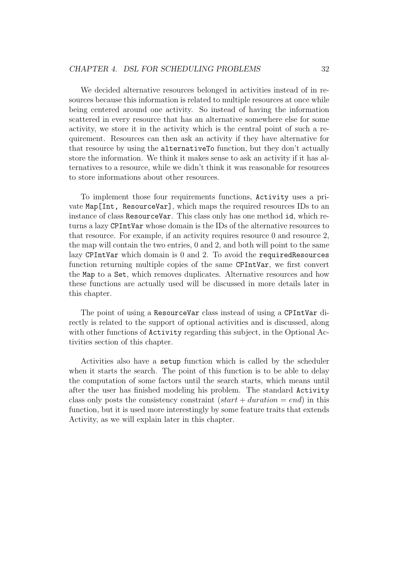We decided alternative resources belonged in activities instead of in resources because this information is related to multiple resources at once while being centered around one activity. So instead of having the information scattered in every resource that has an alternative somewhere else for some activity, we store it in the activity which is the central point of such a requirement. Resources can then ask an activity if they have alternative for that resource by using the alternativeTo function, but they don't actually store the information. We think it makes sense to ask an activity if it has alternatives to a resource, while we didn't think it was reasonable for resources to store informations about other resources.

To implement those four requirements functions, Activity uses a private Map[Int, ResourceVar], which maps the required resources IDs to an instance of class ResourceVar. This class only has one method id, which returns a lazy CPIntVar whose domain is the IDs of the alternative resources to that resource. For example, if an activity requires resource 0 and resource 2, the map will contain the two entries, 0 and 2, and both will point to the same lazy CPIntVar which domain is 0 and 2. To avoid the requiredResources function returning multiple copies of the same CPIntVar, we first convert the Map to a Set, which removes duplicates. Alternative resources and how these functions are actually used will be discussed in more details later in this chapter.

The point of using a ResourceVar class instead of using a CPIntVar directly is related to the support of optional activities and is discussed, along with other functions of **Activity** regarding this subject, in the Optional Activities section of this chapter.

Activities also have a setup function which is called by the scheduler when it starts the search. The point of this function is to be able to delay the computation of some factors until the search starts, which means until after the user has finished modeling his problem. The standard Activity class only posts the consistency constraint  $(start + duration = end)$  in this function, but it is used more interestingly by some feature traits that extends Activity, as we will explain later in this chapter.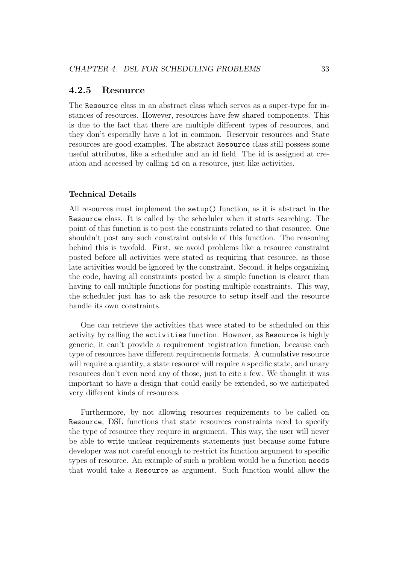#### 4.2.5 Resource

The Resource class in an abstract class which serves as a super-type for instances of resources. However, resources have few shared components. This is due to the fact that there are multiple different types of resources, and they don't especially have a lot in common. Reservoir resources and State resources are good examples. The abstract Resource class still possess some useful attributes, like a scheduler and an id field. The id is assigned at creation and accessed by calling id on a resource, just like activities.

#### Technical Details

All resources must implement the setup() function, as it is abstract in the Resource class. It is called by the scheduler when it starts searching. The point of this function is to post the constraints related to that resource. One shouldn't post any such constraint outside of this function. The reasoning behind this is twofold. First, we avoid problems like a resource constraint posted before all activities were stated as requiring that resource, as those late activities would be ignored by the constraint. Second, it helps organizing the code, having all constraints posted by a simple function is clearer than having to call multiple functions for posting multiple constraints. This way, the scheduler just has to ask the resource to setup itself and the resource handle its own constraints.

One can retrieve the activities that were stated to be scheduled on this activity by calling the activities function. However, as Resource is highly generic, it can't provide a requirement registration function, because each type of resources have different requirements formats. A cumulative resource will require a quantity, a state resource will require a specific state, and unary resources don't even need any of those, just to cite a few. We thought it was important to have a design that could easily be extended, so we anticipated very different kinds of resources.

Furthermore, by not allowing resources requirements to be called on Resource, DSL functions that state resources constraints need to specify the type of resource they require in argument. This way, the user will never be able to write unclear requirements statements just because some future developer was not careful enough to restrict its function argument to specific types of resource. An example of such a problem would be a function needs that would take a Resource as argument. Such function would allow the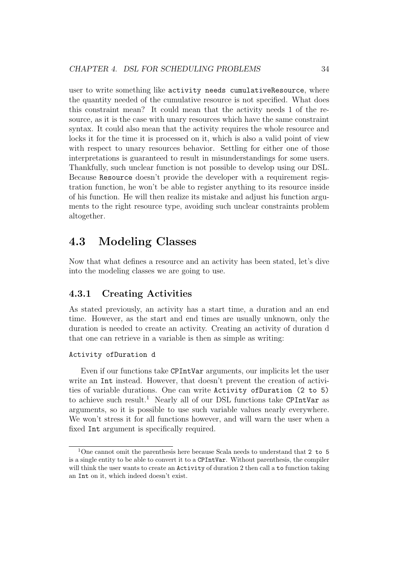user to write something like activity needs cumulativeResource, where the quantity needed of the cumulative resource is not specified. What does this constraint mean? It could mean that the activity needs 1 of the resource, as it is the case with unary resources which have the same constraint syntax. It could also mean that the activity requires the whole resource and locks it for the time it is processed on it, which is also a valid point of view with respect to unary resources behavior. Settling for either one of those interpretations is guaranteed to result in misunderstandings for some users. Thankfully, such unclear function is not possible to develop using our DSL. Because Resource doesn't provide the developer with a requirement registration function, he won't be able to register anything to its resource inside of his function. He will then realize its mistake and adjust his function arguments to the right resource type, avoiding such unclear constraints problem altogether.

## 4.3 Modeling Classes

Now that what defines a resource and an activity has been stated, let's dive into the modeling classes we are going to use.

## 4.3.1 Creating Activities

As stated previously, an activity has a start time, a duration and an end time. However, as the start and end times are usually unknown, only the duration is needed to create an activity. Creating an activity of duration d that one can retrieve in a variable is then as simple as writing:

#### Activity ofDuration d

Even if our functions take CPIntVar arguments, our implicits let the user write an Int instead. However, that doesn't prevent the creation of activities of variable durations. One can write Activity ofDuration (2 to 5) to achieve such result.<sup>1</sup> Nearly all of our DSL functions take CPIntVar as arguments, so it is possible to use such variable values nearly everywhere. We won't stress it for all functions however, and will warn the user when a fixed Int argument is specifically required.

<sup>&</sup>lt;sup>1</sup>One cannot omit the parenthesis here because Scala needs to understand that 2 to 5 is a single entity to be able to convert it to a CPIntVar. Without parenthesis, the compiler will think the user wants to create an Activity of duration 2 then call a to function taking an Int on it, which indeed doesn't exist.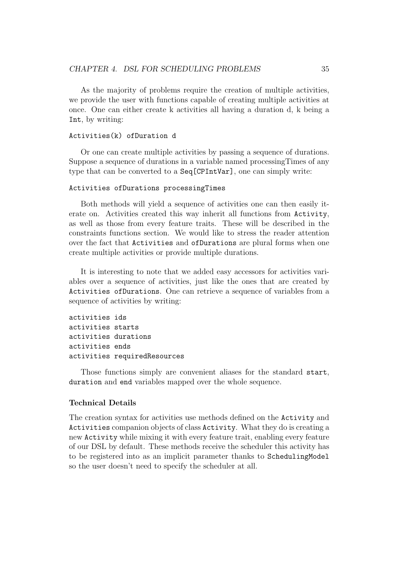As the majority of problems require the creation of multiple activities, we provide the user with functions capable of creating multiple activities at once. One can either create k activities all having a duration d, k being a Int, by writing:

#### Activities(k) ofDuration d

Or one can create multiple activities by passing a sequence of durations. Suppose a sequence of durations in a variable named processingTimes of any type that can be converted to a Seq[CPIntVar], one can simply write:

#### Activities ofDurations processingTimes

Both methods will yield a sequence of activities one can then easily iterate on. Activities created this way inherit all functions from Activity, as well as those from every feature traits. These will be described in the constraints functions section. We would like to stress the reader attention over the fact that Activities and ofDurations are plural forms when one create multiple activities or provide multiple durations.

It is interesting to note that we added easy accessors for activities variables over a sequence of activities, just like the ones that are created by Activities ofDurations. One can retrieve a sequence of variables from a sequence of activities by writing:

```
activities ids
activities starts
activities durations
activities ends
activities requiredResources
```
Those functions simply are convenient aliases for the standard start, duration and end variables mapped over the whole sequence.

#### Technical Details

The creation syntax for activities use methods defined on the Activity and Activities companion objects of class Activity. What they do is creating a new Activity while mixing it with every feature trait, enabling every feature of our DSL by default. These methods receive the scheduler this activity has to be registered into as an implicit parameter thanks to SchedulingModel so the user doesn't need to specify the scheduler at all.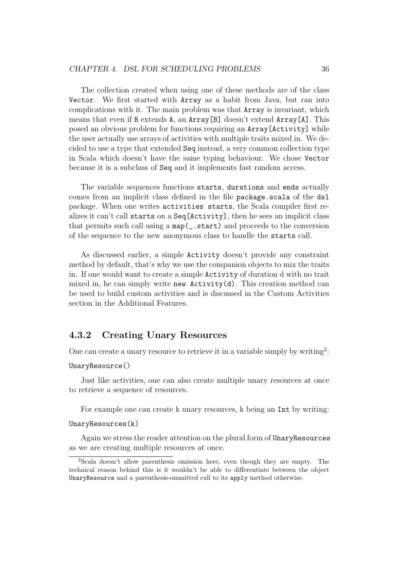The collection created when using one of these methods are of the class Vector. We first started with Array as a habit from Java, but ran into complications with it. The main problem was that Array is invariant, which means that even if B extends A, an Array[B] doesn't extend Array[A]. This posed an obvious problem for functions requiring an Array[Activity] while the user actually use arrays of activities with multiple traits mixed in. We decided to use a type that extended Seq instead, a very common collection type in Scala which doesn't have the same typing behaviour. We chose Vector because it is a subclass of Seq and it implements fast random access.

The variable sequences functions starts, durations and ends actually comes from an implicit class defined in the file package.scala of the dsl package. When one writes activities starts, the Scala compiler first realizes it can't call starts on a Seq[Activity], then he sees an implicit class that permits such call using a map(\_.start) and proceeds to the conversion of the sequence to the new anonymous class to handle the starts call.

As discussed earlier, a simple Activity doesn't provide any constraint method by default, that's why we use the companion objects to mix the traits in. If one would want to create a simple Activity of duration d with no trait mixed in, he can simply write new Activity(d). This creation method can be used to build custom activities and is discussed in the Custom Activities section in the Additional Features.

## 4.3.2 Creating Unary Resources

One can create a unary resource to retrieve it in a variable simply by writing<sup>2</sup>:

#### UnaryResource()

Just like activities, one can also create multiple unary resources at once to retrieve a sequence of resources.

For example one can create k unary resources, k being an Int by writing:

#### UnaryResources(k)

Again we stress the reader attention on the plural form of UnaryResources as we are creating multiple resources at once.

<sup>2</sup>Scala doesn't allow parenthesis omission here, even though they are empty. The technical reason behind this is it wouldn't be able to differentiate between the object UnaryResource and a parenthesis-ommitted call to its apply method otherwise.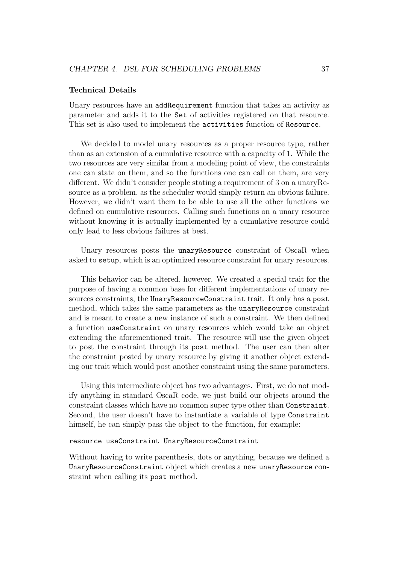#### Technical Details

Unary resources have an addRequirement function that takes an activity as parameter and adds it to the Set of activities registered on that resource. This set is also used to implement the activities function of Resource.

We decided to model unary resources as a proper resource type, rather than as an extension of a cumulative resource with a capacity of 1. While the two resources are very similar from a modeling point of view, the constraints one can state on them, and so the functions one can call on them, are very different. We didn't consider people stating a requirement of 3 on a unaryResource as a problem, as the scheduler would simply return an obvious failure. However, we didn't want them to be able to use all the other functions we defined on cumulative resources. Calling such functions on a unary resource without knowing it is actually implemented by a cumulative resource could only lead to less obvious failures at best.

Unary resources posts the unaryResource constraint of OscaR when asked to setup, which is an optimized resource constraint for unary resources.

This behavior can be altered, however. We created a special trait for the purpose of having a common base for different implementations of unary resources constraints, the UnaryResourceConstraint trait. It only has a post method, which takes the same parameters as the unaryResource constraint and is meant to create a new instance of such a constraint. We then defined a function useConstraint on unary resources which would take an object extending the aforementioned trait. The resource will use the given object to post the constraint through its post method. The user can then alter the constraint posted by unary resource by giving it another object extending our trait which would post another constraint using the same parameters.

Using this intermediate object has two advantages. First, we do not modify anything in standard OscaR code, we just build our objects around the constraint classes which have no common super type other than Constraint. Second, the user doesn't have to instantiate a variable of type Constraint himself, he can simply pass the object to the function, for example:

#### resource useConstraint UnaryResourceConstraint

Without having to write parenthesis, dots or anything, because we defined a UnaryResourceConstraint object which creates a new unaryResource constraint when calling its post method.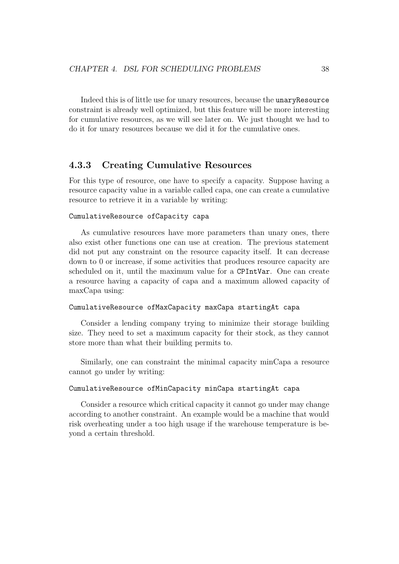Indeed this is of little use for unary resources, because the unaryResource constraint is already well optimized, but this feature will be more interesting for cumulative resources, as we will see later on. We just thought we had to do it for unary resources because we did it for the cumulative ones.

## 4.3.3 Creating Cumulative Resources

For this type of resource, one have to specify a capacity. Suppose having a resource capacity value in a variable called capa, one can create a cumulative resource to retrieve it in a variable by writing:

#### CumulativeResource ofCapacity capa

As cumulative resources have more parameters than unary ones, there also exist other functions one can use at creation. The previous statement did not put any constraint on the resource capacity itself. It can decrease down to 0 or increase, if some activities that produces resource capacity are scheduled on it, until the maximum value for a CPIntVar. One can create a resource having a capacity of capa and a maximum allowed capacity of maxCapa using:

#### CumulativeResource ofMaxCapacity maxCapa startingAt capa

Consider a lending company trying to minimize their storage building size. They need to set a maximum capacity for their stock, as they cannot store more than what their building permits to.

Similarly, one can constraint the minimal capacity minCapa a resource cannot go under by writing:

#### CumulativeResource ofMinCapacity minCapa startingAt capa

Consider a resource which critical capacity it cannot go under may change according to another constraint. An example would be a machine that would risk overheating under a too high usage if the warehouse temperature is beyond a certain threshold.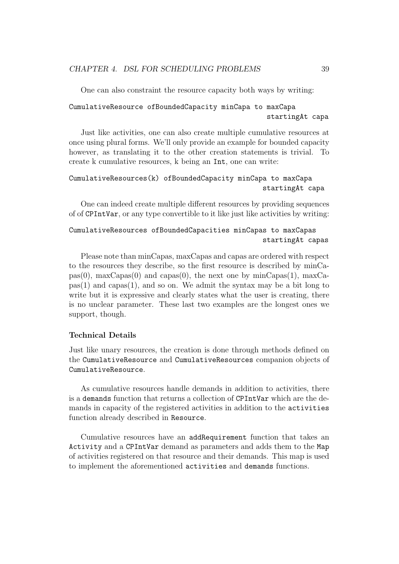One can also constraint the resource capacity both ways by writing:

```
CumulativeResource ofBoundedCapacity minCapa to maxCapa
                                                startingAt capa
```
Just like activities, one can also create multiple cumulative resources at once using plural forms. We'll only provide an example for bounded capacity however, as translating it to the other creation statements is trivial. To create k cumulative resources, k being an Int, one can write:

```
CumulativeResources(k) ofBoundedCapacity minCapa to maxCapa
                                               startingAt capa
```
One can indeed create multiple different resources by providing sequences of of CPIntVar, or any type convertible to it like just like activities by writing:

## CumulativeResources ofBoundedCapacities minCapas to maxCapas startingAt capas

Please note than minCapas, maxCapas and capas are ordered with respect to the resources they describe, so the first resource is described by minCapas(0), maxCapas(0) and capas(0), the next one by minCapas(1), maxCa $pas(1)$  and capas $(1)$ , and so on. We admit the syntax may be a bit long to write but it is expressive and clearly states what the user is creating, there is no unclear parameter. These last two examples are the longest ones we support, though.

#### Technical Details

Just like unary resources, the creation is done through methods defined on the CumulativeResource and CumulativeResources companion objects of CumulativeResource.

As cumulative resources handle demands in addition to activities, there is a demands function that returns a collection of CPIntVar which are the demands in capacity of the registered activities in addition to the activities function already described in Resource.

Cumulative resources have an addRequirement function that takes an Activity and a CPIntVar demand as parameters and adds them to the Map of activities registered on that resource and their demands. This map is used to implement the aforementioned activities and demands functions.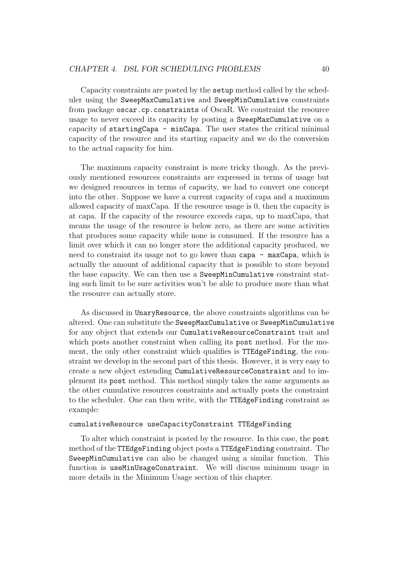Capacity constraints are posted by the setup method called by the scheduler using the SweepMaxCumulative and SweepMinCumulative constraints from package oscar.cp.constraints of OscaR. We constraint the resource usage to never exceed its capacity by posting a SweepMaxCumulative on a capacity of startingCapa - minCapa. The user states the critical minimal capacity of the resource and its starting capacity and we do the conversion to the actual capacity for him.

The maximum capacity constraint is more tricky though. As the previously mentioned resources constraints are expressed in terms of usage but we designed resources in terms of capacity, we had to convert one concept into the other. Suppose we have a current capacity of capa and a maximum allowed capacity of maxCapa. If the resource usage is 0, then the capacity is at capa. If the capacity of the resource exceeds capa, up to maxCapa, that means the usage of the resource is below zero, as there are some activities that produces some capacity while none is consumed. If the resource has a limit over which it can no longer store the additional capacity produced, we need to constraint its usage not to go lower than capa - maxCapa, which is actually the amount of additional capacity that is possible to store beyond the base capacity. We can then use a SweepMinCumulative constraint stating such limit to be sure activities won't be able to produce more than what the resource can actually store.

As discussed in UnaryResource, the above constraints algorithms can be altered. One can substitute the SweepMaxCumulative or SweepMinCumulative for any object that extends our CumulativeResourceConstraint trait and which posts another constraint when calling its post method. For the moment, the only other constraint which qualifies is TTEdgeFinding, the constraint we develop in the second part of this thesis. However, it is very easy to create a new object extending CumulativeResourceConstraint and to implement its post method. This method simply takes the same arguments as the other cumulative resources constraints and actually posts the constraint to the scheduler. One can then write, with the TTEdgeFinding constraint as example:

#### cumulativeResource useCapacityConstraint TTEdgeFinding

To alter which constraint is posted by the resource. In this case, the post method of the TTEdgeFinding object posts a TTEdgeFinding constraint. The SweepMinCumulative can also be changed using a similar function. This function is useMinUsageConstraint. We will discuss minimum usage in more details in the Minimum Usage section of this chapter.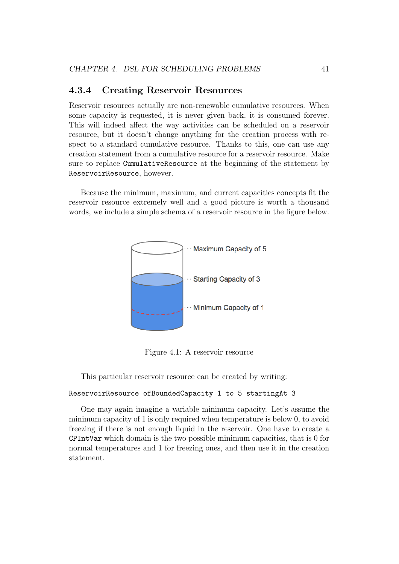## 4.3.4 Creating Reservoir Resources

Reservoir resources actually are non-renewable cumulative resources. When some capacity is requested, it is never given back, it is consumed forever. This will indeed affect the way activities can be scheduled on a reservoir resource, but it doesn't change anything for the creation process with respect to a standard cumulative resource. Thanks to this, one can use any creation statement from a cumulative resource for a reservoir resource. Make sure to replace CumulativeResource at the beginning of the statement by ReservoirResource, however.

Because the minimum, maximum, and current capacities concepts fit the reservoir resource extremely well and a good picture is worth a thousand words, we include a simple schema of a reservoir resource in the figure below.



Figure 4.1: A reservoir resource

This particular reservoir resource can be created by writing:

#### ReservoirResource ofBoundedCapacity 1 to 5 startingAt 3

One may again imagine a variable minimum capacity. Let's assume the minimum capacity of 1 is only required when temperature is below 0, to avoid freezing if there is not enough liquid in the reservoir. One have to create a CPIntVar which domain is the two possible minimum capacities, that is 0 for normal temperatures and 1 for freezing ones, and then use it in the creation statement.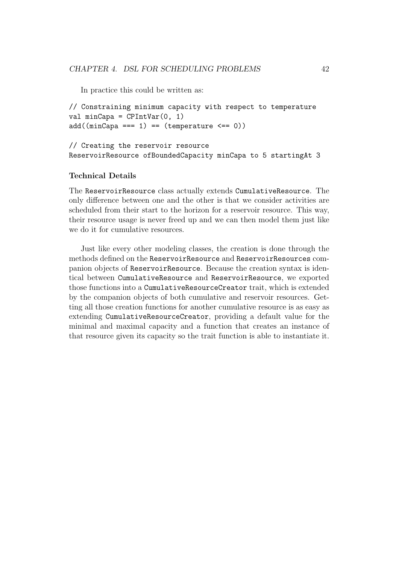In practice this could be written as:

```
// Constraining minimum capacity with respect to temperature
val minCapa = CPIntVar(0, 1)add((minCapa == 1) == (temperature < == 0))
```
### // Creating the reservoir resource ReservoirResource ofBoundedCapacity minCapa to 5 startingAt 3

## Technical Details

The ReservoirResource class actually extends CumulativeResource. The only difference between one and the other is that we consider activities are scheduled from their start to the horizon for a reservoir resource. This way, their resource usage is never freed up and we can then model them just like we do it for cumulative resources.

Just like every other modeling classes, the creation is done through the methods defined on the ReservoirResource and ReservoirResources companion objects of ReservoirResource. Because the creation syntax is identical between CumulativeResource and ReservoirResource, we exported those functions into a CumulativeResourceCreator trait, which is extended by the companion objects of both cumulative and reservoir resources. Getting all those creation functions for another cumulative resource is as easy as extending CumulativeResourceCreator, providing a default value for the minimal and maximal capacity and a function that creates an instance of that resource given its capacity so the trait function is able to instantiate it.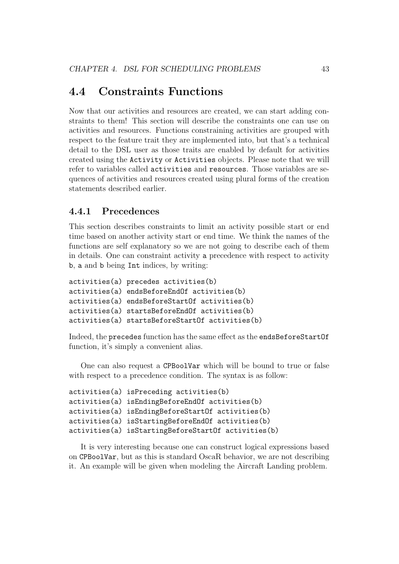## 4.4 Constraints Functions

Now that our activities and resources are created, we can start adding constraints to them! This section will describe the constraints one can use on activities and resources. Functions constraining activities are grouped with respect to the feature trait they are implemented into, but that's a technical detail to the DSL user as those traits are enabled by default for activities created using the Activity or Activities objects. Please note that we will refer to variables called activities and resources. Those variables are sequences of activities and resources created using plural forms of the creation statements described earlier.

## 4.4.1 Precedences

This section describes constraints to limit an activity possible start or end time based on another activity start or end time. We think the names of the functions are self explanatory so we are not going to describe each of them in details. One can constraint activity a precedence with respect to activity b, a and b being Int indices, by writing:

```
activities(a) precedes activities(b)
activities(a) endsBeforeEndOf activities(b)
activities(a) endsBeforeStartOf activities(b)
activities(a) startsBeforeEndOf activities(b)
activities(a) startsBeforeStartOf activities(b)
```
Indeed, the precedes function has the same effect as the endsBeforeStartOf function, it's simply a convenient alias.

One can also request a CPBoolVar which will be bound to true or false with respect to a precedence condition. The syntax is as follow:

```
activities(a) isPreceding activities(b)
activities(a) isEndingBeforeEndOf activities(b)
activities(a) isEndingBeforeStartOf activities(b)
activities(a) isStartingBeforeEndOf activities(b)
activities(a) isStartingBeforeStartOf activities(b)
```
It is very interesting because one can construct logical expressions based on CPBoolVar, but as this is standard OscaR behavior, we are not describing it. An example will be given when modeling the Aircraft Landing problem.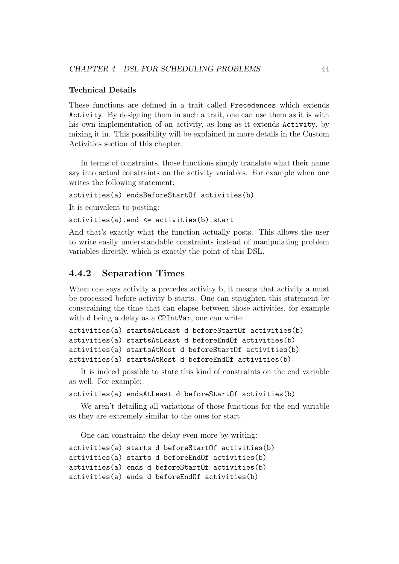#### Technical Details

These functions are defined in a trait called Precedences which extends Activity. By designing them in such a trait, one can use them as it is with his own implementation of an activity, as long as it extends Activity, by mixing it in. This possibility will be explained in more details in the Custom Activities section of this chapter.

In terms of constraints, those functions simply translate what their name say into actual constraints on the activity variables. For example when one writes the following statement:

#### activities(a) endsBeforeStartOf activities(b)

It is equivalent to posting:

#### activities(a).end <= activities(b).start

And that's exactly what the function actually posts. This allows the user to write easily understandable constraints instead of manipulating problem variables directly, which is exactly the point of this DSL.

## 4.4.2 Separation Times

When one says activity a precedes activity b, it means that activity a must be processed before activity b starts. One can straighten this statement by constraining the time that can elapse between those activities, for example with d being a delay as a CPIntVar, one can write:

```
activities(a) startsAtLeast d beforeStartOf activities(b)
activities(a) startsAtLeast d beforeEndOf activities(b)
activities(a) startsAtMost d beforeStartOf activities(b)
activities(a) startsAtMost d beforeEndOf activities(b)
```
It is indeed possible to state this kind of constraints on the end variable as well. For example:

activities(a) endsAtLeast d beforeStartOf activities(b)

We aren't detailing all variations of those functions for the end variable as they are extremely similar to the ones for start.

One can constraint the delay even more by writing:

```
activities(a) starts d beforeStartOf activities(b)
activities(a) starts d beforeEndOf activities(b)
activities(a) ends d beforeStartOf activities(b)
activities(a) ends d beforeEndOf activities(b)
```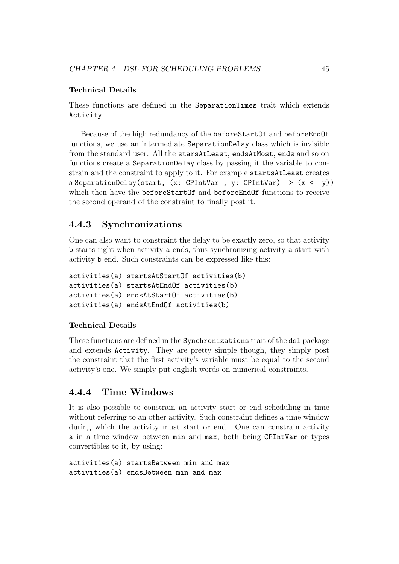### Technical Details

These functions are defined in the SeparationTimes trait which extends Activity.

Because of the high redundancy of the beforeStartOf and beforeEndOf functions, we use an intermediate SeparationDelay class which is invisible from the standard user. All the starsAtLeast, endsAtMost, ends and so on functions create a SeparationDelay class by passing it the variable to constrain and the constraint to apply to it. For example startsAtLeast creates a SeparationDelay(start,  $(x: \text{CPIntVar}, y: \text{CPIntVar}) \Rightarrow (x \leq y))$ which then have the beforeStartOf and beforeEndOf functions to receive the second operand of the constraint to finally post it.

## 4.4.3 Synchronizations

One can also want to constraint the delay to be exactly zero, so that activity b starts right when activity a ends, thus synchronizing activity a start with activity b end. Such constraints can be expressed like this:

```
activities(a) startsAtStartOf activities(b)
activities(a) startsAtEndOf activities(b)
activities(a) endsAtStartOf activities(b)
activities(a) endsAtEndOf activities(b)
```
### Technical Details

These functions are defined in the Synchronizations trait of the dsl package and extends Activity. They are pretty simple though, they simply post the constraint that the first activity's variable must be equal to the second activity's one. We simply put english words on numerical constraints.

## 4.4.4 Time Windows

It is also possible to constrain an activity start or end scheduling in time without referring to an other activity. Such constraint defines a time window during which the activity must start or end. One can constrain activity a in a time window between min and max, both being CPIntVar or types convertibles to it, by using:

activities(a) startsBetween min and max activities(a) endsBetween min and max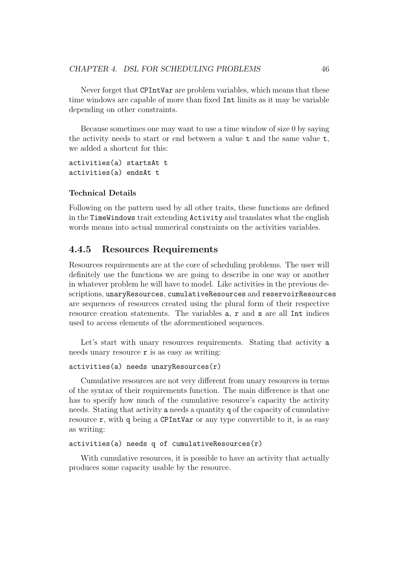Never forget that CPIntVar are problem variables, which means that these time windows are capable of more than fixed Int limits as it may be variable depending on other constraints.

Because sometimes one may want to use a time window of size 0 by saying the activity needs to start or end between a value t and the same value t, we added a shortcut for this:

activities(a) startsAt t activities(a) endsAt t

#### Technical Details

Following on the pattern used by all other traits, these functions are defined in the TimeWindows trait extending Activity and translates what the english words means into actual numerical constraints on the activities variables.

## 4.4.5 Resources Requirements

Resources requirements are at the core of scheduling problems. The user will definitely use the functions we are going to describe in one way or another in whatever problem he will have to model. Like activities in the previous descriptions, unaryResources, cumulativeResources and reservoirResources are sequences of resources created using the plural form of their respective resource creation statements. The variables a, r and s are all Int indices used to access elements of the aforementioned sequences.

Let's start with unary resources requirements. Stating that activity a needs unary resource  $\mathbf r$  is as easy as writing:

```
activities(a) needs unaryResources(r)
```
Cumulative resources are not very different from unary resources in terms of the syntax of their requirements function. The main difference is that one has to specify how much of the cumulative resource's capacity the activity needs. Stating that activity a needs a quantity q of the capacity of cumulative resource  $r$ , with q being a CPIntVar or any type convertible to it, is as easy as writing:

```
activities(a) needs q of cumulativeResources(r)
```
With cumulative resources, it is possible to have an activity that actually produces some capacity usable by the resource.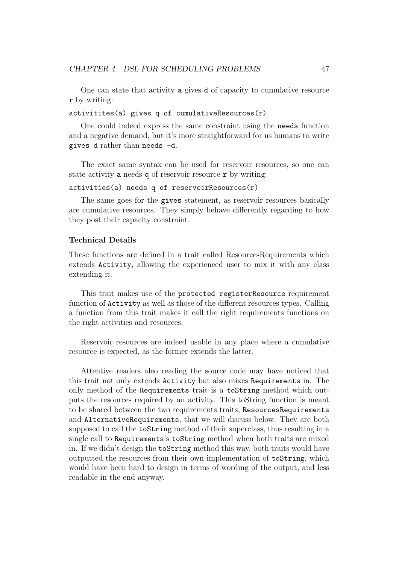One can state that activity a gives d of capacity to cumulative resource r by writing:

 $activities(a)$  gives q of cumulativeResources $(r)$ 

One could indeed express the same constraint using the needs function and a negative demand, but it's more straightforward for us humans to write gives d rather than needs -d.

The exact same syntax can be used for reservoir resources, so one can state activity a needs q of reservoir resource r by writing:

 $activities(a)$  needs q of reservoirResources $(r)$ 

The same goes for the gives statement, as reservoir resources basically are cumulative resources. They simply behave differently regarding to how they post their capacity constraint.

#### Technical Details

These functions are defined in a trait called ResourcesRequirements which extends Activity, allowing the experienced user to mix it with any class extending it.

This trait makes use of the protected registerResource requirement function of Activity as well as those of the different resources types. Calling a function from this trait makes it call the right requirements functions on the right activities and resources.

Reservoir resources are indeed usable in any place where a cumulative resource is expected, as the former extends the latter.

Attentive readers aleo reading the source code may have noticed that this trait not only extends Activity but also mixes Requirements in. The only method of the Requirements trait is a toString method which outputs the resources required by an activity. This toString function is meant to be shared between the two requirements traits, ResourcesRequirements and AlternativeRequirements, that we will discuss below. They are both supposed to call the toString method of their superclass, thus resulting in a single call to Requirements's toString method when both traits are mixed in. If we didn't design the toString method this way, both traits would have outputted the resources from their own implementation of toString, which would have been hard to design in terms of wording of the output, and less readable in the end anyway.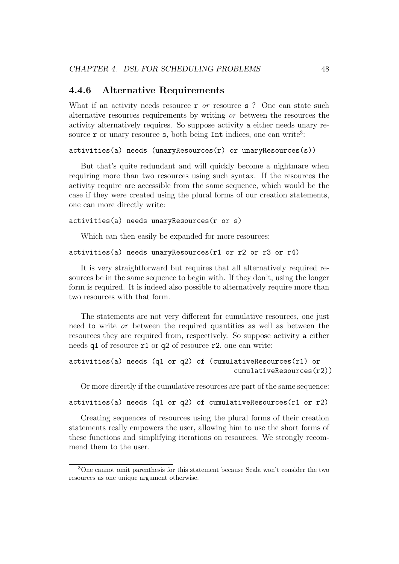### 4.4.6 Alternative Requirements

What if an activity needs resource  $\mathbf r$  or resource  $\mathbf s$ ? One can state such alternative resources requirements by writing or between the resources the activity alternatively requires. So suppose activity a either needs unary resource  $\mathbf r$  or unary resource  $\mathbf s$ , both being Int indices, one can write<sup>3</sup>:

```
activities(a) needs (unaryResources(r) or unaryResources(s))
```
But that's quite redundant and will quickly become a nightmare when requiring more than two resources using such syntax. If the resources the activity require are accessible from the same sequence, which would be the case if they were created using the plural forms of our creation statements, one can more directly write:

```
activities(a) needs unaryResources(r or s)
```
Which can then easily be expanded for more resources:

```
activities(a) needs unaryResources(r1 or r2 or r3 or r4)
```
It is very straightforward but requires that all alternatively required resources be in the same sequence to begin with. If they don't, using the longer form is required. It is indeed also possible to alternatively require more than two resources with that form.

The statements are not very different for cumulative resources, one just need to write or between the required quantities as well as between the resources they are required from, respectively. So suppose activity a either needs q1 of resource r1 or q2 of resource r2, one can write:

```
activities(a) needs (q1 or q2) of (cumulativeResources(r1) or
                                        cumulativeResources(r2))
```
Or more directly if the cumulative resources are part of the same sequence:

```
activities(a) needs (q1 or q2) of cumulativeResources(r1 or r2)
```
Creating sequences of resources using the plural forms of their creation statements really empowers the user, allowing him to use the short forms of these functions and simplifying iterations on resources. We strongly recommend them to the user.

<sup>3</sup>One cannot omit parenthesis for this statement because Scala won't consider the two resources as one unique argument otherwise.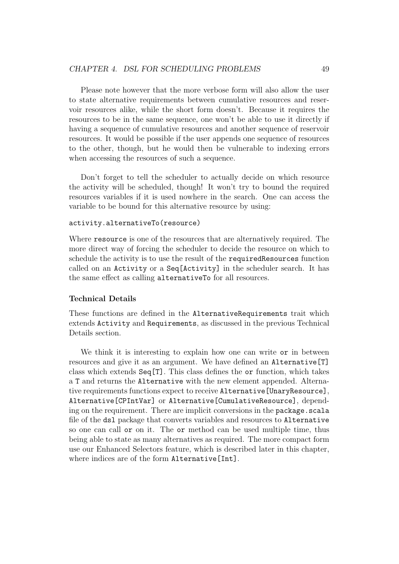Please note however that the more verbose form will also allow the user to state alternative requirements between cumulative resources and reservoir resources alike, while the short form doesn't. Because it requires the resources to be in the same sequence, one won't be able to use it directly if having a sequence of cumulative resources and another sequence of reservoir resources. It would be possible if the user appends one sequence of resources to the other, though, but he would then be vulnerable to indexing errors when accessing the resources of such a sequence.

Don't forget to tell the scheduler to actually decide on which resource the activity will be scheduled, though! It won't try to bound the required resources variables if it is used nowhere in the search. One can access the variable to be bound for this alternative resource by using:

#### activity.alternativeTo(resource)

Where resource is one of the resources that are alternatively required. The more direct way of forcing the scheduler to decide the resource on which to schedule the activity is to use the result of the requiredResources function called on an Activity or a Seq[Activity] in the scheduler search. It has the same effect as calling alternativeTo for all resources.

#### Technical Details

These functions are defined in the AlternativeRequirements trait which extends Activity and Requirements, as discussed in the previous Technical Details section.

We think it is interesting to explain how one can write or in between resources and give it as an argument. We have defined an Alternative[T] class which extends  $\text{Seq}[T]$ . This class defines the or function, which takes a T and returns the Alternative with the new element appended. Alternative requirements functions expect to receive Alternative[UnaryResource], Alternative[CPIntVar] or Alternative[CumulativeResource], depending on the requirement. There are implicit conversions in the package.scala file of the dsl package that converts variables and resources to Alternative so one can call or on it. The or method can be used multiple time, thus being able to state as many alternatives as required. The more compact form use our Enhanced Selectors feature, which is described later in this chapter, where indices are of the form Alternative [Int].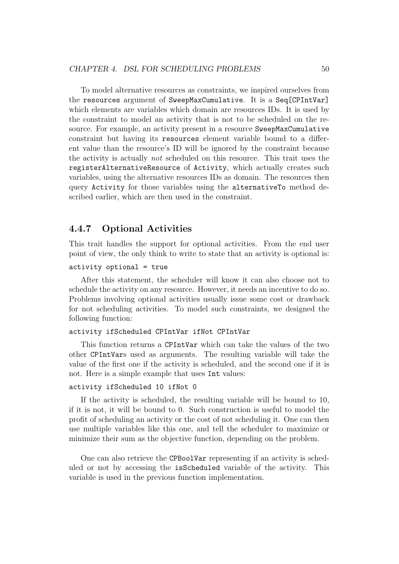To model alternative resources as constraints, we inspired ourselves from the resources argument of SweepMaxCumulative. It is a Seq[CPIntVar] which elements are variables which domain are resources IDs. It is used by the constraint to model an activity that is not to be scheduled on the resource. For example, an activity present in a resource SweepMaxCumulative constraint but having its resources element variable bound to a different value than the resource's ID will be ignored by the constraint because the activity is actually not scheduled on this resource. This trait uses the registerAlternativeResource of Activity, which actually creates such variables, using the alternative resources IDs as domain. The resources then query Activity for those variables using the alternativeTo method described earlier, which are then used in the constraint.

### 4.4.7 Optional Activities

This trait handles the support for optional activities. From the end user point of view, the only think to write to state that an activity is optional is:

#### activity optional = true

After this statement, the scheduler will know it can also choose not to schedule the activity on any resource. However, it needs an incentive to do so. Problems involving optional activities usually issue some cost or drawback for not scheduling activities. To model such constraints, we designed the following function:

#### activity ifScheduled CPIntVar ifNot CPIntVar

This function returns a CPIntVar which can take the values of the two other CPIntVars used as arguments. The resulting variable will take the value of the first one if the activity is scheduled, and the second one if it is not. Here is a simple example that uses Int values:

#### activity ifScheduled 10 ifNot 0

If the activity is scheduled, the resulting variable will be bound to 10, if it is not, it will be bound to 0. Such construction is useful to model the profit of scheduling an activity or the cost of not scheduling it. One can then use multiple variables like this one, and tell the scheduler to maximize or minimize their sum as the objective function, depending on the problem.

One can also retrieve the CPBoolVar representing if an activity is scheduled or not by accessing the isScheduled variable of the activity. This variable is used in the previous function implementation.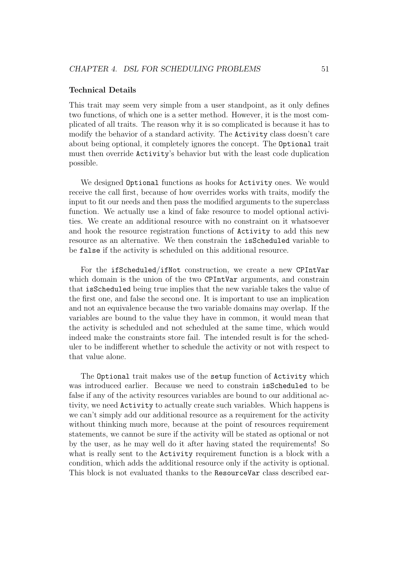#### Technical Details

This trait may seem very simple from a user standpoint, as it only defines two functions, of which one is a setter method. However, it is the most complicated of all traits. The reason why it is so complicated is because it has to modify the behavior of a standard activity. The Activity class doesn't care about being optional, it completely ignores the concept. The Optional trait must then override Activity's behavior but with the least code duplication possible.

We designed Optional functions as hooks for Activity ones. We would receive the call first, because of how overrides works with traits, modify the input to fit our needs and then pass the modified arguments to the superclass function. We actually use a kind of fake resource to model optional activities. We create an additional resource with no constraint on it whatsoever and hook the resource registration functions of Activity to add this new resource as an alternative. We then constrain the isScheduled variable to be false if the activity is scheduled on this additional resource.

For the ifScheduled/ifNot construction, we create a new CPIntVar which domain is the union of the two CPIntVar arguments, and constrain that isScheduled being true implies that the new variable takes the value of the first one, and false the second one. It is important to use an implication and not an equivalence because the two variable domains may overlap. If the variables are bound to the value they have in common, it would mean that the activity is scheduled and not scheduled at the same time, which would indeed make the constraints store fail. The intended result is for the scheduler to be indifferent whether to schedule the activity or not with respect to that value alone.

The Optional trait makes use of the setup function of Activity which was introduced earlier. Because we need to constrain isScheduled to be false if any of the activity resources variables are bound to our additional activity, we need Activity to actually create such variables. Which happens is we can't simply add our additional resource as a requirement for the activity without thinking much more, because at the point of resources requirement statements, we cannot be sure if the activity will be stated as optional or not by the user, as he may well do it after having stated the requirements! So what is really sent to the Activity requirement function is a block with a condition, which adds the additional resource only if the activity is optional. This block is not evaluated thanks to the ResourceVar class described ear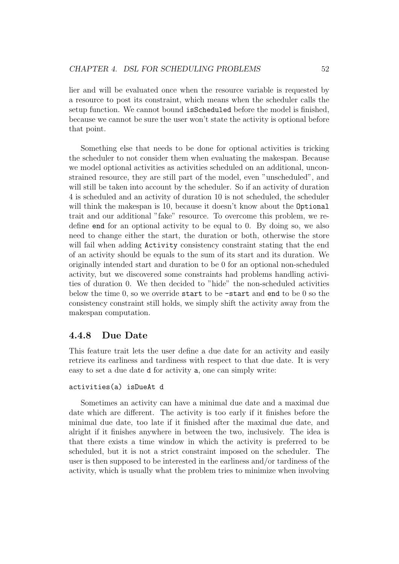lier and will be evaluated once when the resource variable is requested by a resource to post its constraint, which means when the scheduler calls the setup function. We cannot bound isScheduled before the model is finished, because we cannot be sure the user won't state the activity is optional before that point.

Something else that needs to be done for optional activities is tricking the scheduler to not consider them when evaluating the makespan. Because we model optional activities as activities scheduled on an additional, unconstrained resource, they are still part of the model, even "unscheduled", and will still be taken into account by the scheduler. So if an activity of duration 4 is scheduled and an activity of duration 10 is not scheduled, the scheduler will think the makespan is 10, because it doesn't know about the **Optional** trait and our additional "fake" resource. To overcome this problem, we redefine end for an optional activity to be equal to 0. By doing so, we also need to change either the start, the duration or both, otherwise the store will fail when adding Activity consistency constraint stating that the end of an activity should be equals to the sum of its start and its duration. We originally intended start and duration to be 0 for an optional non-scheduled activity, but we discovered some constraints had problems handling activities of duration 0. We then decided to "hide" the non-scheduled activities below the time  $0$ , so we override start to be  $\text{-}$ start and end to be  $0$  so the consistency constraint still holds, we simply shift the activity away from the makespan computation.

## 4.4.8 Due Date

This feature trait lets the user define a due date for an activity and easily retrieve its earliness and tardiness with respect to that due date. It is very easy to set a due date d for activity a, one can simply write:

#### activities(a) isDueAt d

Sometimes an activity can have a minimal due date and a maximal due date which are different. The activity is too early if it finishes before the minimal due date, too late if it finished after the maximal due date, and alright if it finishes anywhere in between the two, inclusively. The idea is that there exists a time window in which the activity is preferred to be scheduled, but it is not a strict constraint imposed on the scheduler. The user is then supposed to be interested in the earliness and/or tardiness of the activity, which is usually what the problem tries to minimize when involving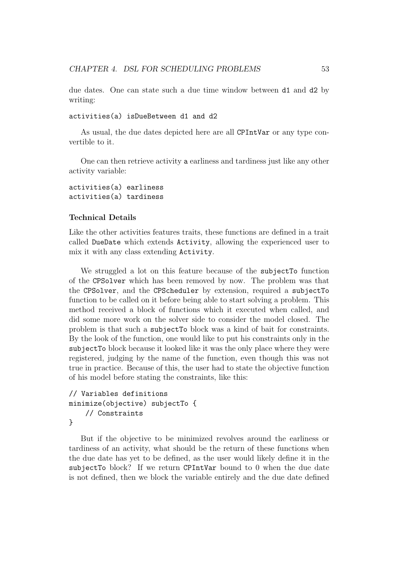due dates. One can state such a due time window between d1 and d2 by writing:

activities(a) isDueBetween d1 and d2

As usual, the due dates depicted here are all CPIntVar or any type convertible to it.

One can then retrieve activity a earliness and tardiness just like any other activity variable:

## activities(a) earliness activities(a) tardiness

#### Technical Details

Like the other activities features traits, these functions are defined in a trait called DueDate which extends Activity, allowing the experienced user to mix it with any class extending Activity.

We struggled a lot on this feature because of the subjectTo function of the CPSolver which has been removed by now. The problem was that the CPSolver, and the CPScheduler by extension, required a subjectTo function to be called on it before being able to start solving a problem. This method received a block of functions which it executed when called, and did some more work on the solver side to consider the model closed. The problem is that such a subjectTo block was a kind of bait for constraints. By the look of the function, one would like to put his constraints only in the subjectTo block because it looked like it was the only place where they were registered, judging by the name of the function, even though this was not true in practice. Because of this, the user had to state the objective function of his model before stating the constraints, like this:

```
// Variables definitions
minimize(objective) subjectTo {
    // Constraints
}
```
But if the objective to be minimized revolves around the earliness or tardiness of an activity, what should be the return of these functions when the due date has yet to be defined, as the user would likely define it in the subjectTo block? If we return CPIntVar bound to 0 when the due date is not defined, then we block the variable entirely and the due date defined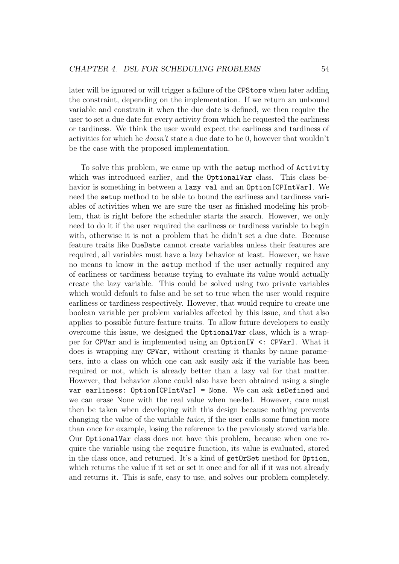later will be ignored or will trigger a failure of the CPStore when later adding the constraint, depending on the implementation. If we return an unbound variable and constrain it when the due date is defined, we then require the user to set a due date for every activity from which he requested the earliness or tardiness. We think the user would expect the earliness and tardiness of activities for which he doesn't state a due date to be 0, however that wouldn't be the case with the proposed implementation.

To solve this problem, we came up with the setup method of Activity which was introduced earlier, and the OptionalVar class. This class behavior is something in between a lazy val and an Option[CPIntVar]. We need the setup method to be able to bound the earliness and tardiness variables of activities when we are sure the user as finished modeling his problem, that is right before the scheduler starts the search. However, we only need to do it if the user required the earliness or tardiness variable to begin with, otherwise it is not a problem that he didn't set a due date. Because feature traits like DueDate cannot create variables unless their features are required, all variables must have a lazy behavior at least. However, we have no means to know in the setup method if the user actually required any of earliness or tardiness because trying to evaluate its value would actually create the lazy variable. This could be solved using two private variables which would default to false and be set to true when the user would require earliness or tardiness respectively. However, that would require to create one boolean variable per problem variables affected by this issue, and that also applies to possible future feature traits. To allow future developers to easily overcome this issue, we designed the OptionalVar class, which is a wrapper for CPVar and is implemented using an Option[V <: CPVar]. What it does is wrapping any CPVar, without creating it thanks by-name parameters, into a class on which one can ask easily ask if the variable has been required or not, which is already better than a lazy val for that matter. However, that behavior alone could also have been obtained using a single var earliness: Option[CPIntVar] = None. We can ask isDefined and we can erase None with the real value when needed. However, care must then be taken when developing with this design because nothing prevents changing the value of the variable twice, if the user calls some function more than once for example, losing the reference to the previously stored variable. Our OptionalVar class does not have this problem, because when one require the variable using the require function, its value is evaluated, stored in the class once, and returned. It's a kind of getOrSet method for Option, which returns the value if it set or set it once and for all if it was not already and returns it. This is safe, easy to use, and solves our problem completely.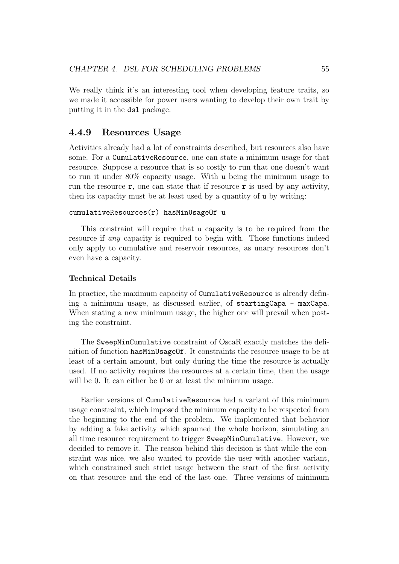We really think it's an interesting tool when developing feature traits, so we made it accessible for power users wanting to develop their own trait by putting it in the dsl package.

## 4.4.9 Resources Usage

Activities already had a lot of constraints described, but resources also have some. For a CumulativeResource, one can state a minimum usage for that resource. Suppose a resource that is so costly to run that one doesn't want to run it under 80% capacity usage. With u being the minimum usage to run the resource  $r$ , one can state that if resource  $r$  is used by any activity, then its capacity must be at least used by a quantity of u by writing:

#### cumulativeResources(r) hasMinUsageOf u

This constraint will require that u capacity is to be required from the resource if any capacity is required to begin with. Those functions indeed only apply to cumulative and reservoir resources, as unary resources don't even have a capacity.

#### Technical Details

In practice, the maximum capacity of CumulativeResource is already defining a minimum usage, as discussed earlier, of startingCapa - maxCapa. When stating a new minimum usage, the higher one will prevail when posting the constraint.

The SweepMinCumulative constraint of OscaR exactly matches the definition of function hasMinUsageOf. It constraints the resource usage to be at least of a certain amount, but only during the time the resource is actually used. If no activity requires the resources at a certain time, then the usage will be 0. It can either be 0 or at least the minimum usage.

Earlier versions of CumulativeResource had a variant of this minimum usage constraint, which imposed the minimum capacity to be respected from the beginning to the end of the problem. We implemented that behavior by adding a fake activity which spanned the whole horizon, simulating an all time resource requirement to trigger SweepMinCumulative. However, we decided to remove it. The reason behind this decision is that while the constraint was nice, we also wanted to provide the user with another variant, which constrained such strict usage between the start of the first activity on that resource and the end of the last one. Three versions of minimum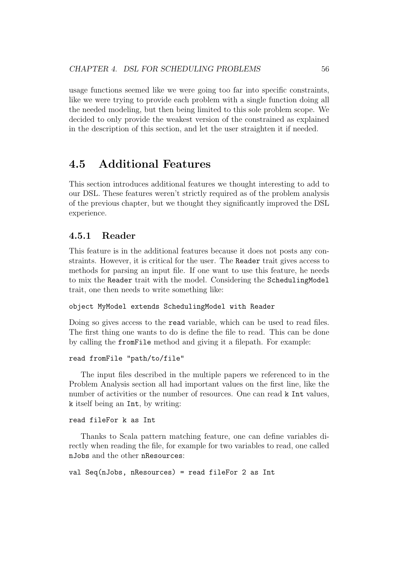usage functions seemed like we were going too far into specific constraints, like we were trying to provide each problem with a single function doing all the needed modeling, but then being limited to this sole problem scope. We decided to only provide the weakest version of the constrained as explained in the description of this section, and let the user straighten it if needed.

## 4.5 Additional Features

This section introduces additional features we thought interesting to add to our DSL. These features weren't strictly required as of the problem analysis of the previous chapter, but we thought they significantly improved the DSL experience.

## 4.5.1 Reader

This feature is in the additional features because it does not posts any constraints. However, it is critical for the user. The Reader trait gives access to methods for parsing an input file. If one want to use this feature, he needs to mix the Reader trait with the model. Considering the SchedulingModel trait, one then needs to write something like:

#### object MyModel extends SchedulingModel with Reader

Doing so gives access to the read variable, which can be used to read files. The first thing one wants to do is define the file to read. This can be done by calling the fromFile method and giving it a filepath. For example:

#### read fromFile "path/to/file"

The input files described in the multiple papers we referenced to in the Problem Analysis section all had important values on the first line, like the number of activities or the number of resources. One can read **k** Int values, k itself being an Int, by writing:

#### read fileFor k as Int

Thanks to Scala pattern matching feature, one can define variables directly when reading the file, for example for two variables to read, one called nJobs and the other nResources:

```
val Seq(nJobs, nResources) = read fileFor 2 as Int
```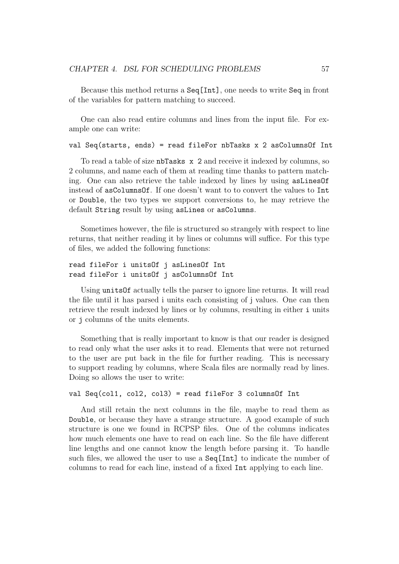Because this method returns a Seq[Int], one needs to write Seq in front of the variables for pattern matching to succeed.

One can also read entire columns and lines from the input file. For example one can write:

#### val Seq(starts, ends) = read fileFor nbTasks x 2 asColumnsOf Int

To read a table of size nbTasks x 2 and receive it indexed by columns, so 2 columns, and name each of them at reading time thanks to pattern matching. One can also retrieve the table indexed by lines by using asLinesOf instead of asColumnsOf. If one doesn't want to to convert the values to Int or Double, the two types we support conversions to, he may retrieve the default String result by using asLines or asColumns.

Sometimes however, the file is structured so strangely with respect to line returns, that neither reading it by lines or columns will suffice. For this type of files, we added the following functions:

```
read fileFor i unitsOf j asLinesOf Int
read fileFor i unitsOf j asColumnsOf Int
```
Using unitsOf actually tells the parser to ignore line returns. It will read the file until it has parsed i units each consisting of j values. One can then retrieve the result indexed by lines or by columns, resulting in either i units or j columns of the units elements.

Something that is really important to know is that our reader is designed to read only what the user asks it to read. Elements that were not returned to the user are put back in the file for further reading. This is necessary to support reading by columns, where Scala files are normally read by lines. Doing so allows the user to write:

```
val Seq(col1, col2, col3) = read fileFor 3 columnsOf Int
```
And still retain the next columns in the file, maybe to read them as Double, or because they have a strange structure. A good example of such structure is one we found in RCPSP files. One of the columns indicates how much elements one have to read on each line. So the file have different line lengths and one cannot know the length before parsing it. To handle such files, we allowed the user to use a Seq[Int] to indicate the number of columns to read for each line, instead of a fixed Int applying to each line.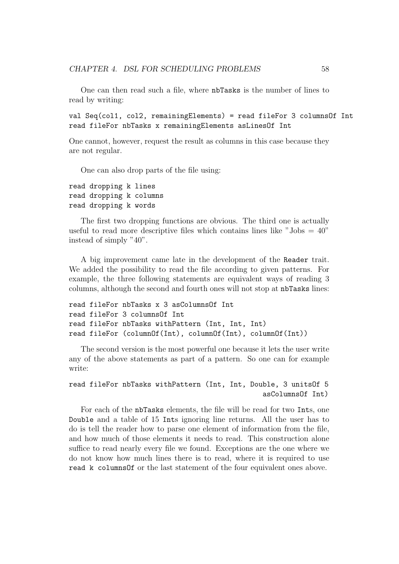One can then read such a file, where nbTasks is the number of lines to read by writing:

val Seq(col1, col2, remainingElements) = read fileFor 3 columnsOf Int read fileFor nbTasks x remainingElements asLinesOf Int

One cannot, however, request the result as columns in this case because they are not regular.

One can also drop parts of the file using:

read dropping k lines read dropping k columns read dropping k words

The first two dropping functions are obvious. The third one is actually useful to read more descriptive files which contains lines like "Jobs  $= 40$ " instead of simply "40".

A big improvement came late in the development of the Reader trait. We added the possibility to read the file according to given patterns. For example, the three following statements are equivalent ways of reading 3 columns, although the second and fourth ones will not stop at nbTasks lines:

```
read fileFor nbTasks x 3 asColumnsOf Int
read fileFor 3 columnsOf Int
read fileFor nbTasks withPattern (Int, Int, Int)
read fileFor (columnOf(Int), columnOf(Int), columnOf(Int))
```
The second version is the most powerful one because it lets the user write any of the above statements as part of a pattern. So one can for example write:

```
read fileFor nbTasks withPattern (Int, Int, Double, 3 unitsOf 5
                                               asColumnsOf Int)
```
For each of the nbTasks elements, the file will be read for two Ints, one Double and a table of 15 Ints ignoring line returns. All the user has to do is tell the reader how to parse one element of information from the file, and how much of those elements it needs to read. This construction alone suffice to read nearly every file we found. Exceptions are the one where we do not know how much lines there is to read, where it is required to use read k columnsOf or the last statement of the four equivalent ones above.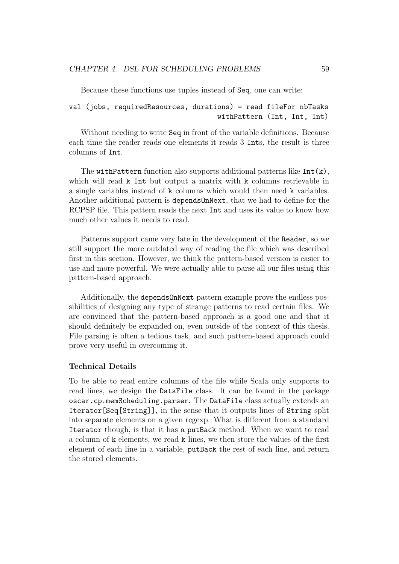Because these functions use tuples instead of Seq, one can write:

## val (jobs, requiredResources, durations) = read fileFor nbTasks withPattern (Int, Int, Int)

Without needing to write Seq in front of the variable definitions. Because each time the reader reads one elements it reads 3 Ints, the result is three columns of Int.

The withPattern function also supports additional patterns like Int(k), which will read k Int but output a matrix with k columns retrievable in a single variables instead of k columns which would then need k variables. Another additional pattern is dependsOnNext, that we had to define for the RCPSP file. This pattern reads the next Int and uses its value to know how much other values it needs to read.

Patterns support came very late in the development of the Reader, so we still support the more outdated way of reading the file which was described first in this section. However, we think the pattern-based version is easier to use and more powerful. We were actually able to parse all our files using this pattern-based approach.

Additionally, the dependsOnNext pattern example prove the endless possibilities of designing any type of strange patterns to read certain files. We are convinced that the pattern-based approach is a good one and that it should definitely be expanded on, even outside of the context of this thesis. File parsing is often a tedious task, and such pattern-based approach could prove very useful in overcoming it.

#### Technical Details

To be able to read entire columns of the file while Scala only supports to read lines, we design the DataFile class. It can be found in the package oscar.cp.memScheduling.parser. The DataFile class actually extends an Iterator[Seq[String]], in the sense that it outputs lines of String split into separate elements on a given regexp. What is different from a standard Iterator though, is that it has a putBack method. When we want to read a column of k elements, we read k lines, we then store the values of the first element of each line in a variable, putBack the rest of each line, and return the stored elements.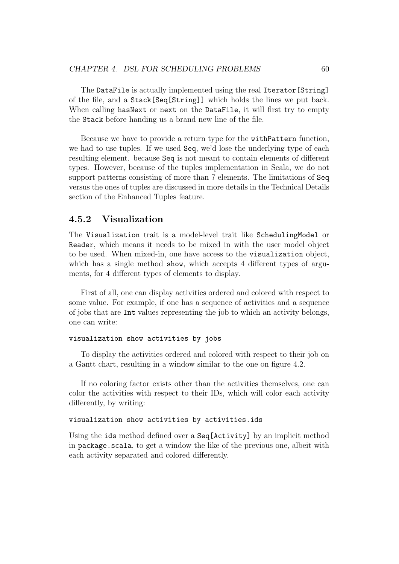The DataFile is actually implemented using the real Iterator[String] of the file, and a Stack[Seq[String]] which holds the lines we put back. When calling hasNext or next on the DataFile, it will first try to empty the Stack before handing us a brand new line of the file.

Because we have to provide a return type for the withPattern function, we had to use tuples. If we used Seq, we'd lose the underlying type of each resulting element. because Seq is not meant to contain elements of different types. However, because of the tuples implementation in Scala, we do not support patterns consisting of more than 7 elements. The limitations of Seq versus the ones of tuples are discussed in more details in the Technical Details section of the Enhanced Tuples feature.

# 4.5.2 Visualization

The Visualization trait is a model-level trait like SchedulingModel or Reader, which means it needs to be mixed in with the user model object to be used. When mixed-in, one have access to the visualization object, which has a single method **show**, which accepts 4 different types of arguments, for 4 different types of elements to display.

First of all, one can display activities ordered and colored with respect to some value. For example, if one has a sequence of activities and a sequence of jobs that are Int values representing the job to which an activity belongs, one can write:

```
visualization show activities by jobs
```
To display the activities ordered and colored with respect to their job on a Gantt chart, resulting in a window similar to the one on figure 4.2.

If no coloring factor exists other than the activities themselves, one can color the activities with respect to their IDs, which will color each activity differently, by writing:

visualization show activities by activities.ids

Using the ids method defined over a Seq[Activity] by an implicit method in package.scala, to get a window the like of the previous one, albeit with each activity separated and colored differently.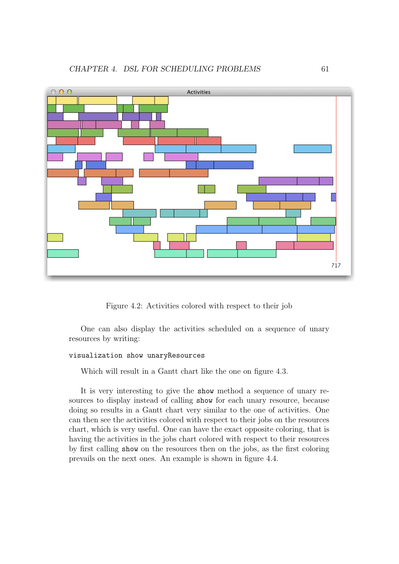

Figure 4.2: Activities colored with respect to their job

One can also display the activities scheduled on a sequence of unary resources by writing:

# visualization show unaryResources

Which will result in a Gantt chart like the one on figure 4.3.

It is very interesting to give the show method a sequence of unary resources to display instead of calling show for each unary resource, because doing so results in a Gantt chart very similar to the one of activities. One can then see the activities colored with respect to their jobs on the resources chart, which is very useful. One can have the exact opposite coloring, that is having the activities in the jobs chart colored with respect to their resources by first calling show on the resources then on the jobs, as the first coloring prevails on the next ones. An example is shown in figure 4.4.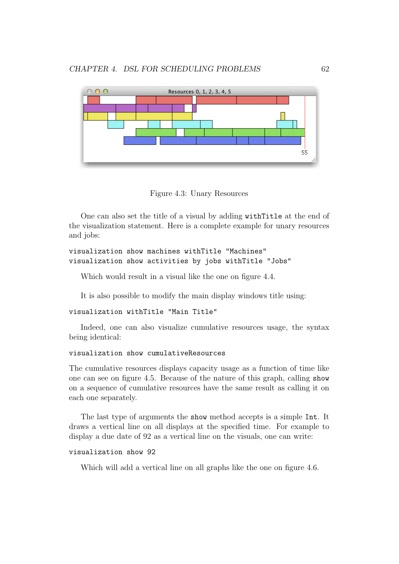

Figure 4.3: Unary Resources

One can also set the title of a visual by adding withTitle at the end of the visualization statement. Here is a complete example for unary resources and jobs:

```
visualization show machines withTitle "Machines"
visualization show activities by jobs withTitle "Jobs"
```
Which would result in a visual like the one on figure 4.4.

It is also possible to modify the main display windows title using:

#### visualization withTitle "Main Title"

Indeed, one can also visualize cumulative resources usage, the syntax being identical:

# visualization show cumulativeResources

The cumulative resources displays capacity usage as a function of time like one can see on figure 4.5. Because of the nature of this graph, calling show on a sequence of cumulative resources have the same result as calling it on each one separately.

The last type of arguments the show method accepts is a simple Int. It draws a vertical line on all displays at the specified time. For example to display a due date of 92 as a vertical line on the visuals, one can write:

# visualization show 92

Which will add a vertical line on all graphs like the one on figure 4.6.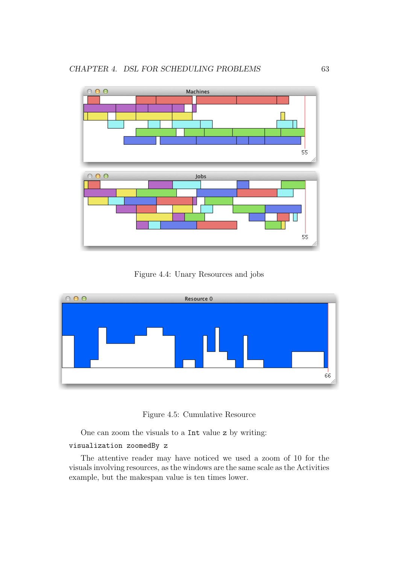

Figure 4.4: Unary Resources and jobs



Figure 4.5: Cumulative Resource

One can zoom the visuals to a Int value z by writing:

# visualization zoomedBy z

The attentive reader may have noticed we used a zoom of 10 for the visuals involving resources, as the windows are the same scale as the Activities example, but the makespan value is ten times lower.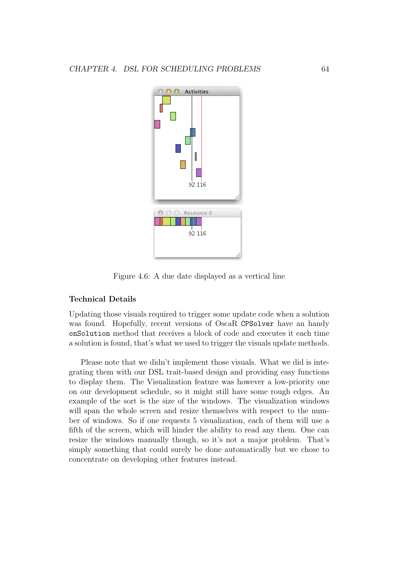

Figure 4.6: A due date displayed as a vertical line

## Technical Details

Updating those visuals required to trigger some update code when a solution was found. Hopefully, recent versions of OscaR CPSolver have an handy onSolution method that receives a block of code and executes it each time a solution is found, that's what we used to trigger the visuals update methods.

Please note that we didn't implement those visuals. What we did is integrating them with our DSL trait-based design and providing easy functions to display them. The Visualization feature was however a low-priority one on our development schedule, so it might still have some rough edges. An example of the sort is the size of the windows. The visualization windows will span the whole screen and resize themselves with respect to the number of windows. So if one requests 5 visualization, each of them will use a fifth of the screen, which will hinder the ability to read any them. One can resize the windows manually though, so it's not a major problem. That's simply something that could surely be done automatically but we chose to concentrate on developing other features instead.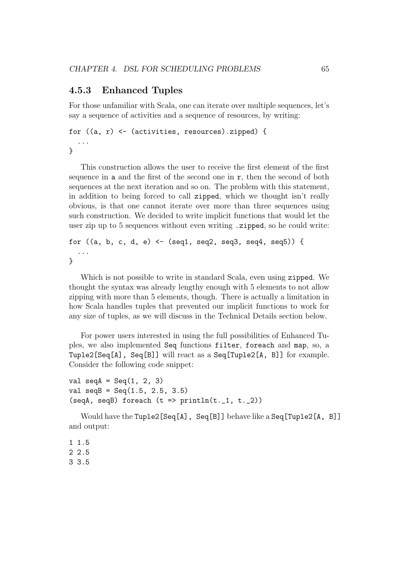# 4.5.3 Enhanced Tuples

For those unfamiliar with Scala, one can iterate over multiple sequences, let's say a sequence of activities and a sequence of resources, by writing:

```
for ((a, r) \leftarrow (activities, resources).zipped) {
  ...
}
```
This construction allows the user to receive the first element of the first sequence in a and the first of the second one in r, then the second of both sequences at the next iteration and so on. The problem with this statement, in addition to being forced to call zipped, which we thought isn't really obvious, is that one cannot iterate over more than three sequences using such construction. We decided to write implicit functions that would let the user zip up to 5 sequences without even writing .zipped, so he could write:

```
for ((a, b, c, d, e) <- (sq1, seq2, seq3, seq4, seq5)) {
  ...
}
```
Which is not possible to write in standard Scala, even using zipped. We thought the syntax was already lengthy enough with 5 elements to not allow zipping with more than 5 elements, though. There is actually a limitation in how Scala handles tuples that prevented our implicit functions to work for any size of tuples, as we will discuss in the Technical Details section below.

For power users interested in using the full possibilities of Enhanced Tuples, we also implemented Seq functions filter, foreach and map, so, a Tuple2[Seq[A], Seq[B]] will react as a Seq[Tuple2[A, B]] for example. Consider the following code snippet:

```
val seqA = \text{Seq}(1, 2, 3)val seqB = \text{Seq}(1.5, 2.5, 3.5)(seqA, seqB) foreach (t \Rightarrow \text{println}(t, 1, t, 2))
```
Would have the Tuple2[Seq[A], Seq[B]] behave like a Seq[Tuple2[A, B]] and output:

1 1.5 2 2.5 3 3.5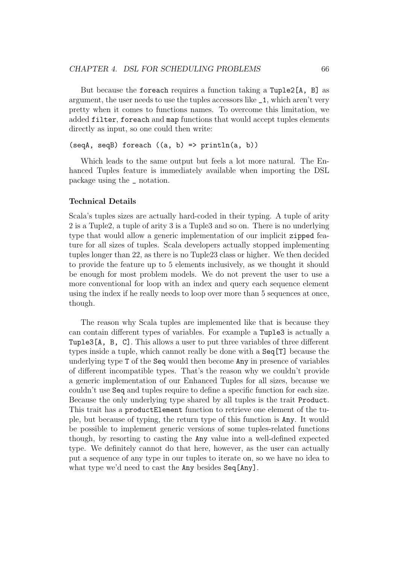But because the foreach requires a function taking a Tuple2[A, B] as argument, the user needs to use the tuples accessors like \_1, which aren't very pretty when it comes to functions names. To overcome this limitation, we added filter, foreach and map functions that would accept tuples elements directly as input, so one could then write:

```
(seqA, seqB) foreach ((a, b) \Rightarrow printIn(a, b))
```
Which leads to the same output but feels a lot more natural. The Enhanced Tuples feature is immediately available when importing the DSL package using the \_ notation.

### Technical Details

Scala's tuples sizes are actually hard-coded in their typing. A tuple of arity 2 is a Tuple2, a tuple of arity 3 is a Tuple3 and so on. There is no underlying type that would allow a generic implementation of our implicit zipped feature for all sizes of tuples. Scala developers actually stopped implementing tuples longer than 22, as there is no Tuple23 class or higher. We then decided to provide the feature up to 5 elements inclusively, as we thought it should be enough for most problem models. We do not prevent the user to use a more conventional for loop with an index and query each sequence element using the index if he really needs to loop over more than 5 sequences at once, though.

The reason why Scala tuples are implemented like that is because they can contain different types of variables. For example a Tuple3 is actually a Tuple3[A, B, C]. This allows a user to put three variables of three different types inside a tuple, which cannot really be done with a Seq[T] because the underlying type T of the Seq would then become Any in presence of variables of different incompatible types. That's the reason why we couldn't provide a generic implementation of our Enhanced Tuples for all sizes, because we couldn't use Seq and tuples require to define a specific function for each size. Because the only underlying type shared by all tuples is the trait Product. This trait has a productElement function to retrieve one element of the tuple, but because of typing, the return type of this function is Any. It would be possible to implement generic versions of some tuples-related functions though, by resorting to casting the Any value into a well-defined expected type. We definitely cannot do that here, however, as the user can actually put a sequence of any type in our tuples to iterate on, so we have no idea to what type we'd need to cast the **Any** besides  $Seq[Any]$ .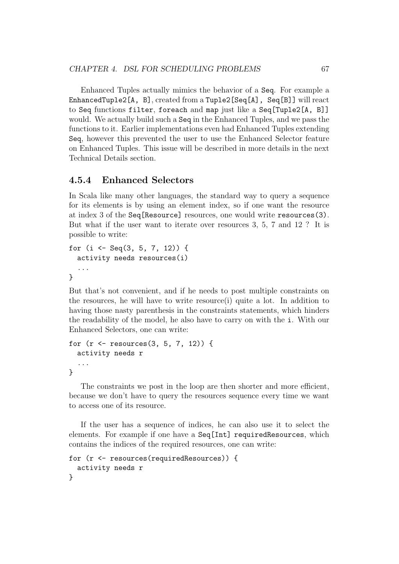Enhanced Tuples actually mimics the behavior of a Seq. For example a EnhancedTuple2[A, B], created from a Tuple2[Seq[A], Seq[B]] will react to Seq functions filter, foreach and map just like a Seq[Tuple2[A, B]] would. We actually build such a Seq in the Enhanced Tuples, and we pass the functions to it. Earlier implementations even had Enhanced Tuples extending Seq, however this prevented the user to use the Enhanced Selector feature on Enhanced Tuples. This issue will be described in more details in the next Technical Details section.

# 4.5.4 Enhanced Selectors

In Scala like many other languages, the standard way to query a sequence for its elements is by using an element index, so if one want the resource at index 3 of the Seq[Resource] resources, one would write resources(3). But what if the user want to iterate over resources 3, 5, 7 and 12 ? It is possible to write:

```
for (i <- Seq(3, 5, 7, 12)) {
  activity needs resources(i)
  ...
}
```
But that's not convenient, and if he needs to post multiple constraints on the resources, he will have to write resource(i) quite a lot. In addition to having those nasty parenthesis in the constraints statements, which hinders the readability of the model, he also have to carry on with the i. With our Enhanced Selectors, one can write:

```
for (r \le r \le 3, 5, 7, 12) {
 activity needs r
  ...
}
```
The constraints we post in the loop are then shorter and more efficient, because we don't have to query the resources sequence every time we want to access one of its resource.

If the user has a sequence of indices, he can also use it to select the elements. For example if one have a Seq[Int] requiredResources, which contains the indices of the required resources, one can write:

```
for (r <- resources(requiredResources)) {
  activity needs r
}
```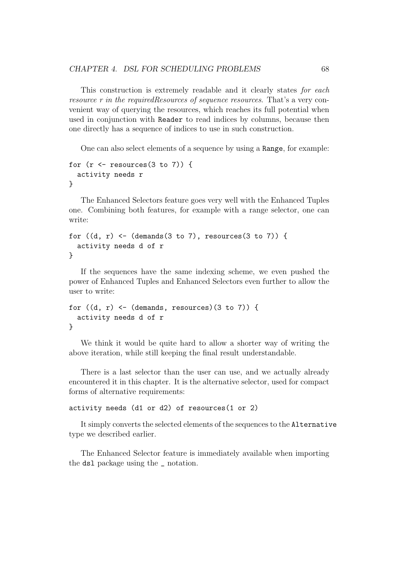This construction is extremely readable and it clearly states for each resource r in the requiredResources of sequence resources. That's a very convenient way of querying the resources, which reaches its full potential when used in conjunction with Reader to read indices by columns, because then one directly has a sequence of indices to use in such construction.

One can also select elements of a sequence by using a Range, for example:

```
for (r \leftarrow resources(3 \text{ to } 7)) {
  activity needs r
}
```
The Enhanced Selectors feature goes very well with the Enhanced Tuples one. Combining both features, for example with a range selector, one can write:

```
for ((d, r) \leftarrow (d) (demands (3 \text{ to } 7), resources (3 \text{ to } 7)) {
   activity needs d of r
}
```
If the sequences have the same indexing scheme, we even pushed the power of Enhanced Tuples and Enhanced Selectors even further to allow the user to write:

```
for ((d, r) \leftarrow (d{emands}, resources)(3 \text{ to } 7)) {
  activity needs d of r
}
```
We think it would be quite hard to allow a shorter way of writing the above iteration, while still keeping the final result understandable.

There is a last selector than the user can use, and we actually already encountered it in this chapter. It is the alternative selector, used for compact forms of alternative requirements:

#### activity needs (d1 or d2) of resources(1 or 2)

It simply converts the selected elements of the sequences to the Alternative type we described earlier.

The Enhanced Selector feature is immediately available when importing the dsl package using the \_ notation.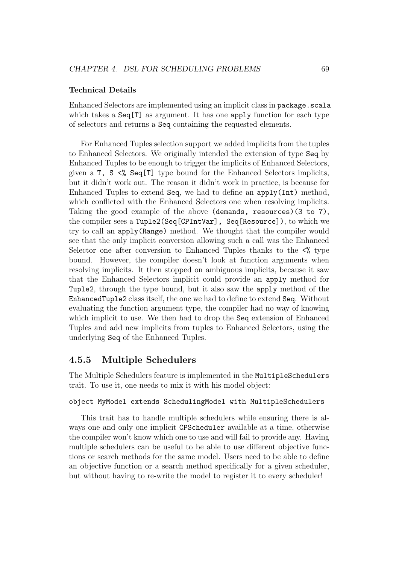## Technical Details

Enhanced Selectors are implemented using an implicit class in package.scala which takes a  $Seq[T]$  as argument. It has one apply function for each type of selectors and returns a Seq containing the requested elements.

For Enhanced Tuples selection support we added implicits from the tuples to Enhanced Selectors. We originally intended the extension of type Seq by Enhanced Tuples to be enough to trigger the implicits of Enhanced Selectors, given a  $T$ ,  $S \leq \mathcal{E}$  Seq[T] type bound for the Enhanced Selectors implicits, but it didn't work out. The reason it didn't work in practice, is because for Enhanced Tuples to extend Seq, we had to define an apply(Int) method, which conflicted with the Enhanced Selectors one when resolving implicits. Taking the good example of the above (demands, resources)(3 to 7), the compiler sees a Tuple2(Seq[CPIntVar], Seq[Resource]), to which we try to call an apply(Range) method. We thought that the compiler would see that the only implicit conversion allowing such a call was the Enhanced Selector one after conversion to Enhanced Tuples thanks to the  $\langle\%$  type bound. However, the compiler doesn't look at function arguments when resolving implicits. It then stopped on ambiguous implicits, because it saw that the Enhanced Selectors implicit could provide an apply method for Tuple2, through the type bound, but it also saw the apply method of the EnhancedTuple2 class itself, the one we had to define to extend Seq. Without evaluating the function argument type, the compiler had no way of knowing which implicit to use. We then had to drop the Seq extension of Enhanced Tuples and add new implicits from tuples to Enhanced Selectors, using the underlying Seq of the Enhanced Tuples.

# 4.5.5 Multiple Schedulers

The Multiple Schedulers feature is implemented in the MultipleSchedulers trait. To use it, one needs to mix it with his model object:

# object MyModel extends SchedulingModel with MultipleSchedulers

This trait has to handle multiple schedulers while ensuring there is always one and only one implicit CPScheduler available at a time, otherwise the compiler won't know which one to use and will fail to provide any. Having multiple schedulers can be useful to be able to use different objective functions or search methods for the same model. Users need to be able to define an objective function or a search method specifically for a given scheduler, but without having to re-write the model to register it to every scheduler!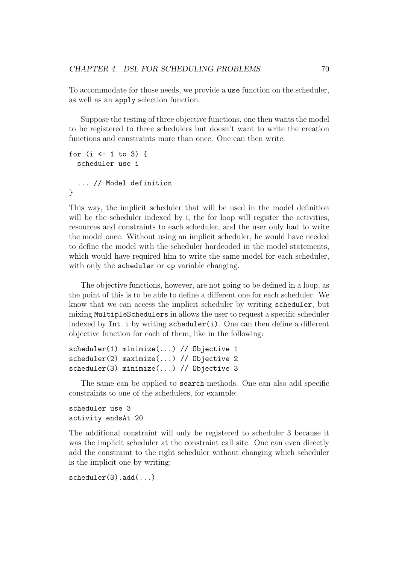To accommodate for those needs, we provide a use function on the scheduler, as well as an apply selection function.

Suppose the testing of three objective functions, one then wants the model to be registered to three schedulers but doesn't want to write the creation functions and constraints more than once. One can then write:

```
for (i \leq 1 to 3) {
  scheduler use i
  ... // Model definition
}
```
This way, the implicit scheduler that will be used in the model definition will be the scheduler indexed by i, the for loop will register the activities, resources and constraints to each scheduler, and the user only had to write the model once. Without using an implicit scheduler, he would have needed to define the model with the scheduler hardcoded in the model statements, which would have required him to write the same model for each scheduler, with only the scheduler or cp variable changing.

The objective functions, however, are not going to be defined in a loop, as the point of this is to be able to define a different one for each scheduler. We know that we can access the implicit scheduler by writing scheduler, but mixing MultipleSchedulers in allows the user to request a specific scheduler indexed by Int i by writing  $\mathsf{scheduler}(i)$ . One can then define a different objective function for each of them, like in the following:

```
scheduler(1) minimize(...) // Objective 1
scheduler(2) maximize(...) // Objective 2
scheduler(3) minimize(...) // Objective 3
```
The same can be applied to search methods. One can also add specific constraints to one of the schedulers, for example:

scheduler use 3 activity endsAt 20

The additional constraint will only be registered to scheduler 3 because it was the implicit scheduler at the constraint call site. One can even directly add the constraint to the right scheduler without changing which scheduler is the implicit one by writing:

scheduler(3).add(...)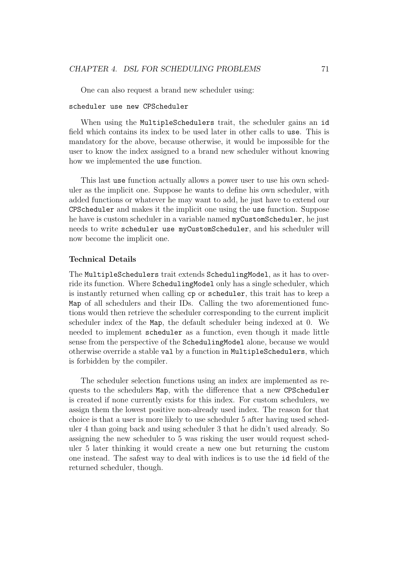One can also request a brand new scheduler using:

#### scheduler use new CPScheduler

When using the MultipleSchedulers trait, the scheduler gains an id field which contains its index to be used later in other calls to use. This is mandatory for the above, because otherwise, it would be impossible for the user to know the index assigned to a brand new scheduler without knowing how we implemented the use function.

This last use function actually allows a power user to use his own scheduler as the implicit one. Suppose he wants to define his own scheduler, with added functions or whatever he may want to add, he just have to extend our CPScheduler and makes it the implicit one using the use function. Suppose he have is custom scheduler in a variable named myCustomScheduler, he just needs to write scheduler use myCustomScheduler, and his scheduler will now become the implicit one.

#### Technical Details

The MultipleSchedulers trait extends SchedulingModel, as it has to override its function. Where SchedulingModel only has a single scheduler, which is instantly returned when calling cp or scheduler, this trait has to keep a Map of all schedulers and their IDs. Calling the two aforementioned functions would then retrieve the scheduler corresponding to the current implicit scheduler index of the Map, the default scheduler being indexed at 0. We needed to implement scheduler as a function, even though it made little sense from the perspective of the SchedulingModel alone, because we would otherwise override a stable val by a function in MultipleSchedulers, which is forbidden by the compiler.

The scheduler selection functions using an index are implemented as requests to the schedulers Map, with the difference that a new CPScheduler is created if none currently exists for this index. For custom schedulers, we assign them the lowest positive non-already used index. The reason for that choice is that a user is more likely to use scheduler 5 after having used scheduler 4 than going back and using scheduler 3 that he didn't used already. So assigning the new scheduler to 5 was risking the user would request scheduler 5 later thinking it would create a new one but returning the custom one instead. The safest way to deal with indices is to use the id field of the returned scheduler, though.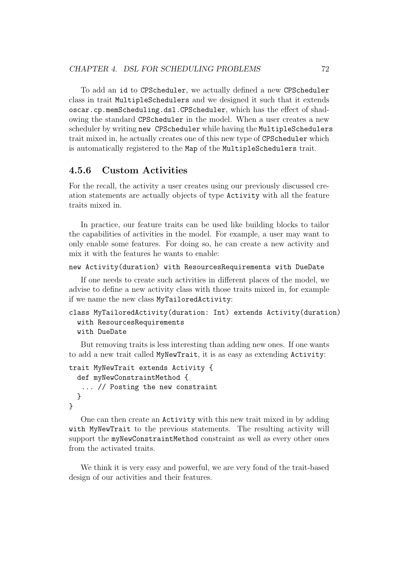To add an id to CPScheduler, we actually defined a new CPScheduler class in trait MultipleSchedulers and we designed it such that it extends oscar.cp.memScheduling.dsl.CPScheduler, which has the effect of shadowing the standard CPScheduler in the model. When a user creates a new scheduler by writing new CPScheduler while having the MultipleSchedulers trait mixed in, he actually creates one of this new type of CPScheduler which is automatically registered to the Map of the MultipleSchedulers trait.

# 4.5.6 Custom Activities

For the recall, the activity a user creates using our previously discussed creation statements are actually objects of type Activity with all the feature traits mixed in.

In practice, our feature traits can be used like building blocks to tailor the capabilities of activities in the model. For example, a user may want to only enable some features. For doing so, he can create a new activity and mix it with the features he wants to enable:

```
new Activity(duration) with ResourcesRequirements with DueDate
```
If one needs to create such activities in different places of the model, we advise to define a new activity class with those traits mixed in, for example if we name the new class MyTailoredActivity:

```
class MyTailoredActivity(duration: Int) extends Activity(duration)
 with ResourcesRequirements
 with DueDate
```
But removing traits is less interesting than adding new ones. If one wants to add a new trait called MyNewTrait, it is as easy as extending Activity:

```
trait MyNewTrait extends Activity {
  def myNewConstraintMethod {
   ... // Posting the new constraint
  }
}
```
One can then create an Activity with this new trait mixed in by adding with MyNewTrait to the previous statements. The resulting activity will support the myNewConstraintMethod constraint as well as every other ones from the activated traits.

We think it is very easy and powerful, we are very fond of the trait-based design of our activities and their features.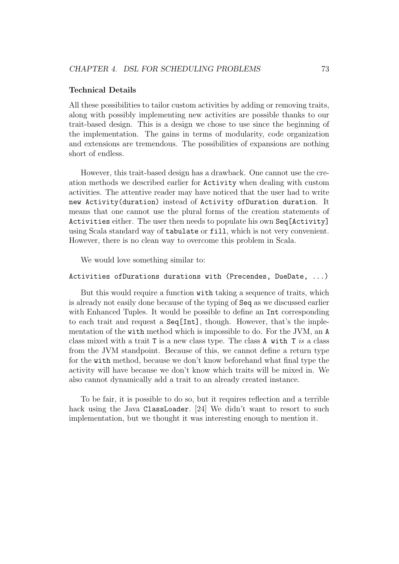#### Technical Details

All these possibilities to tailor custom activities by adding or removing traits, along with possibly implementing new activities are possible thanks to our trait-based design. This is a design we chose to use since the beginning of the implementation. The gains in terms of modularity, code organization and extensions are tremendous. The possibilities of expansions are nothing short of endless.

However, this trait-based design has a drawback. One cannot use the creation methods we described earlier for Activity when dealing with custom activities. The attentive reader may have noticed that the user had to write new Activity(duration) instead of Activity ofDuration duration. It means that one cannot use the plural forms of the creation statements of Activities either. The user then needs to populate his own Seq[Activity] using Scala standard way of tabulate or fill, which is not very convenient. However, there is no clean way to overcome this problem in Scala.

We would love something similar to:

#### Activities ofDurations durations with (Precendes, DueDate, ...)

But this would require a function with taking a sequence of traits, which is already not easily done because of the typing of Seq as we discussed earlier with Enhanced Tuples. It would be possible to define an Int corresponding to each trait and request a Seq[Int], though. However, that's the implementation of the with method which is impossible to do. For the JVM, an A class mixed with a trait T is a new class type. The class A with T is a class from the JVM standpoint. Because of this, we cannot define a return type for the with method, because we don't know beforehand what final type the activity will have because we don't know which traits will be mixed in. We also cannot dynamically add a trait to an already created instance.

To be fair, it is possible to do so, but it requires reflection and a terrible hack using the Java ClassLoader. [24] We didn't want to resort to such implementation, but we thought it was interesting enough to mention it.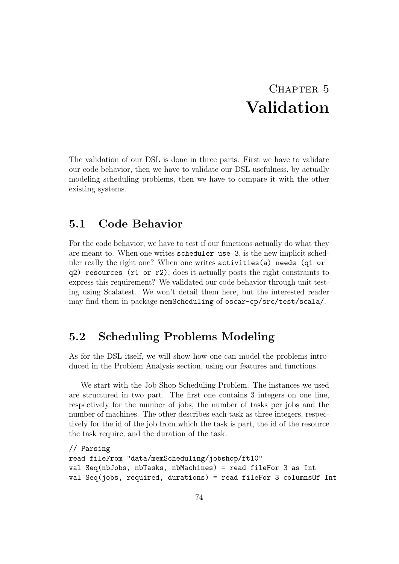# CHAPTER 5 Validation

The validation of our DSL is done in three parts. First we have to validate our code behavior, then we have to validate our DSL usefulness, by actually modeling scheduling problems, then we have to compare it with the other existing systems.

# 5.1 Code Behavior

For the code behavior, we have to test if our functions actually do what they are meant to. When one writes scheduler use 3, is the new implicit scheduler really the right one? When one writes activities(a) needs (q1 or q2) resources (r1 or r2), does it actually posts the right constraints to express this requirement? We validated our code behavior through unit testing using Scalatest. We won't detail them here, but the interested reader may find them in package memScheduling of oscar-cp/src/test/scala/.

# 5.2 Scheduling Problems Modeling

As for the DSL itself, we will show how one can model the problems introduced in the Problem Analysis section, using our features and functions.

We start with the Job Shop Scheduling Problem. The instances we used are structured in two part. The first one contains 3 integers on one line, respectively for the number of jobs, the number of tasks per jobs and the number of machines. The other describes each task as three integers, respectively for the id of the job from which the task is part, the id of the resource the task require, and the duration of the task.

```
// Parsing
read fileFrom "data/memScheduling/jobshop/ft10"
val Seq(nbJobs, nbTasks, nbMachines) = read fileFor 3 as Int
val Seq(jobs, required, durations) = read fileFor 3 columnsOf Int
```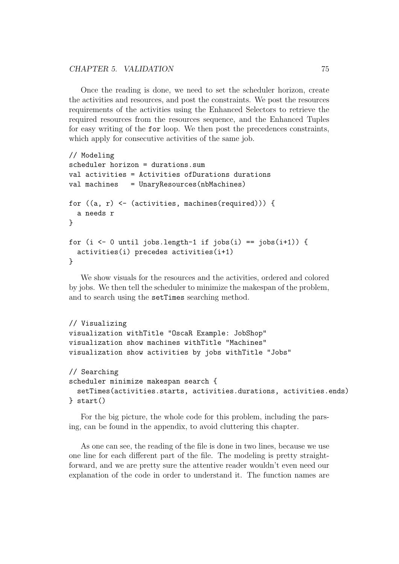Once the reading is done, we need to set the scheduler horizon, create the activities and resources, and post the constraints. We post the resources requirements of the activities using the Enhanced Selectors to retrieve the required resources from the resources sequence, and the Enhanced Tuples for easy writing of the for loop. We then post the precedences constraints, which apply for consecutive activities of the same job.

```
// Modeling
scheduler horizon = durations.sum
val activities = Activities ofDurations durations
val machines = UnaryResources(nbMachines)
for ((a, r) \leftarrow (activities, machines(required))) {
  a needs r
}
for (i \leq 0 until jobs.length-1 if jobs(i) == jobs(i+1)) {
  activities(i) precedes activities(i+1)
}
```
We show visuals for the resources and the activities, ordered and colored by jobs. We then tell the scheduler to minimize the makespan of the problem, and to search using the setTimes searching method.

```
// Visualizing
visualization withTitle "OscaR Example: JobShop"
visualization show machines withTitle "Machines"
visualization show activities by jobs withTitle "Jobs"
// Searching
scheduler minimize makespan search {
  setTimes(activities.starts, activities.durations, activities.ends)
} start()
```
For the big picture, the whole code for this problem, including the parsing, can be found in the appendix, to avoid cluttering this chapter.

As one can see, the reading of the file is done in two lines, because we use one line for each different part of the file. The modeling is pretty straightforward, and we are pretty sure the attentive reader wouldn't even need our explanation of the code in order to understand it. The function names are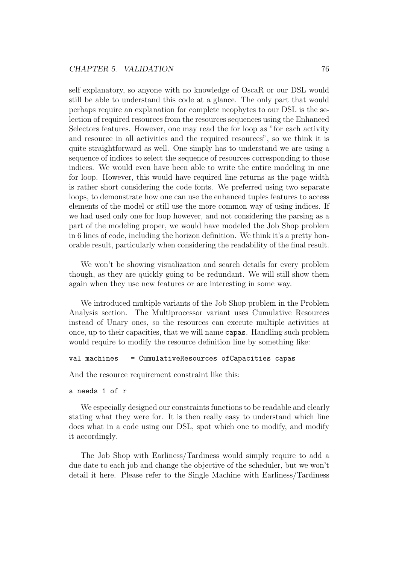self explanatory, so anyone with no knowledge of OscaR or our DSL would still be able to understand this code at a glance. The only part that would perhaps require an explanation for complete neophytes to our DSL is the selection of required resources from the resources sequences using the Enhanced Selectors features. However, one may read the for loop as "for each activity and resource in all activities and the required resources", so we think it is quite straightforward as well. One simply has to understand we are using a sequence of indices to select the sequence of resources corresponding to those indices. We would even have been able to write the entire modeling in one for loop. However, this would have required line returns as the page width is rather short considering the code fonts. We preferred using two separate loops, to demonstrate how one can use the enhanced tuples features to access elements of the model or still use the more common way of using indices. If we had used only one for loop however, and not considering the parsing as a part of the modeling proper, we would have modeled the Job Shop problem in 6 lines of code, including the horizon definition. We think it's a pretty honorable result, particularly when considering the readability of the final result.

We won't be showing visualization and search details for every problem though, as they are quickly going to be redundant. We will still show them again when they use new features or are interesting in some way.

We introduced multiple variants of the Job Shop problem in the Problem Analysis section. The Multiprocessor variant uses Cumulative Resources instead of Unary ones, so the resources can execute multiple activities at once, up to their capacities, that we will name capas. Handling such problem would require to modify the resource definition line by something like:

#### val machines = CumulativeResources ofCapacities capas

And the resource requirement constraint like this:

```
a needs 1 of r
```
We especially designed our constraints functions to be readable and clearly stating what they were for. It is then really easy to understand which line does what in a code using our DSL, spot which one to modify, and modify it accordingly.

The Job Shop with Earliness/Tardiness would simply require to add a due date to each job and change the objective of the scheduler, but we won't detail it here. Please refer to the Single Machine with Earliness/Tardiness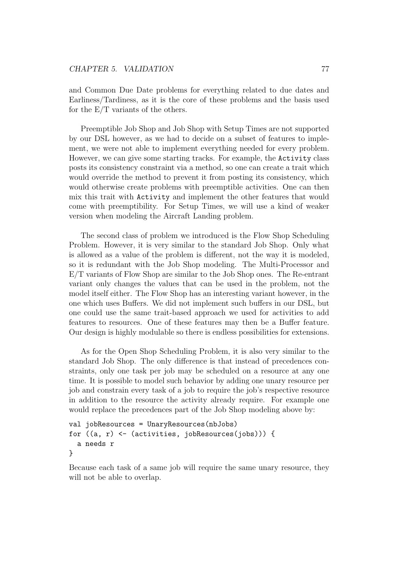and Common Due Date problems for everything related to due dates and Earliness/Tardiness, as it is the core of these problems and the basis used for the E/T variants of the others.

Preemptible Job Shop and Job Shop with Setup Times are not supported by our DSL however, as we had to decide on a subset of features to implement, we were not able to implement everything needed for every problem. However, we can give some starting tracks. For example, the Activity class posts its consistency constraint via a method, so one can create a trait which would override the method to prevent it from posting its consistency, which would otherwise create problems with preemptible activities. One can then mix this trait with Activity and implement the other features that would come with preemptibility. For Setup Times, we will use a kind of weaker version when modeling the Aircraft Landing problem.

The second class of problem we introduced is the Flow Shop Scheduling Problem. However, it is very similar to the standard Job Shop. Only what is allowed as a value of the problem is different, not the way it is modeled, so it is redundant with the Job Shop modeling. The Multi-Processor and E/T variants of Flow Shop are similar to the Job Shop ones. The Re-entrant variant only changes the values that can be used in the problem, not the model itself either. The Flow Shop has an interesting variant however, in the one which uses Buffers. We did not implement such buffers in our DSL, but one could use the same trait-based approach we used for activities to add features to resources. One of these features may then be a Buffer feature. Our design is highly modulable so there is endless possibilities for extensions.

As for the Open Shop Scheduling Problem, it is also very similar to the standard Job Shop. The only difference is that instead of precedences constraints, only one task per job may be scheduled on a resource at any one time. It is possible to model such behavior by adding one unary resource per job and constrain every task of a job to require the job's respective resource in addition to the resource the activity already require. For example one would replace the precedences part of the Job Shop modeling above by:

```
val jobResources = UnaryResources(nbJobs)
for ((a, r) \leftarrow (activities, jobResource(iobs))) {
  a needs r
}
```
Because each task of a same job will require the same unary resource, they will not be able to overlap.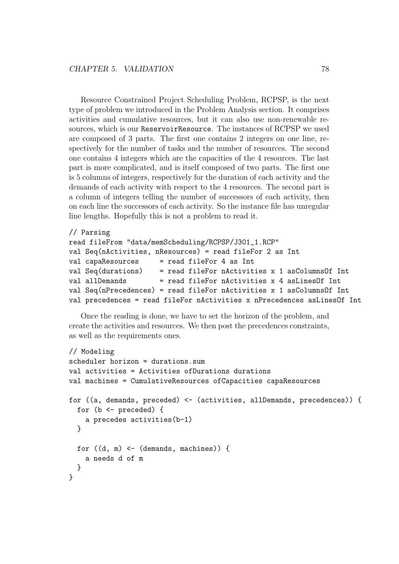Resource Constrained Project Scheduling Problem, RCPSP, is the next type of problem we introduced in the Problem Analysis section. It comprises activities and cumulative resources, but it can also use non-renewable resources, which is our ReservoirResource. The instances of RCPSP we used are composed of 3 parts. The first one contains 2 integers on one line, respectively for the number of tasks and the number of resources. The second one contains 4 integers which are the capacities of the 4 resources. The last part is more complicated, and is itself composed of two parts. The first one is 5 columns of integers, respectively for the duration of each activity and the demands of each activity with respect to the 4 resources. The second part is a column of integers telling the number of successors of each activity, then on each line the successors of each activity. So the instance file has unregular line lengths. Hopefully this is not a problem to read it.

```
// Parsing
read fileFrom "data/memScheduling/RCPSP/J301_1.RCP"
val Seq(nActivities, nResources) = read fileFor 2 as Int
val capaResources = read fileFor 4 as Int
val Seq(durations) = read fileFor nActivities x 1 asColumnsOf Int
val allDemands = read fileFor nActivities x 4 asLinesOf Int
val Seq(nPrecedences) = read fileFor nActivities x 1 asColumnsOf Int
val precedences = read fileFor nActivities x nPrecedences asLinesOf Int
```
Once the reading is done, we have to set the horizon of the problem, and create the activities and resources. We then post the precedences constraints, as well as the requirements ones.

```
// Modeling
scheduler horizon = durations.sum
val activities = Activities ofDurations durations
val machines = CumulativeResources ofCapacities capaResources
for ((a, demands, preceded) < - (activities, all Demands, precedences)) {
  for (b \leq p preceded) {
    a precedes activities(b-1)
  }
  for ((d, m) \leftarrow (demands, machines)) {
    a needs d of m
  }
}
```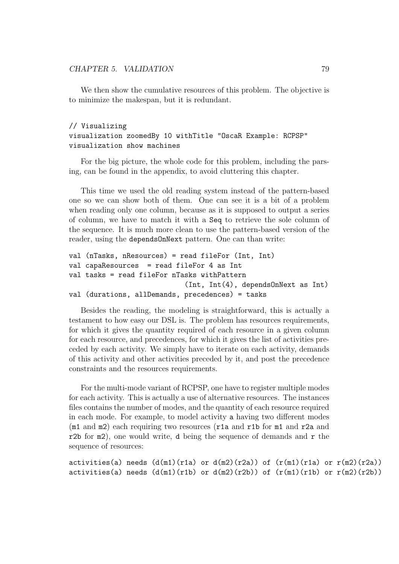We then show the cumulative resources of this problem. The objective is to minimize the makespan, but it is redundant.

#### // Visualizing

# visualization zoomedBy 10 withTitle "OscaR Example: RCPSP" visualization show machines

For the big picture, the whole code for this problem, including the parsing, can be found in the appendix, to avoid cluttering this chapter.

This time we used the old reading system instead of the pattern-based one so we can show both of them. One can see it is a bit of a problem when reading only one column, because as it is supposed to output a series of column, we have to match it with a Seq to retrieve the sole column of the sequence. It is much more clean to use the pattern-based version of the reader, using the dependsOnNext pattern. One can than write:

```
val (nTasks, nResources) = read fileFor (Int, Int)
val capaResources = read fileFor 4 as Int
val tasks = read fileFor nTasks withPattern
                            (Int, Int(4), dependsOnNext as Int)
val (durations, allDemands, precedences) = tasks
```
Besides the reading, the modeling is straightforward, this is actually a testament to how easy our DSL is. The problem has resources requirements, for which it gives the quantity required of each resource in a given column for each resource, and precedences, for which it gives the list of activities preceded by each activity. We simply have to iterate on each activity, demands of this activity and other activities preceded by it, and post the precedence constraints and the resources requirements.

For the multi-mode variant of RCPSP, one have to register multiple modes for each activity. This is actually a use of alternative resources. The instances files contains the number of modes, and the quantity of each resource required in each mode. For example, to model activity a having two different modes (m1 and m2) each requiring two resources (r1a and r1b for m1 and r2a and r2b for  $m2$ ), one would write, d being the sequence of demands and r the sequence of resources:

```
activities(a) needs (d(m1)(r1a) or d(m2)(r2a)) of (r(m1)(r1a) or r(m2)(r2a))activities(a) needs (d(m1)(r1b) or d(m2)(r2b)) of (r(m1)(r1b) or r(m2)(r2b))
```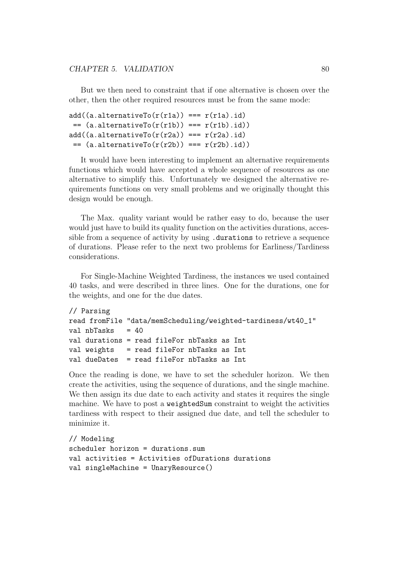But we then need to constraint that if one alternative is chosen over the other, then the other required resources must be from the same mode:

```
add((a.alternativeTo(r(rla)) == r(r1a).id)= (a.alternativeTo(r(r1b)) == r(r1b).id)add((a.aIterativeTo(r(r2a)) == r(r2a).id)= (a.alternativeTo(r(r2b)) == r(r2b).id)
```
It would have been interesting to implement an alternative requirements functions which would have accepted a whole sequence of resources as one alternative to simplify this. Unfortunately we designed the alternative requirements functions on very small problems and we originally thought this design would be enough.

The Max. quality variant would be rather easy to do, because the user would just have to build its quality function on the activities durations, accessible from a sequence of activity by using .durations to retrieve a sequence of durations. Please refer to the next two problems for Earliness/Tardiness considerations.

For Single-Machine Weighted Tardiness, the instances we used contained 40 tasks, and were described in three lines. One for the durations, one for the weights, and one for the due dates.

```
// Parsing
read fromFile "data/memScheduling/weighted-tardiness/wt40_1"
val nbTasks = 40val durations = read fileFor nbTasks as Int
val weights = read fileFor nbTasks as Int
val dueDates = read fileFor nbTasks as Int
```
Once the reading is done, we have to set the scheduler horizon. We then create the activities, using the sequence of durations, and the single machine. We then assign its due date to each activity and states it requires the single machine. We have to post a weightedSum constraint to weight the activities tardiness with respect to their assigned due date, and tell the scheduler to minimize it.

```
// Modeling
scheduler horizon = durations.sum
val activities = Activities ofDurations durations
val singleMachine = UnaryResource()
```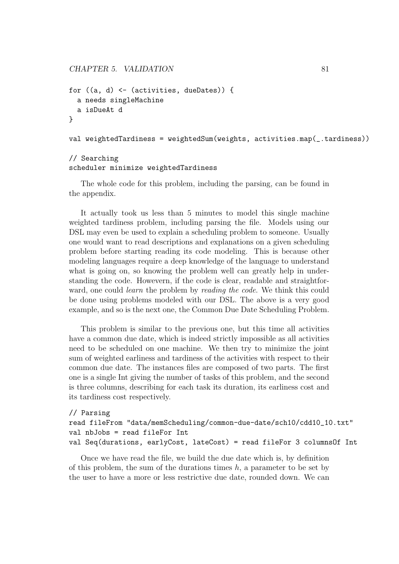```
for ((a, d) \leftarrow (activities, dueDates)) {
  a needs singleMachine
  a isDueAt d
}
```
val weightedTardiness = weightedSum(weights, activities.map(\_.tardiness))

# // Searching scheduler minimize weightedTardiness

The whole code for this problem, including the parsing, can be found in the appendix.

It actually took us less than 5 minutes to model this single machine weighted tardiness problem, including parsing the file. Models using our DSL may even be used to explain a scheduling problem to someone. Usually one would want to read descriptions and explanations on a given scheduling problem before starting reading its code modeling. This is because other modeling languages require a deep knowledge of the language to understand what is going on, so knowing the problem well can greatly help in understanding the code. Howevern, if the code is clear, readable and straightforward, one could *learn* the problem by *reading the code*. We think this could be done using problems modeled with our DSL. The above is a very good example, and so is the next one, the Common Due Date Scheduling Problem.

This problem is similar to the previous one, but this time all activities have a common due date, which is indeed strictly impossible as all activities need to be scheduled on one machine. We then try to minimize the joint sum of weighted earliness and tardiness of the activities with respect to their common due date. The instances files are composed of two parts. The first one is a single Int giving the number of tasks of this problem, and the second is three columns, describing for each task its duration, its earliness cost and its tardiness cost respectively.

```
// Parsing
read fileFrom "data/memScheduling/common-due-date/sch10/cdd10_10.txt"
val nbJobs = read fileFor Int
val Seq(durations, earlyCost, lateCost) = read fileFor 3 columnsOf Int
```
Once we have read the file, we build the due date which is, by definition of this problem, the sum of the durations times  $h$ , a parameter to be set by the user to have a more or less restrictive due date, rounded down. We can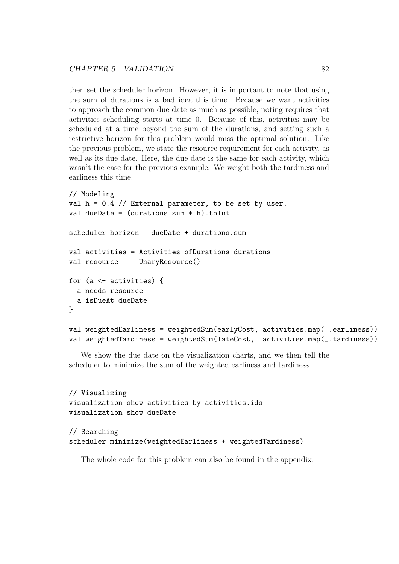then set the scheduler horizon. However, it is important to note that using the sum of durations is a bad idea this time. Because we want activities to approach the common due date as much as possible, noting requires that activities scheduling starts at time 0. Because of this, activities may be scheduled at a time beyond the sum of the durations, and setting such a restrictive horizon for this problem would miss the optimal solution. Like the previous problem, we state the resource requirement for each activity, as well as its due date. Here, the due date is the same for each activity, which wasn't the case for the previous example. We weight both the tardiness and earliness this time.

```
// Modeling
val h = 0.4 // External parameter, to be set by user.
val dueDate = (duration, sum * h) . to Intscheduler horizon = dueDate + durations.sum
val activities = Activities ofDurations durations
val resource = UnaryResource()
for (a <- activities) {
  a needs resource
  a isDueAt dueDate
}
val weightedEarliness = weightedSum(earlyCost, activities.map(_.earliness))
val weightedTardiness = weightedSum(lateCost, activities.map(_.tardiness))
```
We show the due date on the visualization charts, and we then tell the scheduler to minimize the sum of the weighted earliness and tardiness.

```
// Visualizing
visualization show activities by activities.ids
visualization show dueDate
// Searching
scheduler minimize(weightedEarliness + weightedTardiness)
```
The whole code for this problem can also be found in the appendix.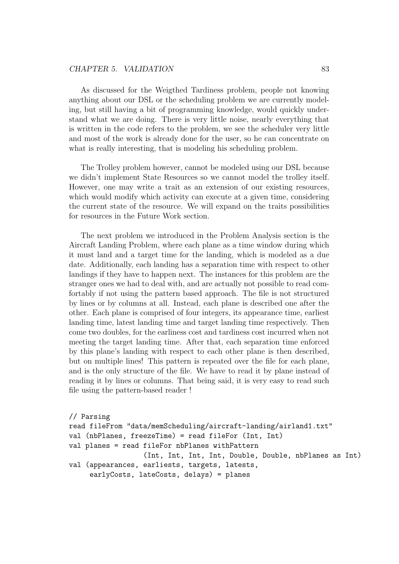As discussed for the Weigthed Tardiness problem, people not knowing anything about our DSL or the scheduling problem we are currently modeling, but still having a bit of programming knowledge, would quickly understand what we are doing. There is very little noise, nearly everything that is written in the code refers to the problem, we see the scheduler very little and most of the work is already done for the user, so he can concentrate on what is really interesting, that is modeling his scheduling problem.

The Trolley problem however, cannot be modeled using our DSL because we didn't implement State Resources so we cannot model the trolley itself. However, one may write a trait as an extension of our existing resources, which would modify which activity can execute at a given time, considering the current state of the resource. We will expand on the traits possibilities for resources in the Future Work section.

The next problem we introduced in the Problem Analysis section is the Aircraft Landing Problem, where each plane as a time window during which it must land and a target time for the landing, which is modeled as a due date. Additionally, each landing has a separation time with respect to other landings if they have to happen next. The instances for this problem are the stranger ones we had to deal with, and are actually not possible to read comfortably if not using the pattern based approach. The file is not structured by lines or by columns at all. Instead, each plane is described one after the other. Each plane is comprised of four integers, its appearance time, earliest landing time, latest landing time and target landing time respectively. Then come two doubles, for the earliness cost and tardiness cost incurred when not meeting the target landing time. After that, each separation time enforced by this plane's landing with respect to each other plane is then described, but on multiple lines! This pattern is repeated over the file for each plane, and is the only structure of the file. We have to read it by plane instead of reading it by lines or columns. That being said, it is very easy to read such file using the pattern-based reader !

```
// Parsing
read fileFrom "data/memScheduling/aircraft-landing/airland1.txt"
val (nbPlanes, freezeTime) = read fileFor (Int, Int)
val planes = read fileFor nbPlanes withPattern
                  (Int, Int, Int, Int, Double, Double, nbPlanes as Int)
val (appearances, earliests, targets, latests,
     earlyCosts, lateCosts, delays) = planes
```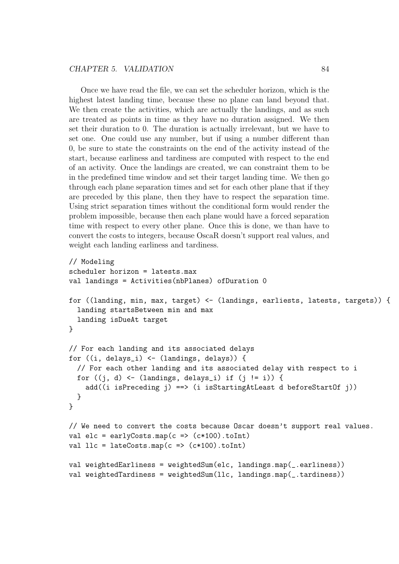Once we have read the file, we can set the scheduler horizon, which is the highest latest landing time, because these no plane can land beyond that. We then create the activities, which are actually the landings, and as such are treated as points in time as they have no duration assigned. We then set their duration to 0. The duration is actually irrelevant, but we have to set one. One could use any number, but if using a number different than 0, be sure to state the constraints on the end of the activity instead of the start, because earliness and tardiness are computed with respect to the end of an activity. Once the landings are created, we can constraint them to be in the predefined time window and set their target landing time. We then go through each plane separation times and set for each other plane that if they are preceded by this plane, then they have to respect the separation time. Using strict separation times without the conditional form would render the problem impossible, because then each plane would have a forced separation time with respect to every other plane. Once this is done, we than have to convert the costs to integers, because OscaR doesn't support real values, and weight each landing earliness and tardiness.

```
// Modeling
scheduler horizon = latests.max
val landings = Activities(nbPlanes) ofDuration 0
for ((landing, min, max, target) <- (landings, earliests, latests, targets)) {
  landing startsBetween min and max
  landing isDueAt target
}
// For each landing and its associated delays
for ((i, delays_i) \leftarrow (landings, delays)) {
  // For each other landing and its associated delay with respect to i
  for ((j, d) \leftarrow (landings, delays_i) if (j != i) {
    add((i isPreceding j) ==> (i isStartingAtLeast d beforeStartOf j))
  }
}
// We need to convert the costs because Oscar doesn't support real values.
val elc = earlyCosts.map(c => (c*100).toInt)
val llc = \text{lateCosts}.\text{map}(c \Rightarrow (c*100).\text{toInt})val weightedEarliness = weightedSum(elc, landings.map(_.earliness))
val weightedTardiness = weightedSum(llc, landings.map(_.tardiness))
```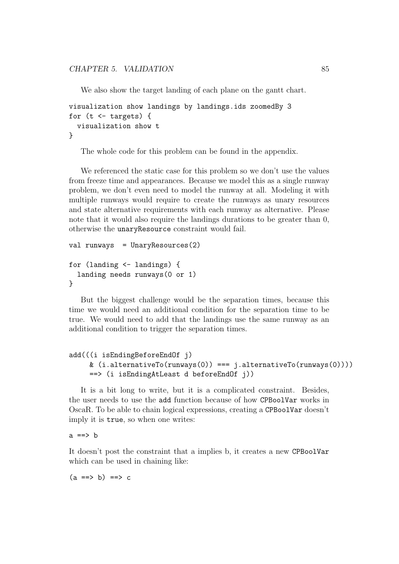We also show the target landing of each plane on the gantt chart.

```
visualization show landings by landings.ids zoomedBy 3
for (t \le - targets) {
  visualization show t
}
```
The whole code for this problem can be found in the appendix.

We referenced the static case for this problem so we don't use the values from freeze time and appearances. Because we model this as a single runway problem, we don't even need to model the runway at all. Modeling it with multiple runways would require to create the runways as unary resources and state alternative requirements with each runway as alternative. Please note that it would also require the landings durations to be greater than 0, otherwise the unaryResource constraint would fail.

```
val runways = UnaryResources(2)
for (landing <- landings) {
  landing needs runways(0 or 1)
}
```
But the biggest challenge would be the separation times, because this time we would need an additional condition for the separation time to be true. We would need to add that the landings use the same runway as an additional condition to trigger the separation times.

```
add(((i isEndingBeforeEndOf j)
    & (i.alternativeTo(runways(0)) === j.alternativeTo(runways(0))))
    ==> (i isEndingAtLeast d beforeEndOf j))
```
It is a bit long to write, but it is a complicated constraint. Besides, the user needs to use the add function because of how CPBoolVar works in OscaR. To be able to chain logical expressions, creating a CPBoolVar doesn't imply it is true, so when one writes:

 $a \implies b$ 

It doesn't post the constraint that a implies b, it creates a new CPBoolVar which can be used in chaining like:

 $(a == b) == b$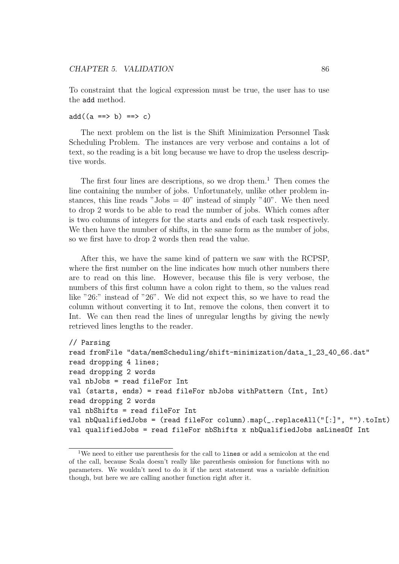To constraint that the logical expression must be true, the user has to use the add method.

 $add((a == b) == b) == b$ 

The next problem on the list is the Shift Minimization Personnel Task Scheduling Problem. The instances are very verbose and contains a lot of text, so the reading is a bit long because we have to drop the useless descriptive words.

The first four lines are descriptions, so we drop them.<sup>1</sup> Then comes the line containing the number of jobs. Unfortunately, unlike other problem instances, this line reads "Jobs  $= 40$ " instead of simply "40". We then need to drop 2 words to be able to read the number of jobs. Which comes after is two columns of integers for the starts and ends of each task respectively. We then have the number of shifts, in the same form as the number of jobs, so we first have to drop 2 words then read the value.

After this, we have the same kind of pattern we saw with the RCPSP, where the first number on the line indicates how much other numbers there are to read on this line. However, because this file is very verbose, the numbers of this first column have a colon right to them, so the values read like "26:" instead of "26". We did not expect this, so we have to read the column without converting it to Int, remove the colons, then convert it to Int. We can then read the lines of unregular lengths by giving the newly retrieved lines lengths to the reader.

```
// Parsing
read fromFile "data/memScheduling/shift-minimization/data_1_23_40_66.dat"
read dropping 4 lines;
read dropping 2 words
val nbJobs = read fileFor Int
val (starts, ends) = read fileFor nbJobs withPattern (Int, Int)
read dropping 2 words
val nbShifts = read fileFor Int
val nbQualifiedJobs = (read fileFor column).map(_.replaceAll("[:]", "").toInt)
val qualifiedJobs = read fileFor nbShifts x nbQualifiedJobs asLinesOf Int
```
<sup>&</sup>lt;sup>1</sup>We need to either use parenthesis for the call to lines or add a semicolon at the end of the call, because Scala doesn't really like parenthesis omission for functions with no parameters. We wouldn't need to do it if the next statement was a variable definition though, but here we are calling another function right after it.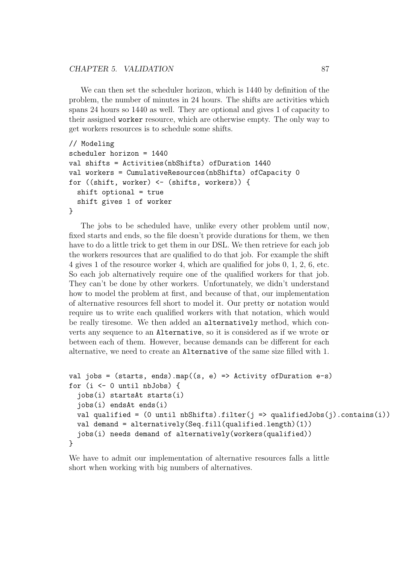#### CHAPTER 5. VALIDATION 87

We can then set the scheduler horizon, which is 1440 by definition of the problem, the number of minutes in 24 hours. The shifts are activities which spans 24 hours so 1440 as well. They are optional and gives 1 of capacity to their assigned worker resource, which are otherwise empty. The only way to get workers resources is to schedule some shifts.

```
// Modeling
scheduler horizon = 1440
val shifts = Activities(nbShifts) ofDuration 1440
val workers = CumulativeResources(nbShifts) ofCapacity 0
for ((shift, worker) <- (shifts, workers)) {
  shift optional = true
  shift gives 1 of worker
}
```
The jobs to be scheduled have, unlike every other problem until now, fixed starts and ends, so the file doesn't provide durations for them, we then have to do a little trick to get them in our DSL. We then retrieve for each job the workers resources that are qualified to do that job. For example the shift 4 gives 1 of the resource worker 4, which are qualified for jobs 0, 1, 2, 6, etc. So each job alternatively require one of the qualified workers for that job. They can't be done by other workers. Unfortunately, we didn't understand how to model the problem at first, and because of that, our implementation of alternative resources fell short to model it. Our pretty or notation would require us to write each qualified workers with that notation, which would be really tiresome. We then added an alternatively method, which converts any sequence to an Alternative, so it is considered as if we wrote or between each of them. However, because demands can be different for each alternative, we need to create an Alternative of the same size filled with 1.

```
val jobs = (starts, ends).map((s, e) => Activity of Duration e-s)
for (i <- 0 until nbJobs) {
  jobs(i) startsAt starts(i)
  jobs(i) endsAt ends(i)
  val qualified = (0 \text{ until } nbShifts).filter(j \Rightarrow qualifiedJobs(j).contains(i))
  val demand = alternatively(Seq.fill(qualified.length)(1))
  jobs(i) needs demand of alternatively(workers(qualified))
}
```
We have to admit our implementation of alternative resources falls a little short when working with big numbers of alternatives.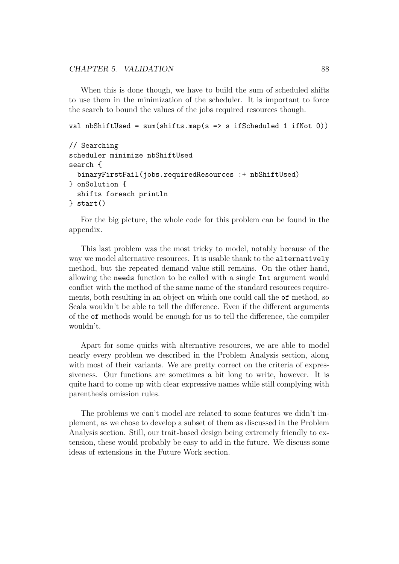CHAPTER 5. VALIDATION 88

When this is done though, we have to build the sum of scheduled shifts to use them in the minimization of the scheduler. It is important to force the search to bound the values of the jobs required resources though.

```
val nbShiftUsed = sum(shifts.map(s => s ifScheduled 1 ifNot 0))
```

```
// Searching
scheduler minimize nbShiftUsed
search {
  binaryFirstFail(jobs.requiredResources :+ nbShiftUsed)
} onSolution {
  shifts foreach println
} start()
```
For the big picture, the whole code for this problem can be found in the appendix.

This last problem was the most tricky to model, notably because of the way we model alternative resources. It is usable thank to the alternatively method, but the repeated demand value still remains. On the other hand, allowing the needs function to be called with a single Int argument would conflict with the method of the same name of the standard resources requirements, both resulting in an object on which one could call the of method, so Scala wouldn't be able to tell the difference. Even if the different arguments of the of methods would be enough for us to tell the difference, the compiler wouldn't.

Apart for some quirks with alternative resources, we are able to model nearly every problem we described in the Problem Analysis section, along with most of their variants. We are pretty correct on the criteria of expressiveness. Our functions are sometimes a bit long to write, however. It is quite hard to come up with clear expressive names while still complying with parenthesis omission rules.

The problems we can't model are related to some features we didn't implement, as we chose to develop a subset of them as discussed in the Problem Analysis section. Still, our trait-based design being extremely friendly to extension, these would probably be easy to add in the future. We discuss some ideas of extensions in the Future Work section.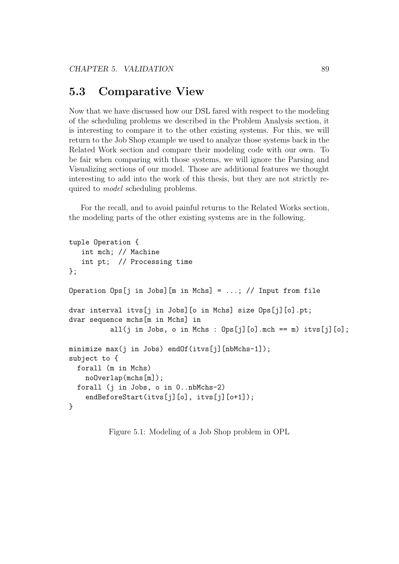# 5.3 Comparative View

Now that we have discussed how our DSL fared with respect to the modeling of the scheduling problems we described in the Problem Analysis section, it is interesting to compare it to the other existing systems. For this, we will return to the Job Shop example we used to analyze those systems back in the Related Work section and compare their modeling code with our own. To be fair when comparing with those systems, we will ignore the Parsing and Visualizing sections of our model. Those are additional features we thought interesting to add into the work of this thesis, but they are not strictly required to model scheduling problems.

For the recall, and to avoid painful returns to the Related Works section, the modeling parts of the other existing systems are in the following.

```
tuple Operation {
   int mch; // Machine
   int pt; // Processing time
};
Operation Ops[j in Jobs] [m in Mchs] = ...; // Input from file
dvar interval itvs[j in Jobs][o in Mchs] size Ops[j][o].pt;
dvar sequence mchs[m in Mchs] in
          all(j in Jobs, o in Mchs : 0ps[j][o].mch == m) itvs[j][o];
minimize max(j in Jobs) endOf(itvs[j][nbMchs-1]);
subject to {
  forall (m in Mchs)
    noOverlap(mchs[m]);
  forall (j in Jobs, o in 0..nbMchs-2)
    endBeforeStart(itvs[j][o], itvs[j][o+1]);
}
```
Figure 5.1: Modeling of a Job Shop problem in OPL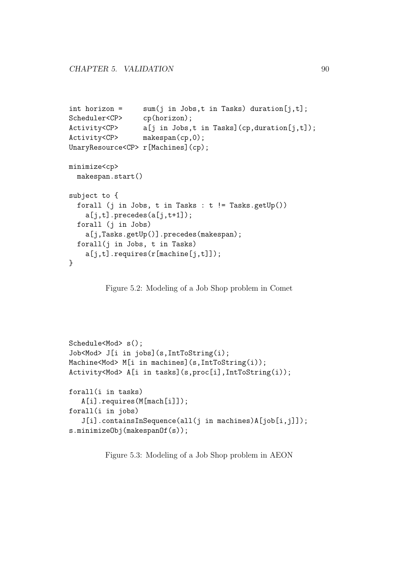```
int horizon = sum(j \in j, t];
Scheduler<CP> cp(horizon);
Activity<CP> a[j in Jobs,t in Tasks](cp,duration[j,t]);
Activity<CP> makespan(cp,0);
UnaryResource<CP> r[Machines](cp);
minimize<cp>
 makespan.start()
subject to {
 forall (j in Jobs, t in Tasks : t != Tasks.getUp())
   a[j,t].precedes(a[j,t+1]);
 forall (j in Jobs)
   a[j,Tasks.getUp()].precedes(makespan);
 forall(j in Jobs, t in Tasks)
   a[j,t].requires(r[machine[j,t]]);
}
```
Figure 5.2: Modeling of a Job Shop problem in Comet

```
Schedule<Mod> s();
Job<Mod> J[i in jobs](s,IntToString(i);
Machine<Mod> M[i in machines](s,IntToString(i));
Activity<Mod> A[i in tasks](s,proc[i],IntToString(i));
forall(i in tasks)
   A[i].requires(M[mach[i]]);
forall(i in jobs)
   J[i].containsInSequence(all(j in machines)A[job[i,j]]);
s.minimizeObj(makespanOf(s));
```
Figure 5.3: Modeling of a Job Shop problem in AEON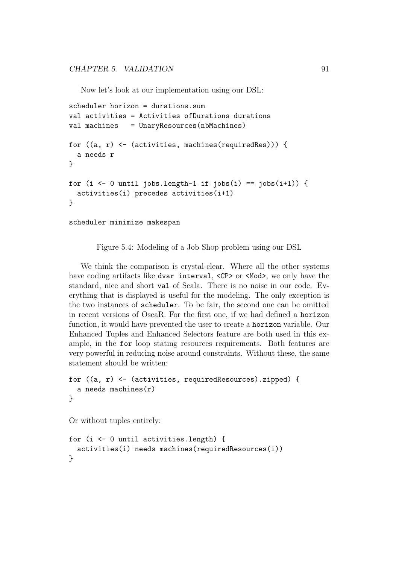Now let's look at our implementation using our DSL:

```
scheduler horizon = durations.sum
val activities = Activities ofDurations durations
val machines = UnaryResources(nbMachines)
for ((a, r) \leftarrow (activities, machines(requiredRes))) {
  a needs r
}
for (i <- 0 until jobs.length-1 if jobs(i) == jobs(i+1)) {
  activities(i) precedes activities(i+1)
}
scheduler minimize makespan
```
Figure 5.4: Modeling of a Job Shop problem using our DSL

We think the comparison is crystal-clear. Where all the other systems have coding artifacts like dvar interval, <CP> or <Mod>, we only have the standard, nice and short val of Scala. There is no noise in our code. Everything that is displayed is useful for the modeling. The only exception is the two instances of scheduler. To be fair, the second one can be omitted in recent versions of OscaR. For the first one, if we had defined a horizon function, it would have prevented the user to create a horizon variable. Our Enhanced Tuples and Enhanced Selectors feature are both used in this example, in the for loop stating resources requirements. Both features are very powerful in reducing noise around constraints. Without these, the same statement should be written:

```
for ((a, r) <- (activities, requiredResources).zipped) {
  a needs machines(r)}
```
Or without tuples entirely:

```
for (i <- 0 until activities.length) {
  activities(i) needs machines(requiredResources(i))
}
```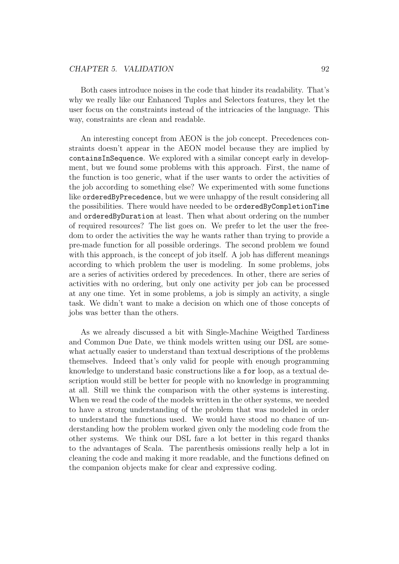Both cases introduce noises in the code that hinder its readability. That's why we really like our Enhanced Tuples and Selectors features, they let the user focus on the constraints instead of the intricacies of the language. This way, constraints are clean and readable.

An interesting concept from AEON is the job concept. Precedences constraints doesn't appear in the AEON model because they are implied by containsInSequence. We explored with a similar concept early in development, but we found some problems with this approach. First, the name of the function is too generic, what if the user wants to order the activities of the job according to something else? We experimented with some functions like orderedByPrecedence, but we were unhappy of the result considering all the possibilities. There would have needed to be orderedByCompletionTime and orderedByDuration at least. Then what about ordering on the number of required resources? The list goes on. We prefer to let the user the freedom to order the activities the way he wants rather than trying to provide a pre-made function for all possible orderings. The second problem we found with this approach, is the concept of job itself. A job has different meanings according to which problem the user is modeling. In some problems, jobs are a series of activities ordered by precedences. In other, there are series of activities with no ordering, but only one activity per job can be processed at any one time. Yet in some problems, a job is simply an activity, a single task. We didn't want to make a decision on which one of those concepts of jobs was better than the others.

As we already discussed a bit with Single-Machine Weigthed Tardiness and Common Due Date, we think models written using our DSL are somewhat actually easier to understand than textual descriptions of the problems themselves. Indeed that's only valid for people with enough programming knowledge to understand basic constructions like a for loop, as a textual description would still be better for people with no knowledge in programming at all. Still we think the comparison with the other systems is interesting. When we read the code of the models written in the other systems, we needed to have a strong understanding of the problem that was modeled in order to understand the functions used. We would have stood no chance of understanding how the problem worked given only the modeling code from the other systems. We think our DSL fare a lot better in this regard thanks to the advantages of Scala. The parenthesis omissions really help a lot in cleaning the code and making it more readable, and the functions defined on the companion objects make for clear and expressive coding.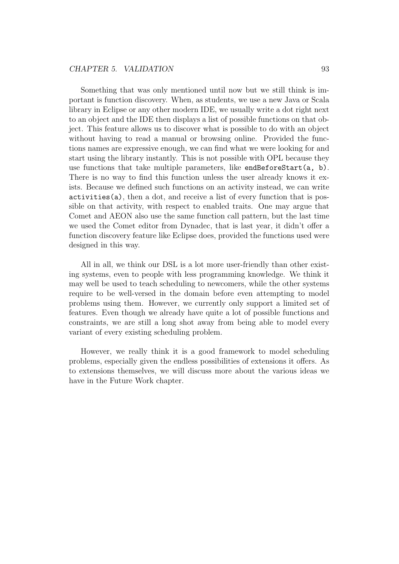Something that was only mentioned until now but we still think is important is function discovery. When, as students, we use a new Java or Scala library in Eclipse or any other modern IDE, we usually write a dot right next to an object and the IDE then displays a list of possible functions on that object. This feature allows us to discover what is possible to do with an object without having to read a manual or browsing online. Provided the functions names are expressive enough, we can find what we were looking for and start using the library instantly. This is not possible with OPL because they use functions that take multiple parameters, like endBeforeStart $(a, b)$ . There is no way to find this function unless the user already knows it exists. Because we defined such functions on an activity instead, we can write activities(a), then a dot, and receive a list of every function that is possible on that activity, with respect to enabled traits. One may argue that Comet and AEON also use the same function call pattern, but the last time we used the Comet editor from Dynadec, that is last year, it didn't offer a function discovery feature like Eclipse does, provided the functions used were designed in this way.

All in all, we think our DSL is a lot more user-friendly than other existing systems, even to people with less programming knowledge. We think it may well be used to teach scheduling to newcomers, while the other systems require to be well-versed in the domain before even attempting to model problems using them. However, we currently only support a limited set of features. Even though we already have quite a lot of possible functions and constraints, we are still a long shot away from being able to model every variant of every existing scheduling problem.

However, we really think it is a good framework to model scheduling problems, especially given the endless possibilities of extensions it offers. As to extensions themselves, we will discuss more about the various ideas we have in the Future Work chapter.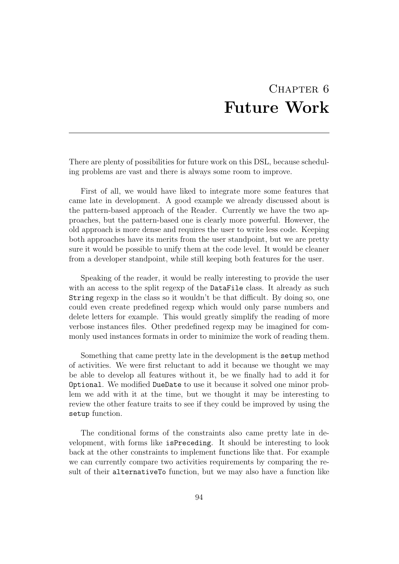# CHAPTER 6 Future Work

There are plenty of possibilities for future work on this DSL, because scheduling problems are vast and there is always some room to improve.

First of all, we would have liked to integrate more some features that came late in development. A good example we already discussed about is the pattern-based approach of the Reader. Currently we have the two approaches, but the pattern-based one is clearly more powerful. However, the old approach is more dense and requires the user to write less code. Keeping both approaches have its merits from the user standpoint, but we are pretty sure it would be possible to unify them at the code level. It would be cleaner from a developer standpoint, while still keeping both features for the user.

Speaking of the reader, it would be really interesting to provide the user with an access to the split regexp of the **DataFile** class. It already as such String regexp in the class so it wouldn't be that difficult. By doing so, one could even create predefined regexp which would only parse numbers and delete letters for example. This would greatly simplify the reading of more verbose instances files. Other predefined regexp may be imagined for commonly used instances formats in order to minimize the work of reading them.

Something that came pretty late in the development is the setup method of activities. We were first reluctant to add it because we thought we may be able to develop all features without it, be we finally had to add it for Optional. We modified DueDate to use it because it solved one minor problem we add with it at the time, but we thought it may be interesting to review the other feature traits to see if they could be improved by using the setup function.

The conditional forms of the constraints also came pretty late in development, with forms like isPreceding. It should be interesting to look back at the other constraints to implement functions like that. For example we can currently compare two activities requirements by comparing the result of their alternativeTo function, but we may also have a function like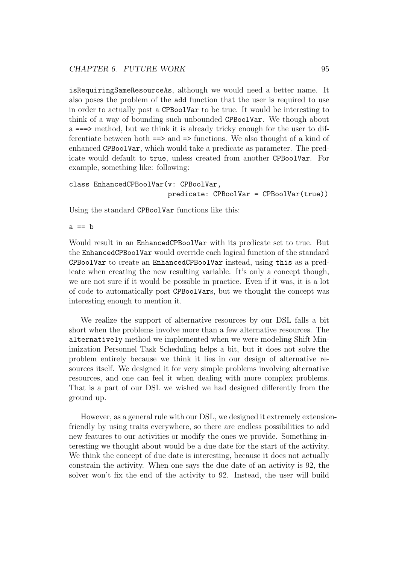isRequiringSameResourceAs, although we would need a better name. It also poses the problem of the add function that the user is required to use in order to actually post a CPBoolVar to be true. It would be interesting to think of a way of bounding such unbounded CPBoolVar. We though about a ===> method, but we think it is already tricky enough for the user to differentiate between both ==> and => functions. We also thought of a kind of enhanced CPBoolVar, which would take a predicate as parameter. The predicate would default to true, unless created from another CPBoolVar. For example, something like: following:

```
class EnhancedCPBoolVar(v: CPBoolVar,
                        predicate: CPBoolVar = CPBoolVar(true))
```
Using the standard CPBoolVar functions like this:

 $a == b$ 

Would result in an EnhancedCPBoolVar with its predicate set to true. But the EnhancedCPBoolVar would override each logical function of the standard CPBoolVar to create an EnhancedCPBoolVar instead, using this as a predicate when creating the new resulting variable. It's only a concept though, we are not sure if it would be possible in practice. Even if it was, it is a lot of code to automatically post CPBoolVars, but we thought the concept was interesting enough to mention it.

We realize the support of alternative resources by our DSL falls a bit short when the problems involve more than a few alternative resources. The alternatively method we implemented when we were modeling Shift Minimization Personnel Task Scheduling helps a bit, but it does not solve the problem entirely because we think it lies in our design of alternative resources itself. We designed it for very simple problems involving alternative resources, and one can feel it when dealing with more complex problems. That is a part of our DSL we wished we had designed differently from the ground up.

However, as a general rule with our DSL, we designed it extremely extensionfriendly by using traits everywhere, so there are endless possibilities to add new features to our activities or modify the ones we provide. Something interesting we thought about would be a due date for the start of the activity. We think the concept of due date is interesting, because it does not actually constrain the activity. When one says the due date of an activity is 92, the solver won't fix the end of the activity to 92. Instead, the user will build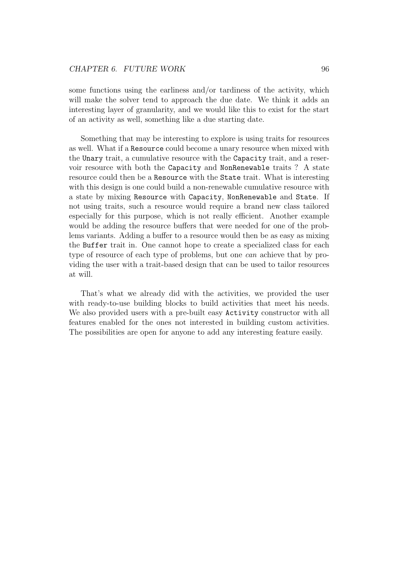some functions using the earliness and/or tardiness of the activity, which will make the solver tend to approach the due date. We think it adds an interesting layer of granularity, and we would like this to exist for the start of an activity as well, something like a due starting date.

Something that may be interesting to explore is using traits for resources as well. What if a Resource could become a unary resource when mixed with the Unary trait, a cumulative resource with the Capacity trait, and a reservoir resource with both the Capacity and NonRenewable traits ? A state resource could then be a Resource with the State trait. What is interesting with this design is one could build a non-renewable cumulative resource with a state by mixing Resource with Capacity, NonRenewable and State. If not using traits, such a resource would require a brand new class tailored especially for this purpose, which is not really efficient. Another example would be adding the resource buffers that were needed for one of the problems variants. Adding a buffer to a resource would then be as easy as mixing the Buffer trait in. One cannot hope to create a specialized class for each type of resource of each type of problems, but one can achieve that by providing the user with a trait-based design that can be used to tailor resources at will.

That's what we already did with the activities, we provided the user with ready-to-use building blocks to build activities that meet his needs. We also provided users with a pre-built easy Activity constructor with all features enabled for the ones not interested in building custom activities. The possibilities are open for anyone to add any interesting feature easily.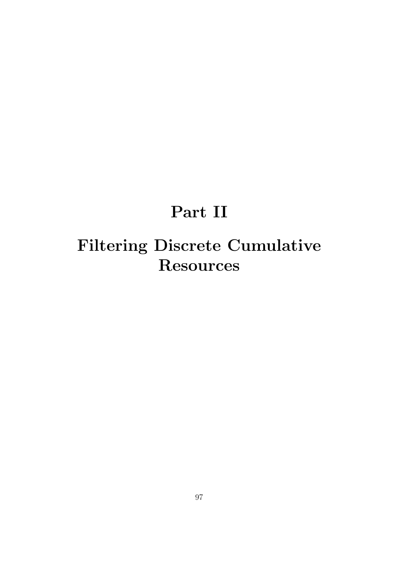# Part II

# Filtering Discrete Cumulative Resources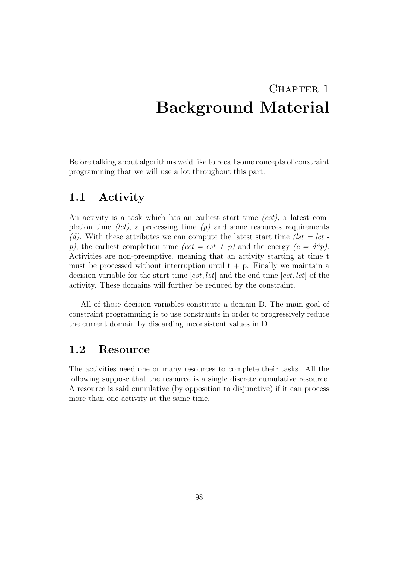## CHAPTER<sub>1</sub> Background Material

Before talking about algorithms we'd like to recall some concepts of constraint programming that we will use a lot throughout this part.

### 1.1 Activity

An activity is a task which has an earliest start time (est), a latest completion time *(lct)*, a processing time  $(p)$  and some resources requirements (d). With these attributes we can compute the latest start time (lst = lct p), the earliest completion time  $\text{(\textit{ect} = \textit{est} + p) }$  and the energy  $\text{(\textit{e} = d^*p)}$ . Activities are non-preemptive, meaning that an activity starting at time t must be processed without interruption until  $t + p$ . Finally we maintain a decision variable for the start time  $[est, lst]$  and the end time  $[ect, let]$  of the activity. These domains will further be reduced by the constraint.

All of those decision variables constitute a domain D. The main goal of constraint programming is to use constraints in order to progressively reduce the current domain by discarding inconsistent values in D.

### 1.2 Resource

The activities need one or many resources to complete their tasks. All the following suppose that the resource is a single discrete cumulative resource. A resource is said cumulative (by opposition to disjunctive) if it can process more than one activity at the same time.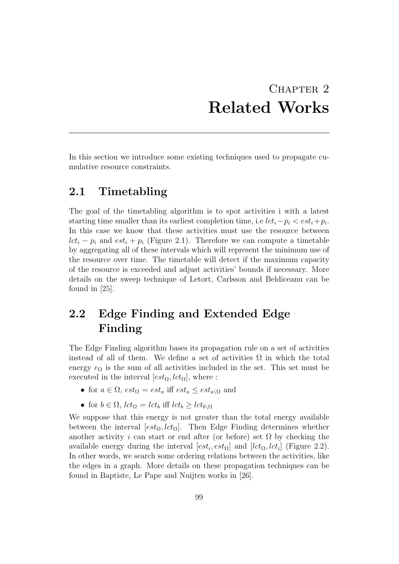## CHAPTER 2 Related Works

In this section we introduce some existing techniques used to propagate cumulative resource constraints.

#### 2.1 Timetabling

The goal of the timetabling algorithm is to spot activities i with a latest starting time smaller than its earliest completion time, i.e  $lct_i-p_i < est_i+p_i$ . In this case we know that these activities must use the resource between  $lct_i - p_i$  and  $est_i + p_i$  (Figure 2.1). Therefore we can compute a timetable by aggregating all of these intervals which will represent the minimum use of the resource over time. The timetable will detect if the maximum capacity of the resource is exceeded and adjust activities' bounds if necessary. More details on the sweep technique of Letort, Carlsson and Beldiceanu can be found in [25].

## 2.2 Edge Finding and Extended Edge Finding

The Edge Finding algorithm bases its propagation rule on a set of activities instead of all of them. We define a set of activities  $\Omega$  in which the total energy  $e_{\Omega}$  is the sum of all activities included in the set. This set must be executed in the interval  $[est_{\Omega}, lct_{\Omega}]$ , where :

- for  $a \in \Omega$ ,  $est_{\Omega} = est_a$  iff  $est_a \leq est_{a\setminus\Omega}$  and
- for  $b \in \Omega$ ,  $lct_{\Omega} = lct_b$  iff  $lct_b \geq lct_{b\setminus\Omega}$

We suppose that this energy is not greater than the total energy available between the interval  $[est_{\Omega}, lct_{\Omega}]$ . Then Edge Finding determines whether another activity i can start or end after (or before) set  $\Omega$  by checking the available energy during the interval  $[est_i, est_\Omega]$  and  $[let_\Omega, let_i]$  (Figure 2.2). In other words, we search some ordering relations between the activities, like the edges in a graph. More details on these propagation techniques can be found in Baptiste, Le Pape and Nuijten works in [26].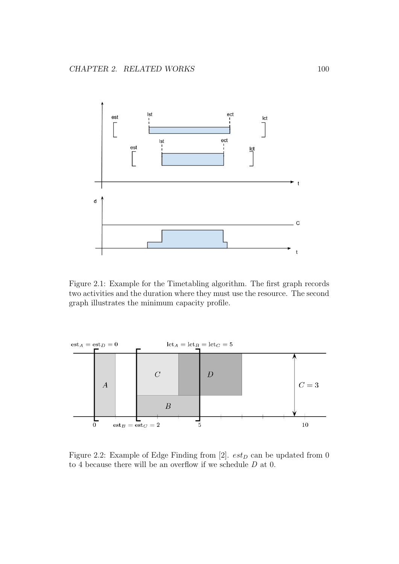

Figure 2.1: Example for the Timetabling algorithm. The first graph records two activities and the duration where they must use the resource. The second graph illustrates the minimum capacity profile.



Figure 2.2: Example of Edge Finding from [2].  $est_D$  can be updated from 0 to 4 because there will be an overflow if we schedule  $D$  at 0.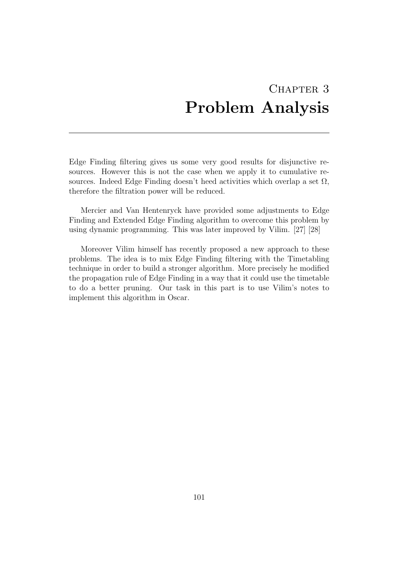## CHAPTER 3 Problem Analysis

Edge Finding filtering gives us some very good results for disjunctive resources. However this is not the case when we apply it to cumulative resources. Indeed Edge Finding doesn't heed activities which overlap a set  $\Omega$ , therefore the filtration power will be reduced.

Mercier and Van Hentenryck have provided some adjustments to Edge Finding and Extended Edge Finding algorithm to overcome this problem by using dynamic programming. This was later improved by Vilim. [27] [28]

Moreover Vilim himself has recently proposed a new approach to these problems. The idea is to mix Edge Finding filtering with the Timetabling technique in order to build a stronger algorithm. More precisely he modified the propagation rule of Edge Finding in a way that it could use the timetable to do a better pruning. Our task in this part is to use Vilim's notes to implement this algorithm in Oscar.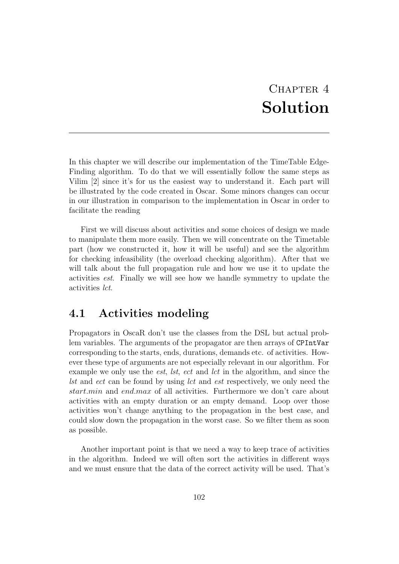## CHAPTER<sub>4</sub> Solution

In this chapter we will describe our implementation of the TimeTable Edge-Finding algorithm. To do that we will essentially follow the same steps as Vilim [2] since it's for us the easiest way to understand it. Each part will be illustrated by the code created in Oscar. Some minors changes can occur in our illustration in comparison to the implementation in Oscar in order to facilitate the reading

First we will discuss about activities and some choices of design we made to manipulate them more easily. Then we will concentrate on the Timetable part (how we constructed it, how it will be useful) and see the algorithm for checking infeasibility (the overload checking algorithm). After that we will talk about the full propagation rule and how we use it to update the activities est. Finally we will see how we handle symmetry to update the activities lct.

### 4.1 Activities modeling

Propagators in OscaR don't use the classes from the DSL but actual problem variables. The arguments of the propagator are then arrays of CPIntVar corresponding to the starts, ends, durations, demands etc. of activities. However these type of arguments are not especially relevant in our algorithm. For example we only use the *est*, *lst*, *ect* and *lct* in the algorithm, and since the lst and ect can be found by using lct and est respectively, we only need the start.min and end.max of all activities. Furthermore we don't care about activities with an empty duration or an empty demand. Loop over those activities won't change anything to the propagation in the best case, and could slow down the propagation in the worst case. So we filter them as soon as possible.

Another important point is that we need a way to keep trace of activities in the algorithm. Indeed we will often sort the activities in different ways and we must ensure that the data of the correct activity will be used. That's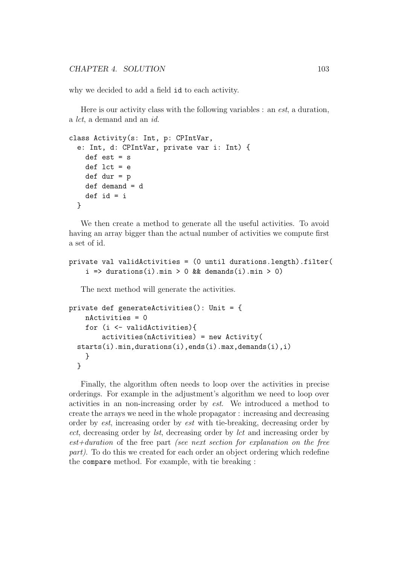why we decided to add a field id to each activity.

Here is our activity class with the following variables : an est, a duration, a lct, a demand and an id.

```
class Activity(s: Int, p: CPIntVar,
  e: Int, d: CPIntVar, private var i: Int) {
    def est = sdef lct = edef dur = p
    def demand = d
    def id = i
  }
```
We then create a method to generate all the useful activities. To avoid having an array bigger than the actual number of activities we compute first a set of id.

```
private val validActivities = (0 until durations.length).filter(
    i \Rightarrow durations(i).min > 0 && demands(i).min > 0)
```
The next method will generate the activities.

```
private def generateActivities(): Unit = {
    nActivities = 0
    for (i <- validActivities){
        activities(nActivities) = new Activity(
  starts(i).min,durations(i),ends(i).max,demands(i),i)
    }
  }
```
Finally, the algorithm often needs to loop over the activities in precise orderings. For example in the adjustment's algorithm we need to loop over activities in an non-increasing order by est. We introduced a method to create the arrays we need in the whole propagator : increasing and decreasing order by est, increasing order by est with tie-breaking, decreasing order by ect, decreasing order by lst, decreasing order by lct and increasing order by est+duration of the free part (see next section for explanation on the free part). To do this we created for each order an object ordering which redefine the compare method. For example, with tie breaking :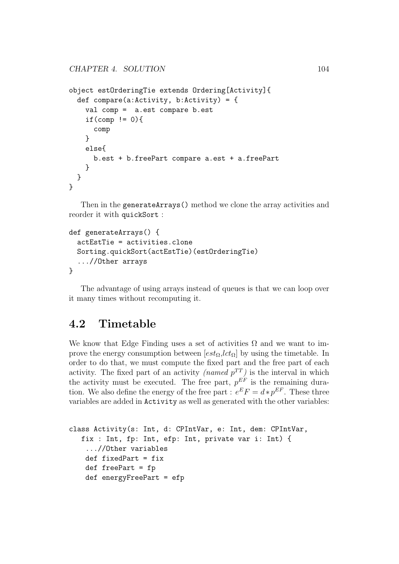```
object estOrderingTie extends Ordering[Activity]{
  def compare(a:Activity, b:Activity) = {
    val comp = a.est compare b.est
    if(comp != 0){
      comp
    }
    else{
      b.est + b.freePart compare a.est + a.freePart
    }
  }
}
```
Then in the generateArrays() method we clone the array activities and reorder it with quickSort :

```
def generateArrays() {
  actEstTie = activities.clone
  Sorting.quickSort(actEstTie)(estOrderingTie)
  ...//Other arrays
}
```
The advantage of using arrays instead of queues is that we can loop over it many times without recomputing it.

### 4.2 Timetable

We know that Edge Finding uses a set of activities  $\Omega$  and we want to improve the energy consumption between  $[est_{\Omega}, lct_{\Omega}]$  by using the timetable. In order to do that, we must compute the fixed part and the free part of each activity. The fixed part of an activity *(named*  $p^{TT}$ *)* is the interval in which the activity must be executed. The free part,  $p^{EF}$  is the remaining duration. We also define the energy of the free part :  $e^{E}F = d * p^{EF}$ . These three variables are added in Activity as well as generated with the other variables:

```
class Activity(s: Int, d: CPIntVar, e: Int, dem: CPIntVar,
  fix : Int, fp: Int, efp: Int, private var i: Int) {
    ...//Other variables
   def fixedPart = fix
   def freePart = fp
   def energyFreePart = efp
```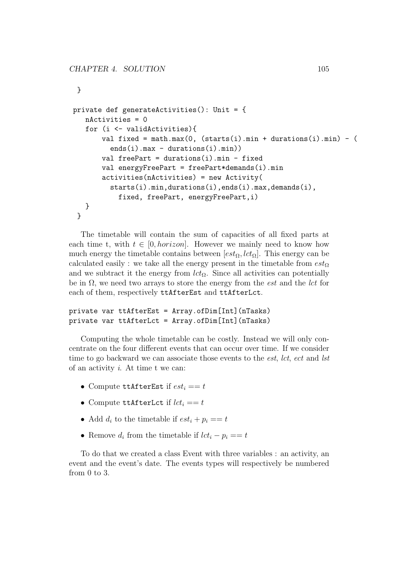```
}
private def generateActivities(): Unit = {
   nActivities = 0
   for (i <- validActivities){
       val fixed = math.max(0, (starts(i).min + durations(i).min) - (ends(i).max - durations(i).min))
       val freePart = durations(i).min - fixed
       val energyFreePart = freePart*demands(i).min
       activities(nActivities) = new Activity(
         starts(i).min,durations(i),ends(i).max,demands(i),
           fixed, freePart, energyFreePart,i)
  }
 }
```
The timetable will contain the sum of capacities of all fixed parts at each time t, with  $t \in [0, horizon]$ . However we mainly need to know how much energy the timetable contains between  $[est_{\Omega}, lct_{\Omega}]$ . This energy can be calculated easily : we take all the energy present in the timetable from  $est_{\Omega}$ and we subtract it the energy from  $lct_{\Omega}$ . Since all activities can potentially be in  $\Omega$ , we need two arrays to store the energy from the *est* and the *lct* for each of them, respectively ttAfterEst and ttAfterLct.

#### private var ttAfterEst = Array.ofDim[Int](nTasks) private var ttAfterLct = Array.ofDim[Int](nTasks)

Computing the whole timetable can be costly. Instead we will only concentrate on the four different events that can occur over time. If we consider time to go backward we can associate those events to the *est*, lct, ect and lst of an activity  $i$ . At time t we can:

- Compute ttAfterEst if  $est_i == t$
- Compute ttAfterLct if  $lct_i == t$
- Add  $d_i$  to the timetable if  $est_i + p_i == t$
- Remove  $d_i$  from the timetable if  $lct_i p_i == t$

To do that we created a class Event with three variables : an activity, an event and the event's date. The events types will respectively be numbered from 0 to 3.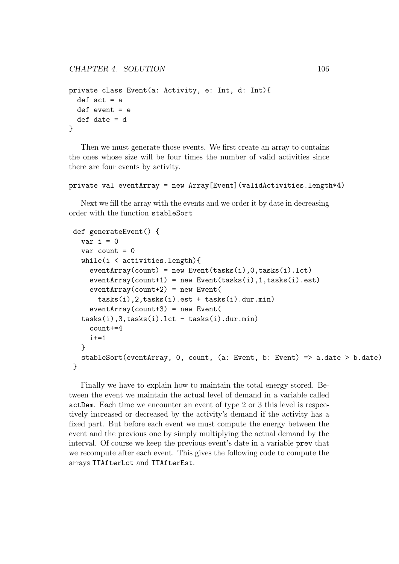```
private class Event(a: Activity, e: Int, d: Int){
  def act = a
  def event = edef date = d
}
```
Then we must generate those events. We first create an array to contains the ones whose size will be four times the number of valid activities since there are four events by activity.

#### private val eventArray = new Array[Event](validActivities.length\*4)

Next we fill the array with the events and we order it by date in decreasing order with the function stableSort

```
def generateEvent() {
 var i = 0
 var count = 0while(i < activities.length){
   eventArray(count) = new Event(tasks(i),0,tasks(i).lct)
   eventArray(count+1) = new Event(tasks(i), 1, tasks(i).est)eventArray(count+2) = new Event(tasks(i),2,tasks(i).est + tasks(i).dur.min)
   eventArray(count+3) = new Event(tasks(i), 3, tasks(i).lct - tasks(i).dur.min)
   count+=4
   i+=1}
 stableSort(eventArray, 0, count, (a: Event, b: Event) => a.date > b.date)
}
```
Finally we have to explain how to maintain the total energy stored. Between the event we maintain the actual level of demand in a variable called actDem. Each time we encounter an event of type 2 or 3 this level is respectively increased or decreased by the activity's demand if the activity has a fixed part. But before each event we must compute the energy between the event and the previous one by simply multiplying the actual demand by the interval. Of course we keep the previous event's date in a variable prev that we recompute after each event. This gives the following code to compute the arrays TTAfterLct and TTAfterEst.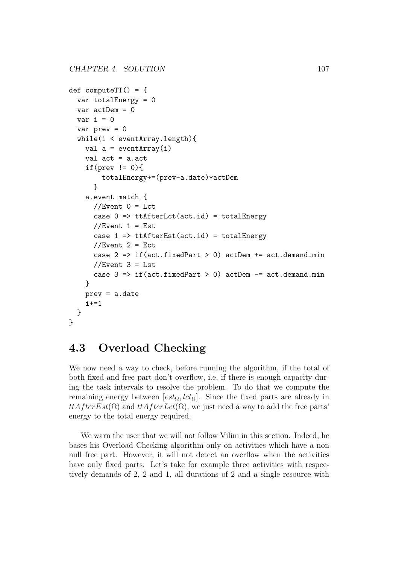```
def computeTT() = {var totalEnergy = 0
  var actDem = 0
  var i = 0
  var prev = 0
  while(i < eventArray.length){
    val a = eventArray(i)val act = a.actif(prev != 0){
        totalEnergy+=(prev-a.date)*actDem
      }
    a.event match {
      //Event 0 = Lct
      case 0 \Rightarrow tttAfterLct(act.id) = totalEnergy
      //Event 1 = Est
      case 1 => ttAfterEst(act.id) = totalEnergy
      //Event 2 = Ectcase 2 \Rightarrow if(act.fixedPart > 0) actDem += act.demand.min
      //Event 3 = Lstcase 3 \Rightarrow if(act.fixedPart > 0) actDem = act.demand.min
    }
    prev = a.date
    i+=1}
}
```
#### 4.3 Overload Checking

We now need a way to check, before running the algorithm, if the total of both fixed and free part don't overflow, i.e, if there is enough capacity during the task intervals to resolve the problem. To do that we compute the remaining energy between  $[est_{\Omega}, lct_{\Omega}]$ . Since the fixed parts are already in  $ttAfterEst(\Omega)$  and  $ttAfterLet(\Omega)$ , we just need a way to add the free parts' energy to the total energy required.

We warn the user that we will not follow Vilim in this section. Indeed, he bases his Overload Checking algorithm only on activities which have a non null free part. However, it will not detect an overflow when the activities have only fixed parts. Let's take for example three activities with respectively demands of 2, 2 and 1, all durations of 2 and a single resource with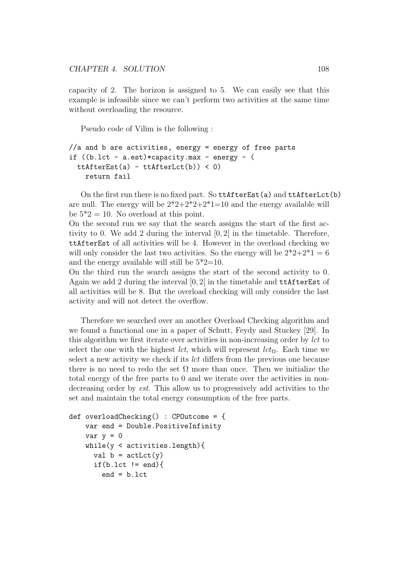capacity of 2. The horizon is assigned to 5. We can easily see that this example is infeasible since we can't perform two activities at the same time without overloading the resource.

Pseudo code of Vilim is the following :

```
//a and b are activities, energy = energy of free parts
if ((b.lct - a.est)*capacity.max - energy - (
 ttAfterEst(a) - ttfterLct(b)) < 0return fail
```
On the first run there is no fixed part. So ttAfterEst(a) and ttAfterLct(b) are null. The energy will be  $2^*2+2^*2+2^*1=10$  and the energy available will be  $5^*2 = 10$ . No overload at this point.

On the second run we say that the search assigns the start of the first activity to 0. We add 2 during the interval  $[0, 2]$  in the timetable. Therefore, ttAfterEst of all activities will be 4. However in the overload checking we will only consider the last two activities. So the energy will be  $2^*2+2^*1=6$ and the energy available will still be  $5^*2=10$ .

On the third run the search assigns the start of the second activity to 0. Again we add 2 during the interval [0, 2[ in the timetable and ttAfterEst of all activities will be 8. But the overload checking will only consider the last activity and will not detect the overflow.

Therefore we searched over an another Overload Checking algorithm and we found a functional one in a paper of Schutt, Feydy and Stuckey [29]. In this algorithm we first iterate over activities in non-increasing order by lct to select the one with the highest *lct*, which will represent  $lct_{\Omega}$ . Each time we select a new activity we check if its lct differs from the previous one because there is no need to redo the set  $\Omega$  more than once. Then we initialize the total energy of the free parts to 0 and we iterate over the activities in nondecreasing order by est. This allow us to progressively add activities to the set and maintain the total energy consumption of the free parts.

```
def overloadChecking() : CPOutcome = {
   var end = Double.PositiveInfinity
   var y = 0while(y < activities.length){
     val b = actLct(y)if(b.lct != end){
        end = b.lct
```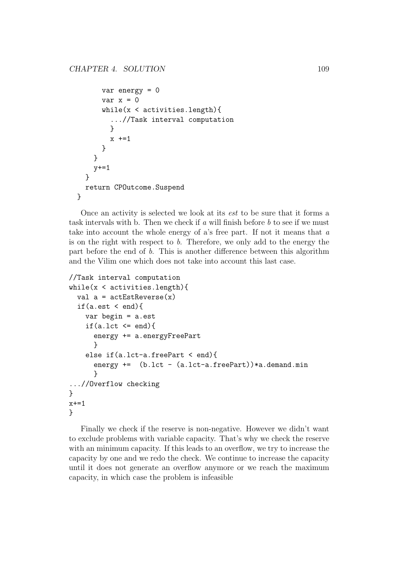```
var energy = 0
      var x = 0while(x < activities.length){
        ...//Task interval computation
        }
        x +=1
      }
    }
    y+=1}
  return CPOutcome.Suspend
}
```
Once an activity is selected we look at its est to be sure that it forms a task intervals with b. Then we check if  $a$  will finish before  $b$  to see if we must take into account the whole energy of a's free part. If not it means that a is on the right with respect to  $b$ . Therefore, we only add to the energy the part before the end of b. This is another difference between this algorithm and the Vilim one which does not take into account this last case.

```
//Task interval computation
while(x < activities.length){
  val a = actEstReverse(x)if(a.est < end){
    var begin = a.est
    if(a.lct \leq end){
      energy += a.energyFreePart
      }
    else if(a.lct-a.freePart < end){
      energy += (b.lct - (a.lct-a.freePart))*a.demand.min}
...//Overflow checking
}
x + = 1}
```
Finally we check if the reserve is non-negative. However we didn't want to exclude problems with variable capacity. That's why we check the reserve with an minimum capacity. If this leads to an overflow, we try to increase the capacity by one and we redo the check. We continue to increase the capacity until it does not generate an overflow anymore or we reach the maximum capacity, in which case the problem is infeasible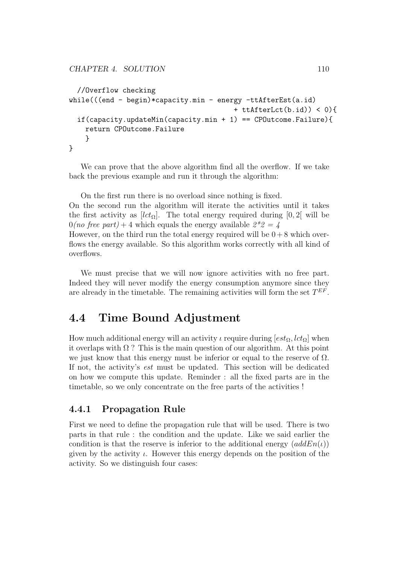```
//Overflow checking
while(((end - begin)*capacity.min - energy -ttAfterEst(a.id)
                                         + ttAfterLct(b.id)) < 0){
  if(capacity.updateMin(capacity.min + 1) == CPOutcome.Failure){
    return CPOutcome.Failure
    }
}
```
We can prove that the above algorithm find all the overflow. If we take back the previous example and run it through the algorithm:

On the first run there is no overload since nothing is fixed. On the second run the algorithm will iterate the activities until it takes the first activity as  $[lct_{\Omega}]$ . The total energy required during [0, 2] will be  $0(no \text{ free part}) + 4$  which equals the energy available  $2^*2 = 4$ However, on the third run the total energy required will be  $0 + 8$  which overflows the energy available. So this algorithm works correctly with all kind of overflows.

We must precise that we will now ignore activities with no free part. Indeed they will never modify the energy consumption anymore since they are already in the timetable. The remaining activities will form the set  $T^{EF}$ .

### 4.4 Time Bound Adjustment

How much additional energy will an activity  $\iota$  require during  $[est_{\Omega}, lct_{\Omega}]$  when it overlaps with  $\Omega$  ? This is the main question of our algorithm. At this point we just know that this energy must be inferior or equal to the reserve of  $\Omega$ . If not, the activity's est must be updated. This section will be dedicated on how we compute this update. Reminder : all the fixed parts are in the timetable, so we only concentrate on the free parts of the activities !

#### 4.4.1 Propagation Rule

First we need to define the propagation rule that will be used. There is two parts in that rule : the condition and the update. Like we said earlier the condition is that the reserve is inferior to the additional energy  $(\text{addEn}(\iota))$ given by the activity  $\iota$ . However this energy depends on the position of the activity. So we distinguish four cases: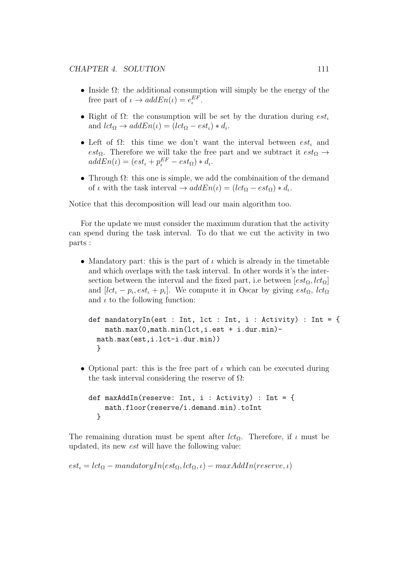- Inside  $\Omega$ : the additional consumption will simply be the energy of the free part of  $\iota \to addEn(\iota) = e^{EF}_{\iota}$ .
- Right of  $\Omega$ : the consumption will be set by the duration during  $est<sub>l</sub>$ and  $lct_{\Omega} \rightarrow addEn(\iota) = (lct_{\Omega} - est_{\iota}) * d_{\iota}.$
- Left of  $\Omega$ : this time we don't want the interval between  $est_{\iota}$  and est<sub>Ω</sub>. Therefore we will take the free part and we subtract it  $est_{\Omega} \rightarrow$  $addEn(\iota) = (est_{\iota} + p_{\iota}^{EF} - est_{\Omega}) * d_{\iota}.$
- Through  $\Omega$ : this one is simple, we add the combination of the demand of  $\iota$  with the task interval  $\to addEn(\iota) = (lct_{\Omega} - est_{\Omega}) * d_{\iota}$ .

Notice that this decomposition will lead our main algorithm too.

For the update we must consider the maximum duration that the activity can spend during the task interval. To do that we cut the activity in two parts :

• Mandatory part: this is the part of  $\iota$  which is already in the timetable and which overlaps with the task interval. In other words it's the intersection between the interval and the fixed part, i.e between  $[est_{\Omega}, lct_{\Omega}]$ and  $[lct_{\iota} - p_{\iota}, est_{\iota} + p_{\iota}]$ . We compute it in Oscar by giving  $est_{\Omega}, \, lct_{\Omega}$ and  $\iota$  to the following function:

```
def mandatoryIn(est : Int, lct : Int, i : Activity) : Int = {
    math.max(0,math.min(lct,i.est + i.dur.min)-
 math.max(est,i.lct-i.dur.min))
  }
```
• Optional part: this is the free part of  $\iota$  which can be executed during the task interval considering the reserve of  $\Omega$ :

```
def maxAddIn(reserve: Int, i : Activity) : Int = {
    math.floor(reserve/i.demand.min).toInt
  }
```
The remaining duration must be spent after  $lct_{\Omega}$ . Therefore, if  $\iota$  must be updated, its new est will have the following value:

 $est_{\iota} = lct_{\Omega} - mandatoryIn(est_{\Omega}, lct_{\Omega}, \iota) - maxAddIn(reserve, \iota)$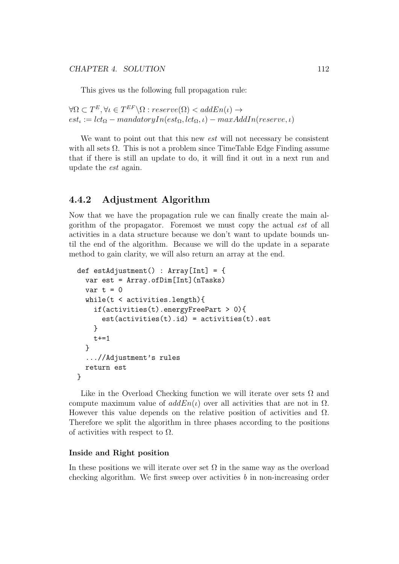This gives us the following full propagation rule:

 $\forall \Omega \subset T^E, \forall \iota \in T^{EF} \backslash \Omega : reserve(\Omega) < addEn(\iota) \rightarrow$  $est_{\iota} := lct_{\Omega} - mandatoryIn(est_{\Omega}, lct_{\Omega}, \iota) - maxAddIn(reserve, \iota)$ 

We want to point out that this new *est* will not necessary be consistent with all sets  $\Omega$ . This is not a problem since TimeTable Edge Finding assume that if there is still an update to do, it will find it out in a next run and update the est again.

#### 4.4.2 Adjustment Algorithm

Now that we have the propagation rule we can finally create the main algorithm of the propagator. Foremost we must copy the actual est of all activities in a data structure because we don't want to update bounds until the end of the algorithm. Because we will do the update in a separate method to gain clarity, we will also return an array at the end.

```
def estAdjustment() : Array[Int] = {
  var est = Array.ofDim[Int](nTasks)
  var t = 0while(t < activities.length){
    if(activities(t).energyFreePart > 0){
      est(activities(t).id) = activities(t).est}
    t+=1}
  ...//Adjustment's rules
  return est
}
```
Like in the Overload Checking function we will iterate over sets  $\Omega$  and compute maximum value of  $addEn(\iota)$  over all activities that are not in  $\Omega$ . However this value depends on the relative position of activities and  $\Omega$ . Therefore we split the algorithm in three phases according to the positions of activities with respect to  $\Omega$ .

#### Inside and Right position

In these positions we will iterate over set  $\Omega$  in the same way as the overload checking algorithm. We first sweep over activities  $b$  in non-increasing order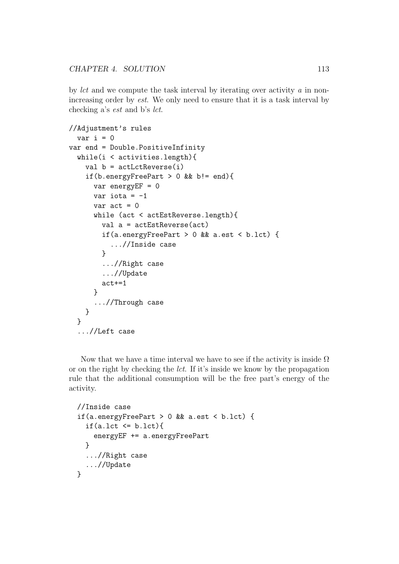CHAPTER 4. SOLUTION 113

by lct and we compute the task interval by iterating over activity  $\alpha$  in nonincreasing order by est. We only need to ensure that it is a task interval by checking a's est and b's lct.

```
//Adjustment's rules
  var i = 0
var end = Double.PositiveInfinity
  while(i < activities.length){
    val b = actLctReverse(i)if(b.energyFreePart > 0 && b!= end){
      var energyEF = 0
      var iota = -1var act = 0while (act < actEstReverse.length){
        val a = actEstReverse(act)
        if(a.energyFreePart > 0 && a.est < b.lct) {
          ...//Inside case
        }
        ...//Right case
        ...//Update
        act+=1
      }
      ...//Through case
    }
  }
  ...//Left case
```
Now that we have a time interval we have to see if the activity is inside  $\Omega$ or on the right by checking the lct. If it's inside we know by the propagation rule that the additional consumption will be the free part's energy of the activity.

```
//Inside case
if(a.energyFreePart > 0 && a.est < b.lct) {
  if(a.lct \leq b.lct){
    energyEF += a.energyFreePart
  }
  ...//Right case
  ...//Update
}
```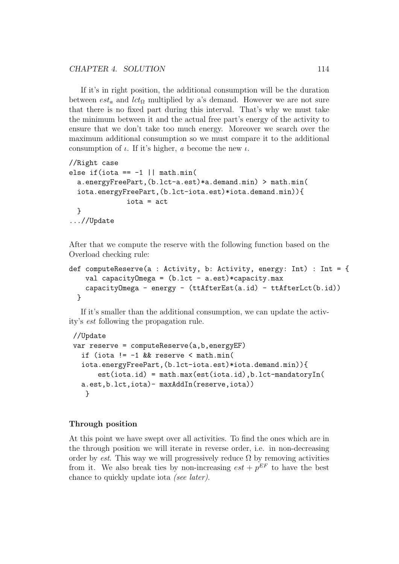If it's in right position, the additional consumption will be the duration between  $est_a$  and  $lct_\Omega$  multiplied by a's demand. However we are not sure that there is no fixed part during this interval. That's why we must take the minimum between it and the actual free part's energy of the activity to ensure that we don't take too much energy. Moreover we search over the maximum additional consumption so we must compare it to the additional consumption of  $\iota$ . If it's higher, a become the new  $\iota$ .

```
//Right case
else if(iota == -1 || math.min(
  a.energyFreePart,(b.lct-a.est)*a.demand.min) > math.min(
  iota.energyFreePart,(b.lct-iota.est)*iota.demand.min)){
              iota = act
  }
...//Update
```
After that we compute the reserve with the following function based on the Overload checking rule:

```
def computeReserve(a : Activity, b: Activity, energy: Int) : Int = {
    val capacity Omega = (b.1ct - a.est) * capacity.maxcapacityOmega - energy - (ttAfterEst(a.id) - ttAfterLct(b.id))
  }
```
If it's smaller than the additional consumption, we can update the activity's est following the propagation rule.

```
//Update
var reserve = computeReserve(a,b,energyEF)
 if (iota != -1 && reserve < math.min(
 iota.energyFreePart,(b.lct-iota.est)*iota.demand.min)){
      est(iota.id) = math.max(est(iota.id),b.lct-mandatoryIn(
 a.est,b.lct,iota)- maxAddIn(reserve,iota))
  }
```
#### Through position

At this point we have swept over all activities. To find the ones which are in the through position we will iterate in reverse order, i.e. in non-decreasing order by est. This way we will progressively reduce  $\Omega$  by removing activities from it. We also break ties by non-increasing  $est + p^{EF}$  to have the best chance to quickly update iota (see later).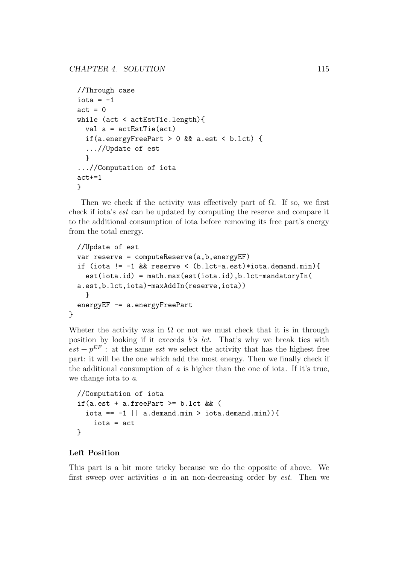```
//Through case
iota = -1act = 0while (act < actEstTie.length){
  val a = actEstTie(act)if(a.energyFreePart > 0 && a.est < b.lct) {
  ...//Update of est
  }
...//Computation of iota
act+=1
}
```
Then we check if the activity was effectively part of  $\Omega$ . If so, we first check if iota's est can be updated by computing the reserve and compare it to the additional consumption of iota before removing its free part's energy from the total energy.

```
//Update of est
var reserve = computeReserve(a,b,energyEF)
if (iota != -1 && reserve < (b.lct-a.est)*iota.demand.min){
  est(iota.id) = math.max(est(iota.id),b.lct-mandatoryIn(
a.est,b.lct,iota)-maxAddIn(reserve,iota))
  }
energyEF -= a.energyFreePart
```
Wheter the activity was in  $\Omega$  or not we must check that it is in through position by looking if it exceeds  $b$ 's *lct*. That's why we break ties with  $est + p^{EF}$ : at the same *est* we select the activity that has the highest free part: it will be the one which add the most energy. Then we finally check if the additional consumption of  $a$  is higher than the one of iota. If it's true, we change iota to a.

```
//Computation of iota
if(a.est + a.freePart >= b.lct && (
  iota == -1 || a.demand.min > iota.demand.min)){
    iota = act
}
```
#### Left Position

}

This part is a bit more tricky because we do the opposite of above. We first sweep over activities  $\alpha$  in an non-decreasing order by *est*. Then we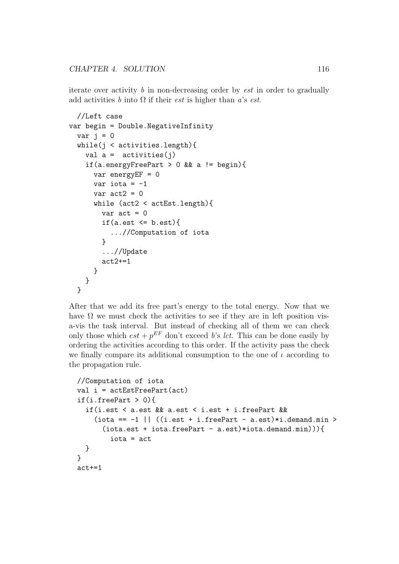CHAPTER 4. SOLUTION 116

iterate over activity  $\bar{b}$  in non-decreasing order by *est* in order to gradually add activities b into  $\Omega$  if their *est* is higher than a's *est*.

```
//Left case
var begin = Double.NegativeInfinity
  var j = 0while(j < activities.length){
    val a = activities(i)
    if(a.energyFreePart > 0 && a != begin){
      var energyEF = 0
      var iota = -1var act2 = 0while (act2 < actEst.length){
        var act = 0if(a.est \leq b.est){
          ...//Computation of iota
        }
        ...//Update
        act2 += 1}
    }
  }
```
After that we add its free part's energy to the total energy. Now that we have  $\Omega$  we must check the activities to see if they are in left position visa-vis the task interval. But instead of checking all of them we can check only those which  $est + p^{EF}$  don't exceed b's lct. This can be done easily by ordering the activities according to this order. If the activity pass the check we finally compare its additional consumption to the one of  $\iota$  according to the propagation rule.

```
//Computation of iota
val i = actEstFreePart(act)
if(i.freePart > 0){
  if(i.est < a.est && a.est < i.est + i.freePart &&
    (iota == -1 || ((i.est + i.freePart - a.est) * i.demand.min >(iota.est + iota.freePart - a.est) *iota.demand.min))iota = act
  }
}
act+=1
```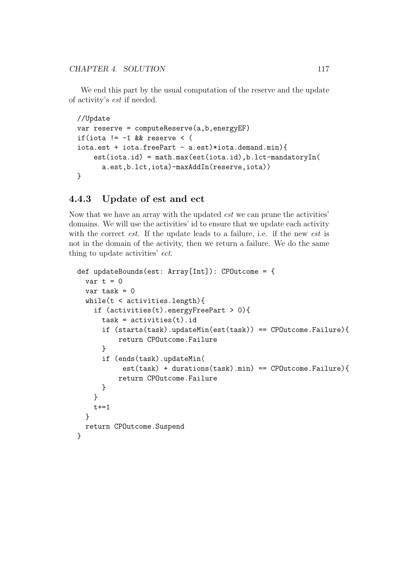We end this part by the usual computation of the reserve and the update of activity's est if needed.

```
//Update
var reserve = computeReserve(a,b,energyEF)
if(iota != -1 && reserve < (
iota.set + iota.freePart - a.set)*iota.demand.minest(iota.id) = math.max(est(iota.id),b.lct-mandatoryIn(
      a.est,b.lct,iota)-maxAddIn(reserve,iota))
}
```
#### 4.4.3 Update of est and ect

Now that we have an array with the updated est we can prune the activities' domains. We will use the activities' id to ensure that we update each activity with the correct *est*. If the update leads to a failure, i.e. if the new *est* is not in the domain of the activity, then we return a failure. We do the same thing to update activities' ect.

```
def updateBounds(est: Array[Int]): CPOutcome = {
 var t = 0var task = 0while(t < activities.length){
    if (activities(t).energyFreePart > 0){
      task = activities(t).idif (starts(task).updateMin(est(task)) == CPOutcome.Failure){
          return CPOutcome.Failure
     }
      if (ends(task).updateMin(
           est(task) + durations(task) .min) == CPUutcome.Failure){
          return CPOutcome.Failure
     }
   }
   t+=1}
 return CPOutcome.Suspend
}
```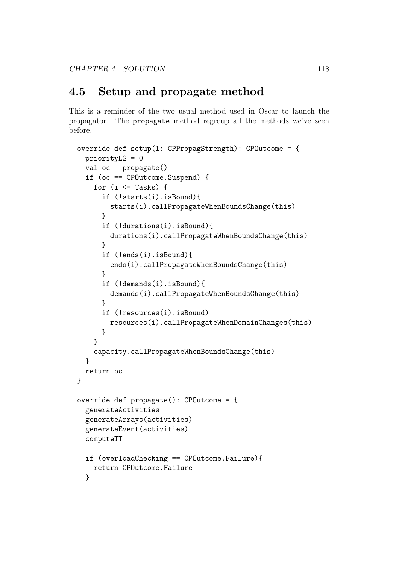### 4.5 Setup and propagate method

This is a reminder of the two usual method used in Oscar to launch the propagator. The propagate method regroup all the methods we've seen before.

```
override def setup(l: CPPropagStrength): CPOutcome = {
  priorityL2 = 0
  val oc = propagate()if (oc == CPOutcome.Suspend) {
    for (i \leq Tasks) {
      if (!starts(i).isBound){
        starts(i).callPropagateWhenBoundsChange(this)
      }
      if (!durations(i).isBound){
        durations(i).callPropagateWhenBoundsChange(this)
      }
      if (!ends(i).isBound){
        ends(i).callPropagateWhenBoundsChange(this)
      }
      if (!demands(i).isBound){
        demands(i).callPropagateWhenBoundsChange(this)
      }
      if (!resources(i).isBound)
        resources(i).callPropagateWhenDomainChanges(this)
      }
    }
    capacity.callPropagateWhenBoundsChange(this)
  }
  return oc
}
override def propagate(): CPOutcome = {
  generateActivities
  generateArrays(activities)
  generateEvent(activities)
  computeTT
  if (overloadChecking == CPOutcome.Failure){
    return CPOutcome.Failure
  }
```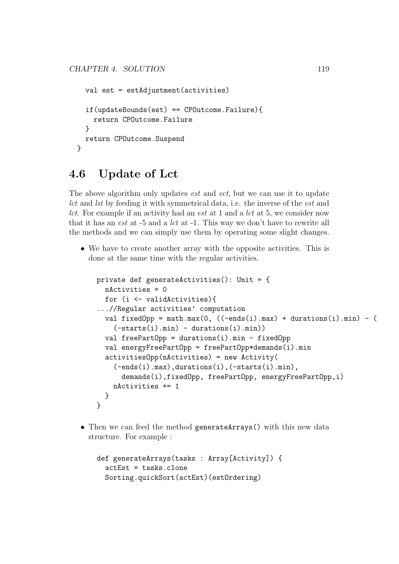```
val est = estAdjustment(activities)
  if(updateBounds(est) == CPOutcome.Failure){
    return CPOutcome.Failure
  }
  return CPOutcome.Suspend
}
```
## 4.6 Update of Lct

The above algorithm only updates *est* and *ect*, but we can use it to update lct and lst by feeding it with symmetrical data, i.e. the inverse of the est and lct. For example if an activity had an est at 1 and a lct at 5, we consider now that it has an *est* at -5 and a *lct* at -1. This way we don't have to rewrite all the methods and we can simply use them by operating some slight changes.

• We have to create another array with the opposite activities. This is done at the same time with the regular activities.

```
private def generateActivities(): Unit = {
  nActivities = 0
  for (i <- validActivities){
...//Regular activities' computation
  val fixedOpp = math.max(0, ((-ends(i).max) + durations(i).min) - ((-starts(i).min) - durations(i).min)val freePartOpp = durations(i).min - fixedOpp
  val energyFreePartOpp = freePartOpp*demands(i).min
  activitiesOpp(nActivities) = new Activity(
    (-ends(i).max),durations(i),(-starts(i).min),
      demands(i),fixedOpp, freePartOpp, energyFreePartOpp,i)
    nActivities += 1
  }
}
```
• Then we can feed the method generateArrays() with this new data structure. For example :

```
def generateArrays(tasks : Array[Activity]) {
  actEst = tasks.clone
 Sorting.quickSort(actEst)(estOrdering)
```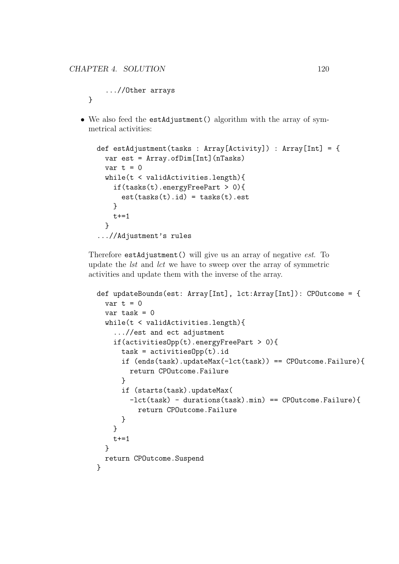```
...//Other arrays
}
```
• We also feed the estAdjustment () algorithm with the array of symmetrical activities:

```
def estAdjustment(tasks : Array[Activity]) : Array[Int] = {
 var est = Array.ofDim[Int](nTasks)
 var t = 0while(t < validActivities.length){
    if(tasks(t).energyFreePart > 0){
      est(tasks(t).id) = tasks(t).est}
   t+=1}
...//Adjustment's rules
```
Therefore estAdjustment() will give us an array of negative est. To update the lst and lct we have to sweep over the array of symmetric activities and update them with the inverse of the array.

```
def updateBounds(est: Array[Int], lct:Array[Int]): CPOutcome = {
 var t = 0var task = 0while(t < validActivities.length){
    ...//est and ect adjustment
    if(activitiesOpp(t).energyFreePart > 0){
      task = activitiesOpp(t).idif (ends(task).updateMax(-let(task)) == CDOutcome.Failure){return CPOutcome.Failure
      }
      if (starts(task).updateMax(
        -lct(task) - durations(task).min) == CPOutcome.Failure){
          return CPOutcome.Failure
      }
    }
    t+=1}
  return CPOutcome.Suspend
}
```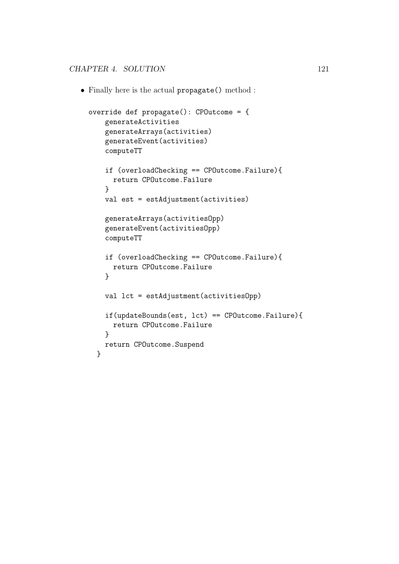• Finally here is the actual propagate() method :

```
override def propagate(): CPOutcome = {
    generateActivities
    generateArrays(activities)
    generateEvent(activities)
    computeTT
    if (overloadChecking == CPOutcome.Failure){
     return CPOutcome.Failure
    }
    val est = estAdjustment(activities)
    generateArrays(activitiesOpp)
    generateEvent(activitiesOpp)
    computeTT
    if (overloadChecking == CPOutcome.Failure){
     return CPOutcome.Failure
    }
   val lct = estAdjustment(activitiesOpp)
    if(updateBounds(est, lct) == CPOutcome.Failure){
      return CPOutcome.Failure
    }
   return CPOutcome.Suspend
  }
```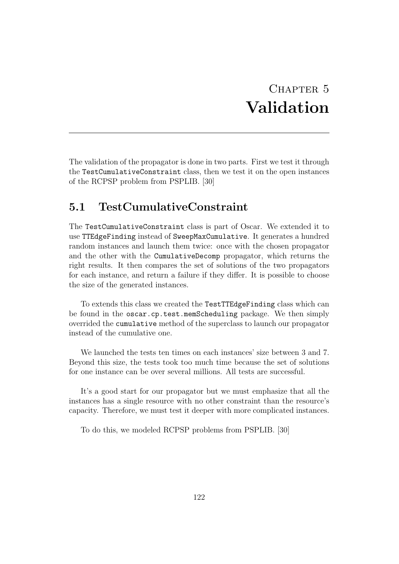## CHAPTER 5 Validation

The validation of the propagator is done in two parts. First we test it through the TestCumulativeConstraint class, then we test it on the open instances of the RCPSP problem from PSPLIB. [30]

#### 5.1 TestCumulativeConstraint

The TestCumulativeConstraint class is part of Oscar. We extended it to use TTEdgeFinding instead of SweepMaxCumulative. It generates a hundred random instances and launch them twice: once with the chosen propagator and the other with the CumulativeDecomp propagator, which returns the right results. It then compares the set of solutions of the two propagators for each instance, and return a failure if they differ. It is possible to choose the size of the generated instances.

To extends this class we created the TestTTEdgeFinding class which can be found in the oscar.cp.test.memScheduling package. We then simply overrided the cumulative method of the superclass to launch our propagator instead of the cumulative one.

We launched the tests ten times on each instances' size between 3 and 7. Beyond this size, the tests took too much time because the set of solutions for one instance can be over several millions. All tests are successful.

It's a good start for our propagator but we must emphasize that all the instances has a single resource with no other constraint than the resource's capacity. Therefore, we must test it deeper with more complicated instances.

To do this, we modeled RCPSP problems from PSPLIB. [30]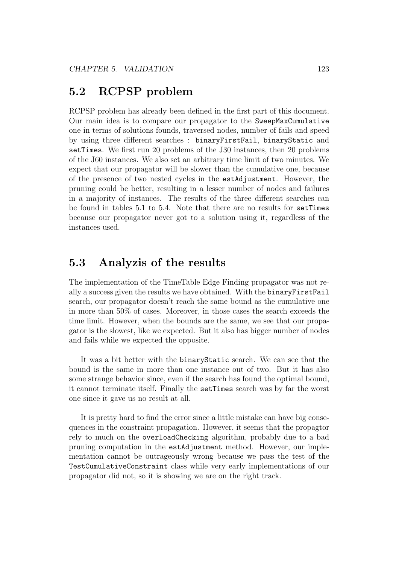### 5.2 RCPSP problem

RCPSP problem has already been defined in the first part of this document. Our main idea is to compare our propagator to the SweepMaxCumulative one in terms of solutions founds, traversed nodes, number of fails and speed by using three different searches : binaryFirstFail, binaryStatic and setTimes. We first run 20 problems of the J30 instances, then 20 problems of the J60 instances. We also set an arbitrary time limit of two minutes. We expect that our propagator will be slower than the cumulative one, because of the presence of two nested cycles in the estAdjustment. However, the pruning could be better, resulting in a lesser number of nodes and failures in a majority of instances. The results of the three different searches can be found in tables 5.1 to 5.4. Note that there are no results for setTimes because our propagator never got to a solution using it, regardless of the instances used.

#### 5.3 Analyzis of the results

The implementation of the TimeTable Edge Finding propagator was not really a success given the results we have obtained. With the binaryFirstFail search, our propagator doesn't reach the same bound as the cumulative one in more than 50% of cases. Moreover, in those cases the search exceeds the time limit. However, when the bounds are the same, we see that our propagator is the slowest, like we expected. But it also has bigger number of nodes and fails while we expected the opposite.

It was a bit better with the binaryStatic search. We can see that the bound is the same in more than one instance out of two. But it has also some strange behavior since, even if the search has found the optimal bound, it cannot terminate itself. Finally the setTimes search was by far the worst one since it gave us no result at all.

It is pretty hard to find the error since a little mistake can have big consequences in the constraint propagation. However, it seems that the propagtor rely to much on the overloadChecking algorithm, probably due to a bad pruning computation in the estAdjustment method. However, our implementation cannot be outrageously wrong because we pass the test of the TestCumulativeConstraint class while very early implementations of our propagator did not, so it is showing we are on the right track.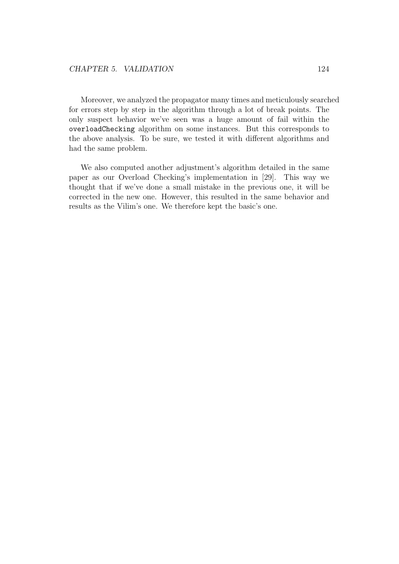Moreover, we analyzed the propagator many times and meticulously searched for errors step by step in the algorithm through a lot of break points. The only suspect behavior we've seen was a huge amount of fail within the overloadChecking algorithm on some instances. But this corresponds to the above analysis. To be sure, we tested it with different algorithms and had the same problem.

We also computed another adjustment's algorithm detailed in the same paper as our Overload Checking's implementation in [29]. This way we thought that if we've done a small mistake in the previous one, it will be corrected in the new one. However, this resulted in the same behavior and results as the Vilim's one. We therefore kept the basic's one.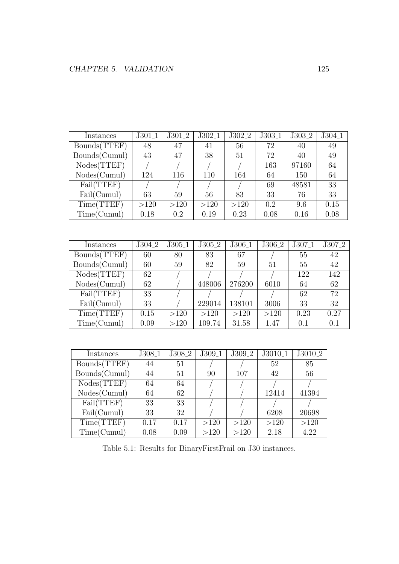| Instances     | $J301_1$ | $J301_2$ | $J302\_1$ | J302 <sub>-2</sub> | J303 <sub>-1</sub> | J303 <sub>-2</sub> | J304.1 |
|---------------|----------|----------|-----------|--------------------|--------------------|--------------------|--------|
| Bounds(TTEF)  | 48       | 47       | 41        | 56                 | 72                 | 40                 | 49     |
| Bounds(Cumul) | 43       | 47       | 38        | 51                 | 72                 | 40                 | 49     |
| Nodes(TTEF)   |          |          |           |                    | 163                | 97160              | 64     |
| Nodes(Cumul)  | 124      | 116      | 110       | 164                | 64                 | 150                | 64     |
| Fail(TTEF)    |          |          |           |                    | 69                 | 48581              | 33     |
| Fail(Cumul)   | 63       | 59       | 56        | 83                 | 33                 | 76                 | 33     |
| Time(TTEF)    | >120     | >120     | >120      | >120               | 0.2                | 9.6                | 0.15   |
| Time(Cumul)   | 0.18     | 0.2      | 0.19      | 0.23               | 0.08               | 0.16               | 0.08   |

| Instances     | J304 <sub>-2</sub> | $J305_1$ | $J305_2$ | $J306_1$ | J306 <sub>-2</sub> | J307 <sub>-1</sub> | $J307\_2$ |
|---------------|--------------------|----------|----------|----------|--------------------|--------------------|-----------|
| Bounds(TTEF)  | 60                 | 80       | 83       | 67       |                    | 55                 | 42        |
| Bounds(Cumul) | 60                 | 59       | 82       | 59       | 51                 | 55                 | 42        |
| Nodes(TTEF)   | 62                 |          |          |          |                    | 122                | 142       |
| Nodes(Cumul)  | 62                 |          | 448006   | 276200   | 6010               | 64                 | 62        |
| Fail(TTEF)    | 33                 |          |          |          |                    | 62                 | 72        |
| Fail(Cumul)   | 33                 |          | 229014   | 138101   | 3006               | 33                 | 32        |
| Time(TTEF)    | 0.15               | >120     | >120     | >120     | >120               | 0.23               | 0.27      |
| Time(Cumul)   | 0.09               | >120     | 109.74   | 31.58    | 1.47               | 0.1                | 0.1       |

| Instances     | $J308_1$ | J308 <sub>-2</sub> | $J309_1$ | J309 <sub>-2</sub> | $J3010\_1$ | J3010 <sub>-2</sub> |
|---------------|----------|--------------------|----------|--------------------|------------|---------------------|
| Bounds(TTEF)  | 44       | 51                 |          |                    | 52         | 85                  |
| Bounds(Cumul) | 44       | 51                 | 90       | 107                | 42         | 56                  |
| Nodes(TTEF)   | 64       | 64                 |          |                    |            |                     |
| Nodes(Cumul)  | 64       | 62                 |          |                    | 12414      | 41394               |
| Fail(TTEF)    | 33       | 33                 |          |                    |            |                     |
| Fail(Cumul)   | 33       | 32                 |          |                    | 6208       | 20698               |
| Time(TTEF)    | 0.17     | 0.17               | >120     | >120               | >120       | >120                |
| Time(Cumul)   | 0.08     | 0.09               | >120     | >120               | 2.18       | 4.22                |

Table 5.1: Results for BinaryFirstFrail on J30 instances.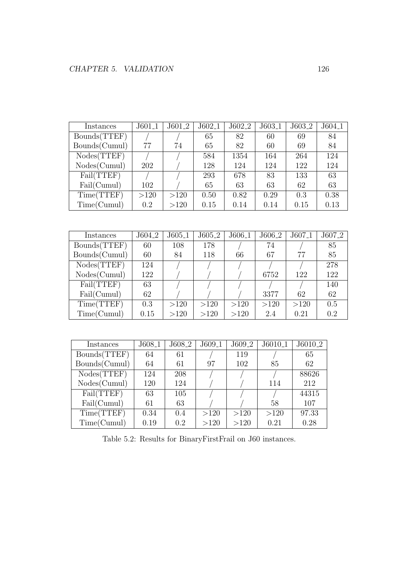| Instances     | $J601_1$           | J601 <sub>-2</sub> | $J602_1$           | J602 <sub>-2</sub> | $J603_1$           | J603 <sub>-2</sub> | J604 <sub>-1</sub> |
|---------------|--------------------|--------------------|--------------------|--------------------|--------------------|--------------------|--------------------|
| Bounds(TTEF)  |                    |                    | 65                 | 82                 | 60                 | 69                 | 84                 |
| Bounds(Cumul) | 77                 | 74                 | 65                 | 82                 | 60                 | 69                 | 84                 |
| Nodes(TTEF)   |                    |                    | 584                | 1354               | 164                | 264                | 124                |
| Nodes(Cumul)  | 202                |                    | 128                | 124                | 124                | 122                | 124                |
| Fail(TTEF)    |                    |                    | 293                | 678                | 83                 | 133                | 63                 |
| Fail(Cumul)   | 102                |                    | 65                 | 63                 | 63                 | 62                 | 63                 |
| Time(TTEF)    | >120               | >120               | 0.50               | 0.82               | 0.29               | 0.3                | 0.38               |
| Time(Cumul)   | $0.2\,$            | >120               | 0.15               | 0.14               | 0.14               | 0.15               | 0.13               |
|               |                    |                    |                    |                    |                    |                    |                    |
|               |                    |                    |                    |                    |                    |                    |                    |
| Instances     | J604 <sub>-2</sub> | $J605_1$           |                    |                    |                    |                    |                    |
|               |                    |                    | J605 <sub>-2</sub> | J606 <sub>-1</sub> | J606 <sub>-2</sub> | J607 <sub>-1</sub> | J607 <sub>-2</sub> |
| Bounds(TTEF)  | 60                 | 108                | 178                |                    | 74                 |                    | 85                 |
| Bounds(Cumul) | 60                 | 84                 | 118                | 66                 | 67                 | 77                 | 85                 |
| Nodes(TTEF)   | 124                |                    |                    |                    |                    |                    | 278                |
| Nodes(Cumul)  | 122                |                    |                    |                    | 6752               | 122                | 122                |
| Fail(TTEF)    | 63                 |                    |                    |                    |                    |                    | 140                |
| Fail(Cumul)   | 62                 |                    |                    |                    | 3377               | 62                 | 62                 |
| Time(TTEF)    | 0.3                | >120               | >120               | >120               | >120               | >120               | 0.5                |

| Instances     | $J608_1$ | J608 <sub>-2</sub> | $J609_1$ | J609 <sub>-2</sub> | $J6010_1$ | $J6010_2$ |
|---------------|----------|--------------------|----------|--------------------|-----------|-----------|
| Bounds(TTEF)  | 64       | 61                 |          | 119                |           | 65        |
| Bounds(Cumul) | 64       | 61                 | 97       | 102                | 85        | 62        |
| Nodes(TTEF)   | 124      | 208                |          |                    |           | 88626     |
| Nodes(Cumul)  | 120      | 124                |          |                    | 114       | 212       |
| Fail(TTEF)    | 63       | 105                |          |                    |           | 44315     |
| Fail(Cumul)   | 61       | 63                 |          |                    | 58        | 107       |
| Time(TTEF)    | 0.34     | 0.4                | >120     | >120               | >120      | 97.33     |
| Time(Cumul)   | 0.19     | 0.2                | >120     | >120               | 0.21      | 0.28      |

Table 5.2: Results for BinaryFirstFrail on J60 instances.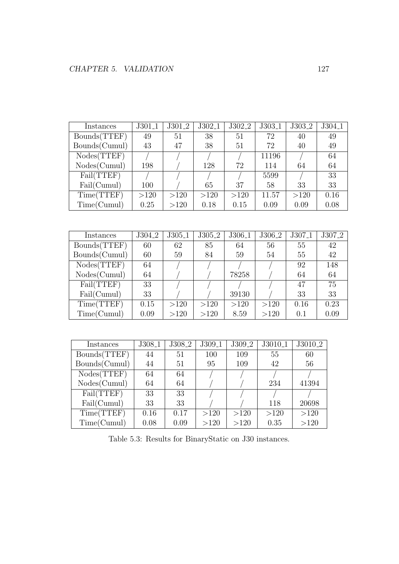| Instances     | J301 <sub>-1</sub> | J301 <sub>-2</sub> | J302 <sub>-1</sub> | J302 <sub>-2</sub> | J303 <sub>-1</sub> | J303 <sub>-2</sub> | J304 <sub>-1</sub> |
|---------------|--------------------|--------------------|--------------------|--------------------|--------------------|--------------------|--------------------|
| Bounds(TTEF)  | 49                 | 51                 | 38                 | 51                 | 72                 | 40                 | 49                 |
| Bounds(Cumul) | 43                 | 47                 | 38                 | 51                 | 72                 | 40                 | 49                 |
| Nodes(TTEF)   |                    |                    |                    |                    | 11196              |                    | 64                 |
| Nodes(Cumul)  | 198                |                    | 128                | 72                 | 114                | 64                 | 64                 |
| Fail(TTEF)    |                    |                    |                    |                    | 5599               |                    | 33                 |
| Fail(Cumul)   | 100                |                    | 65                 | 37                 | 58                 | 33                 | 33                 |
| Time(TTEF)    | >120               | >120               | >120               | >120               | 11.57              | >120               | 0.16               |
| Time(Cumul)   | 0.25               | >120               | 0.18               | 0.15               | 0.09               | 0.09               | 0.08               |
|               |                    |                    |                    |                    |                    |                    |                    |
|               |                    |                    |                    |                    |                    |                    |                    |
|               |                    |                    |                    |                    |                    |                    |                    |
| Instances     | J304 <sub>-2</sub> | J305 <sub>-1</sub> | J305 <sub>-2</sub> | J306 <sub>-1</sub> | J306 <sub>-2</sub> | J307 <sub>-1</sub> | J307 <sub>-2</sub> |
| Bounds(TTEF)  | 60                 | 62                 | 85                 | 64                 | 56                 | 55                 | 42                 |
| Bounds(Cumul) | 60                 | 59                 | 84                 | 59                 | 54                 | 55                 | 42                 |
| Nodes(TTEF)   | 64                 |                    |                    |                    |                    | 92                 | 148                |
| Nodes(Cumul)  | 64                 |                    |                    | 78258              |                    | 64                 | 64                 |
| Fail(TTEF)    | 33                 |                    |                    |                    |                    | 47                 | 75                 |
| Fail(Cumul)   | 33                 |                    |                    | 39130              |                    | 33                 | 33                 |
| Time(TTEF)    | 0.15               | >120               | >120               | >120               | >120               | 0.16               | 0.23               |
| Time(Cumul)   | 0.09               | >120               | >120               | 8.59               | >120               | 0.1                | 0.09               |

| Instances     | $J308_1$ | J308 <sub>-2</sub> | $J309_1$ | J309 <sub>-2</sub> | $J3010\_1$ | J3010 <sub>-2</sub> |
|---------------|----------|--------------------|----------|--------------------|------------|---------------------|
| Bounds(TTEF)  | 44       | 51                 | 100      | 109                | 55         | 60                  |
| Bounds(Cumul) | 44       | 51                 | 95       | 109                | 42         | 56                  |
| Nodes(TTEF)   | 64       | 64                 |          |                    |            |                     |
| Nodes(Cumul)  | 64       | 64                 |          |                    | 234        | 41394               |
| Fail(TTEF)    | 33       | 33                 |          |                    |            |                     |
| Fail(Cumul)   | 33       | 33                 |          |                    | 118        | 20698               |
| Time(TTEF)    | 0.16     | 0.17               | >120     | >120               | >120       | >120                |
| Time(Cumul)   | 0.08     | 0.09               | >120     | >120               | 0.35       | >120                |

Table 5.3: Results for BinaryStatic on J30 instances.

٦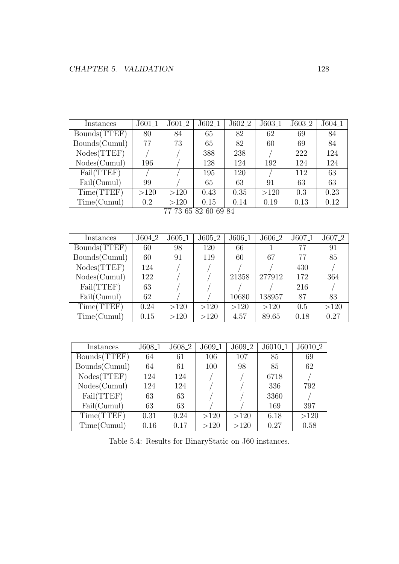| Instances     | $J601_1$ | $J601_2$ | $J602_1$                                                                                                                                                                                                                                                                                                                                                                                                                                                                                           | $J602_2$ | $J603_1$ | $J603_2$ | $J604_1$ |
|---------------|----------|----------|----------------------------------------------------------------------------------------------------------------------------------------------------------------------------------------------------------------------------------------------------------------------------------------------------------------------------------------------------------------------------------------------------------------------------------------------------------------------------------------------------|----------|----------|----------|----------|
| Bounds(TTEF)  | 80       | 84       | 65                                                                                                                                                                                                                                                                                                                                                                                                                                                                                                 | 82       | 62       | 69       | 84       |
| Bounds(Cumul) | 77       | 73       | 65                                                                                                                                                                                                                                                                                                                                                                                                                                                                                                 | 82       | 60       | 69       | 84       |
| Nodes(TTEF)   |          |          | 388                                                                                                                                                                                                                                                                                                                                                                                                                                                                                                | 238      |          | 222      | 124      |
| Nodes(Cumul)  | 196      |          | 128                                                                                                                                                                                                                                                                                                                                                                                                                                                                                                | 124      | 192      | 124      | 124      |
| Fail(TTEF)    |          |          | 195                                                                                                                                                                                                                                                                                                                                                                                                                                                                                                | 120      |          | 112      | 63       |
| Fail(Cumul)   | 99       |          | 65                                                                                                                                                                                                                                                                                                                                                                                                                                                                                                 | 63       | 91       | 63       | 63       |
| Time(TTEF)    | >120     | >120     | 0.43                                                                                                                                                                                                                                                                                                                                                                                                                                                                                               | 0.35     | >120     | 0.3      | 0.23     |
| Time(Cumul)   | 0.2      | >120     | 0.15<br>$\blacksquare$ $\blacksquare$ $\blacksquare$ $\blacksquare$ $\blacksquare$ $\blacksquare$ $\blacksquare$ $\blacksquare$ $\blacksquare$ $\blacksquare$ $\blacksquare$ $\blacksquare$ $\blacksquare$ $\blacksquare$ $\blacksquare$ $\blacksquare$ $\blacksquare$ $\blacksquare$ $\blacksquare$ $\blacksquare$ $\blacksquare$ $\blacksquare$ $\blacksquare$ $\blacksquare$ $\blacksquare$ $\blacksquare$ $\blacksquare$ $\blacksquare$ $\blacksquare$ $\blacksquare$ $\blacksquare$ $\blacks$ | 0.14     | 0.19     | 0.13     | 0.12     |

<sup>77 73 65 82 60 69 84</sup>

| Instances     | $J604_{-2}$ | $J605-1$ | $J605_2$ | $J606-1$ | J606 <sub>-2</sub> | $J607_1$ | J607 <sub>-2</sub> |
|---------------|-------------|----------|----------|----------|--------------------|----------|--------------------|
| Bounds(TTEF)  | 60          | 98       | 120      | 66       |                    | 77       | 91                 |
| Bounds(Cumul) | 60          | 91       | 119      | 60       | 67                 | 77       | 85                 |
| Nodes(TTEF)   | 124         |          |          |          |                    | 430      |                    |
| Nodes(Cumul)  | 122         |          |          | 21358    | 277912             | 172      | 364                |
| Fail(TTEF)    | 63          |          |          |          |                    | 216      |                    |
| Fail(Cumul)   | 62          |          |          | 10680    | 138957             | 87       | 83                 |
| Time(TTEF)    | 0.24        | >120     | >120     | >120     | >120               | 0.5      | >120               |
| Time(Cumul)   | 0.15        | >120     | >120     | 4.57     | 89.65              | 0.18     | 0.27               |

| Instances     | $J608-1$ | $J608_2$ | $J609_1$ | J609 <sub>-2</sub> | $J6010_1$ | J6010 <sub>-2</sub> |
|---------------|----------|----------|----------|--------------------|-----------|---------------------|
| Bounds(TTEF)  | 64       | 61       | 106      | 107                | 85        | 69                  |
| Bounds(Cumul) | 64       | 61       | 100      | 98                 | 85        | 62                  |
| Nodes(TTEF)   | 124      | 124      |          |                    | 6718      |                     |
| Nodes(Cumul)  | 124      | 124      |          |                    | 336       | 792                 |
| Fail(TTEF)    | 63       | 63       |          |                    | 3360      |                     |
| Fail(Cumul)   | 63       | 63       |          |                    | 169       | 397                 |
| Time(TTEF)    | 0.31     | 0.24     | >120     | >120               | 6.18      | >120                |
| Time(Cumul)   | 0.16     | 0.17     | >120     | >120               | 0.27      | 0.58                |

Table 5.4: Results for BinaryStatic on J60 instances.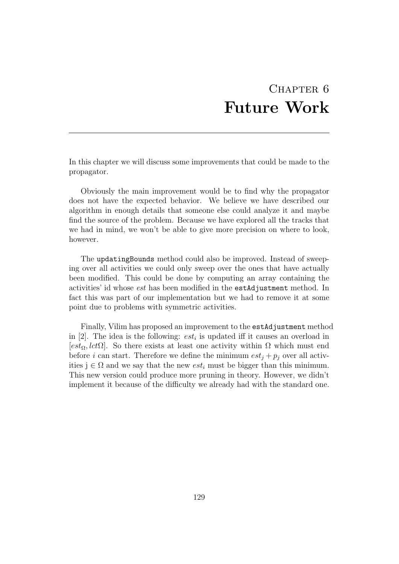#### CHAPTER 6 Future Work

In this chapter we will discuss some improvements that could be made to the propagator.

Obviously the main improvement would be to find why the propagator does not have the expected behavior. We believe we have described our algorithm in enough details that someone else could analyze it and maybe find the source of the problem. Because we have explored all the tracks that we had in mind, we won't be able to give more precision on where to look, however.

The updatingBounds method could also be improved. Instead of sweeping over all activities we could only sweep over the ones that have actually been modified. This could be done by computing an array containing the activities' id whose est has been modified in the estAdjustment method. In fact this was part of our implementation but we had to remove it at some point due to problems with symmetric activities.

Finally, Vilim has proposed an improvement to the estAdjustment method in [2]. The idea is the following:  $est_i$  is updated iff it causes an overload in [ $est_{\Omega}$ ,  $lct\Omega$ ]. So there exists at least one activity within  $\Omega$  which must end before i can start. Therefore we define the minimum  $est_i + p_i$  over all activities  $j \in \Omega$  and we say that the new  $est_i$  must be bigger than this minimum. This new version could produce more pruning in theory. However, we didn't implement it because of the difficulty we already had with the standard one.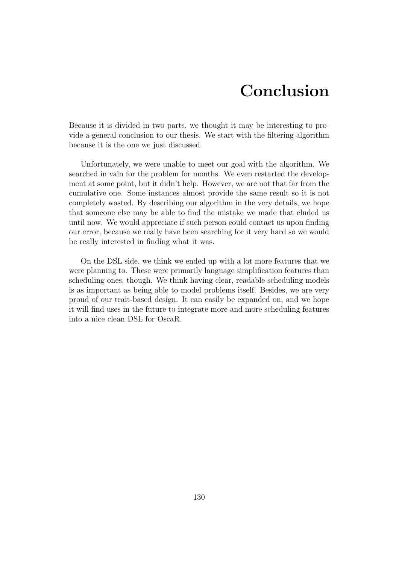### Conclusion

Because it is divided in two parts, we thought it may be interesting to provide a general conclusion to our thesis. We start with the filtering algorithm because it is the one we just discussed.

Unfortunately, we were unable to meet our goal with the algorithm. We searched in vain for the problem for months. We even restarted the development at some point, but it didn't help. However, we are not that far from the cumulative one. Some instances almost provide the same result so it is not completely wasted. By describing our algorithm in the very details, we hope that someone else may be able to find the mistake we made that eluded us until now. We would appreciate if such person could contact us upon finding our error, because we really have been searching for it very hard so we would be really interested in finding what it was.

On the DSL side, we think we ended up with a lot more features that we were planning to. These were primarily language simplification features than scheduling ones, though. We think having clear, readable scheduling models is as important as being able to model problems itself. Besides, we are very proud of our trait-based design. It can easily be expanded on, and we hope it will find uses in the future to integrate more and more scheduling features into a nice clean DSL for OscaR.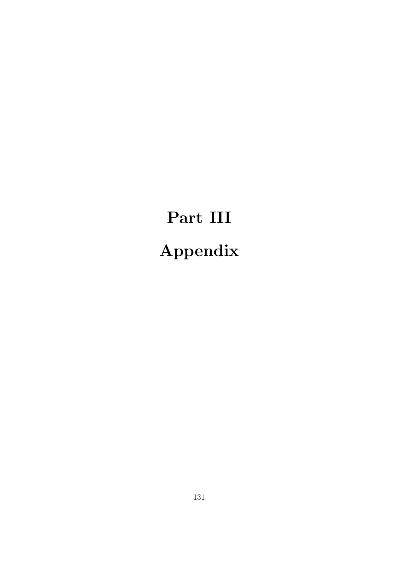# Part III Appendix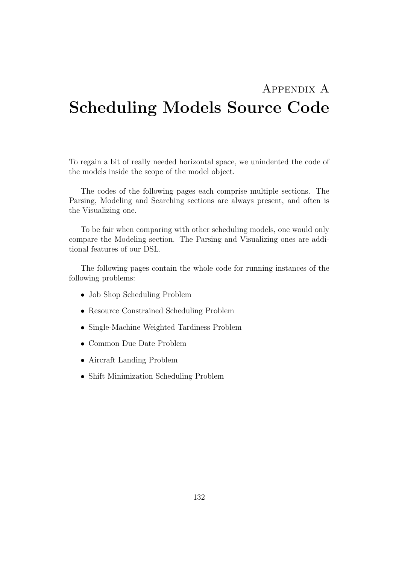### Appendix A Scheduling Models Source Code

To regain a bit of really needed horizontal space, we unindented the code of the models inside the scope of the model object.

The codes of the following pages each comprise multiple sections. The Parsing, Modeling and Searching sections are always present, and often is the Visualizing one.

To be fair when comparing with other scheduling models, one would only compare the Modeling section. The Parsing and Visualizing ones are additional features of our DSL.

The following pages contain the whole code for running instances of the following problems:

- Job Shop Scheduling Problem
- Resource Constrained Scheduling Problem
- Single-Machine Weighted Tardiness Problem
- Common Due Date Problem
- Aircraft Landing Problem
- Shift Minimization Scheduling Problem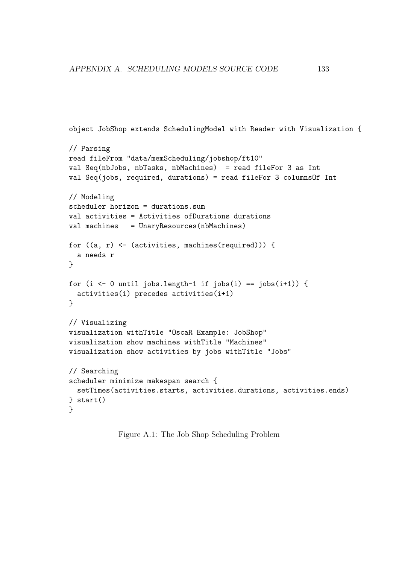```
object JobShop extends SchedulingModel with Reader with Visualization {
// Parsing
read fileFrom "data/memScheduling/jobshop/ft10"
val Seq(nbJobs, nbTasks, nbMachines) = read fileFor 3 as Int
val Seq(jobs, required, durations) = read fileFor 3 columnsOf Int
// Modeling
scheduler horizon = durations.sum
val activities = Activities ofDurations durations
val machines = UnaryResources(nbMachines)
for ((a, r) \leftarrow (activities, machines(required))) {
 a needs r
}
for (i <- 0 until jobs.length-1 if jobs(i) == jobs(i+1)) {
  activities(i) precedes activities(i+1)
}
// Visualizing
visualization withTitle "OscaR Example: JobShop"
visualization show machines withTitle "Machines"
visualization show activities by jobs withTitle "Jobs"
// Searching
scheduler minimize makespan search {
  setTimes(activities.starts, activities.durations, activities.ends)
} start()
}
```
Figure A.1: The Job Shop Scheduling Problem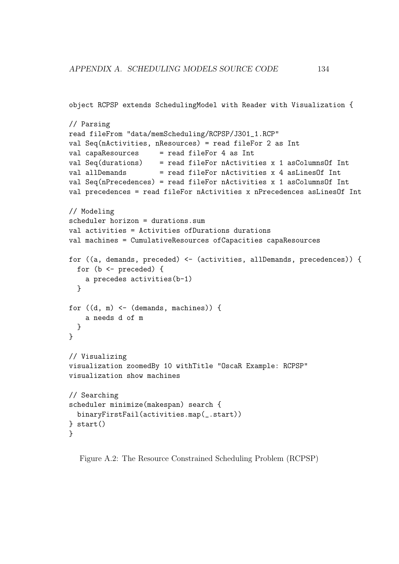```
object RCPSP extends SchedulingModel with Reader with Visualization {
// Parsing
read fileFrom "data/memScheduling/RCPSP/J301_1.RCP"
val Seq(nActivities, nResources) = read fileFor 2 as Int
val capaResources = read fileFor 4 as Int
val Seq(durations) = read fileFor nActivities x 1 asColumnsOf Int
val allDemands = read fileFor nActivities x 4 asLinesOf Int
val Seq(nPrecedences) = read fileFor nActivities x 1 asColumnsOf Int
val precedences = read fileFor nActivities x nPrecedences asLinesOf Int
// Modeling
scheduler horizon = durations.sum
val activities = Activities ofDurations durations
val machines = CumulativeResources ofCapacities capaResources
for ((a, demands, preceded) <- (activities, allDemands, precedences)) {
  for (b <- preceded) {
    a precedes activities(b-1)
  }
for ((d, m) \leftarrow (demands, machines)) {
    a needs d of m
  }
}
// Visualizing
visualization zoomedBy 10 withTitle "OscaR Example: RCPSP"
visualization show machines
// Searching
scheduler minimize(makespan) search {
 binaryFirstFail(activities.map(_.start))
} start()
}
```
Figure A.2: The Resource Constrained Scheduling Problem (RCPSP)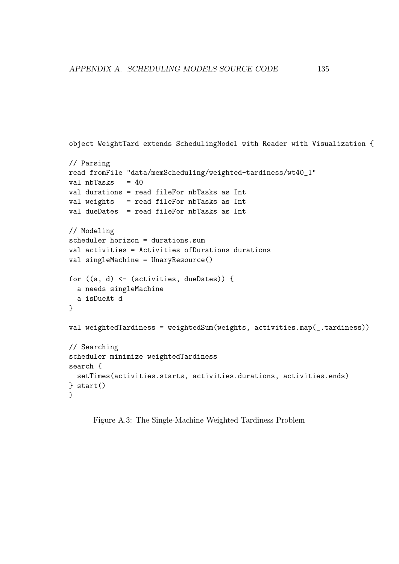```
// Parsing
read fromFile "data/memScheduling/weighted-tardiness/wt40_1"
val nbTasks = 40val durations = read fileFor nbTasks as Int
val weights = read fileFor nbTasks as Int
val dueDates = read fileFor nbTasks as Int
// Modeling
scheduler horizon = durations.sum
val activities = Activities ofDurations durations
val singleMachine = UnaryResource()
for ((a, d) <- (activities, dueDates)) {
 a needs singleMachine
  a isDueAt d
}
val weightedTardiness = weightedSum(weights, activities.map(_.tardiness))
// Searching
scheduler minimize weightedTardiness
search {
  setTimes(activities.starts, activities.durations, activities.ends)
} start()
}
```
object WeightTard extends SchedulingModel with Reader with Visualization {

Figure A.3: The Single-Machine Weighted Tardiness Problem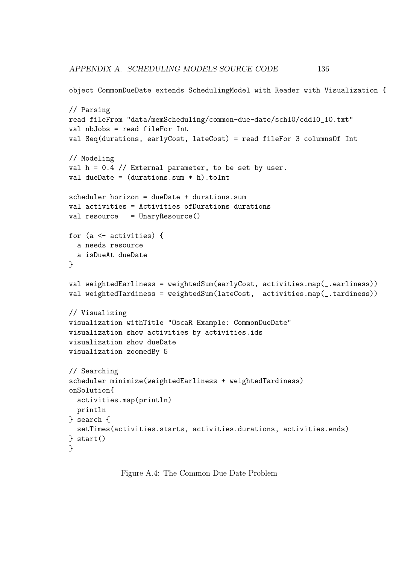APPENDIX A. SCHEDULING MODELS SOURCE CODE 136

```
object CommonDueDate extends SchedulingModel with Reader with Visualization {
```

```
// Parsing
read fileFrom "data/memScheduling/common-due-date/sch10/cdd10_10.txt"
val nbJobs = read fileFor Int
val Seq(durations, earlyCost, lateCost) = read fileFor 3 columnsOf Int
// Modeling
val h = 0.4 // External parameter, to be set by user.
val dueDate = (durations.sum * h).toIntscheduler horizon = dueDate + durations.sum
val activities = Activities ofDurations durations
val resource = UnaryResource()
for (a <- activities) {
 a needs resource
 a isDueAt dueDate
}
val weightedEarliness = weightedSum(earlyCost, activities.map(_.earliness))
val weightedTardiness = weightedSum(lateCost, activities.map(_.tardiness))
// Visualizing
visualization withTitle "OscaR Example: CommonDueDate"
visualization show activities by activities.ids
visualization show dueDate
visualization zoomedBy 5
// Searching
scheduler minimize(weightedEarliness + weightedTardiness)
onSolution{
 activities.map(println)
 println
} search {
  setTimes(activities.starts, activities.durations, activities.ends)
} start()
}
```
Figure A.4: The Common Due Date Problem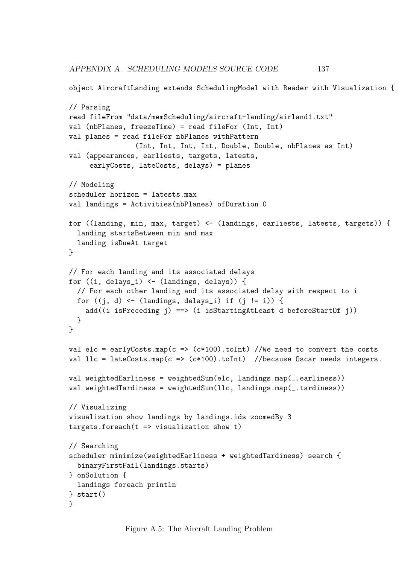APPENDIX A. SCHEDULING MODELS SOURCE CODE 137

```
object AircraftLanding extends SchedulingModel with Reader with Visualization {
// Parsing
read fileFrom "data/memScheduling/aircraft-landing/airland1.txt"
val (nbPlanes, freezeTime) = read fileFor (Int, Int)
val planes = read fileFor nbPlanes withPattern
                (Int, Int, Int, Int, Double, Double, nbPlanes as Int)
val (appearances, earliests, targets, latests,
     earlyCosts, lateCosts, delays) = planes
// Modeling
scheduler horizon = latests.max
val landings = Activities(nbPlanes) ofDuration 0
for ((landing, min, max, target) <- (landings, earliests, latests, targets)) {
  landing startsBetween min and max
  landing isDueAt target
}
// For each landing and its associated delays
for ((i, delays_i) <- (landings, delays)) {
  // For each other landing and its associated delay with respect to i
  for ((j, d) \leftarrow (landings, delays_i) if (j != i) {
    add((i isPreceding j) ==> (i isStartingAtLeast d beforeStartOf j))
  }
}
val elc = earlyCosts.map(c => (c*100).toInt) //We need to convert the costs
val llc = lateCosts.map(c => (c*100).toInt) //because Oscar needs integers.
val weightedEarliness = weightedSum(elc, landings.map(_.earliness))
val weightedTardiness = weightedSum(llc, landings.map(.tardiness))
// Visualizing
visualization show landings by landings.ids zoomedBy 3
targets.forean(t \Rightarrow visualization show t)// Searching
scheduler minimize(weightedEarliness + weightedTardiness) search {
  binaryFirstFail(landings.starts)
} onSolution {
  landings foreach println
} start()
}
```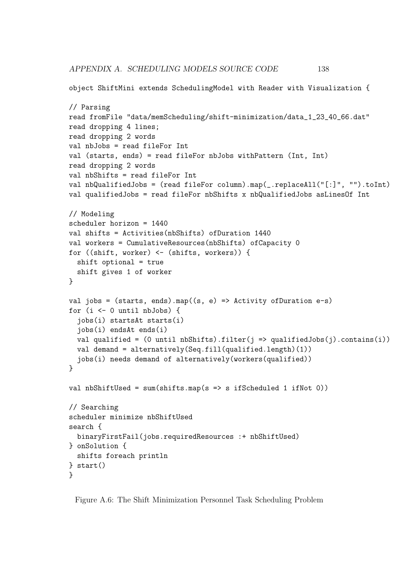APPENDIX A. SCHEDULING MODELS SOURCE CODE 138

```
object ShiftMini extends SchedulingModel with Reader with Visualization {
// Parsing
read fromFile "data/memScheduling/shift-minimization/data_1_23_40_66.dat"
read dropping 4 lines;
read dropping 2 words
val nbJobs = read fileFor Int
val (starts, ends) = read fileFor nbJobs withPattern (Int, Int)
read dropping 2 words
val nbShifts = read fileFor Int
val nbQualifiedJobs = (read fileFor column).map(_.replaceAll("[:]", "").toInt)
val qualifiedJobs = read fileFor nbShifts x nbQualifiedJobs asLinesOf Int
// Modeling
scheduler horizon = 1440
val shifts = Activities(nbShifts) ofDuration 1440
val workers = CumulativeResources(nbShifts) ofCapacity 0
for ((shift, worker) <- (shifts, workers)) {
  shift optional = true
  shift gives 1 of worker
}
val jobs = (starts, ends).map((s, e) => Activity of Duration e-s)
for (i <- 0 until nbJobs) {
  jobs(i) startsAt starts(i)
  jobs(i) endsAt ends(i)
  val qualified = (0 \text{ until } nbShifts).filter(j \Rightarrow qualifiedJobs(j).contains(i))val demand = alternatively(Seq.fill(qualified.length)(1))
  jobs(i) needs demand of alternatively(workers(qualified))
}
val nbShiftUsed = sum(shifts.map(s => s ifScheduled 1 ifNot 0))
// Searching
scheduler minimize nbShiftUsed
search {
  binaryFirstFail(jobs.requiredResources :+ nbShiftUsed)
} onSolution {
  shifts foreach println
} start()
}
```
Figure A.6: The Shift Minimization Personnel Task Scheduling Problem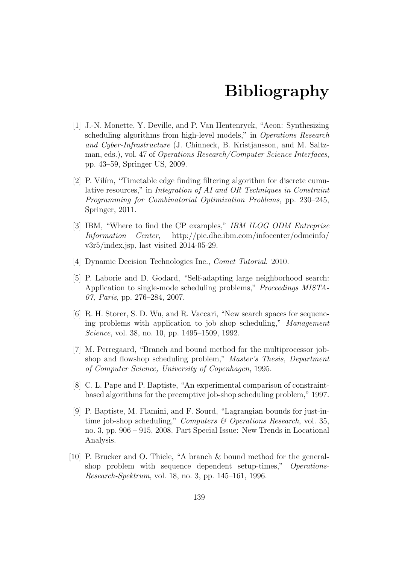## Bibliography

- [1] J.-N. Monette, Y. Deville, and P. Van Hentenryck, "Aeon: Synthesizing scheduling algorithms from high-level models," in *Operations Research* and Cyber-Infrastructure (J. Chinneck, B. Kristjansson, and M. Saltzman, eds.), vol. 47 of *Operations Research/Computer Science Interfaces*, pp. 43–59, Springer US, 2009.
- [2] P. Vilím, "Timetable edge finding filtering algorithm for discrete cumulative resources," in Integration of AI and OR Techniques in Constraint Programming for Combinatorial Optimization Problems, pp. 230–245, Springer, 2011.
- [3] IBM, "Where to find the CP examples," IBM ILOG ODM Entreprise Information Center, http://pic.dhe.ibm.com/infocenter/odmeinfo/ v3r5/index.jsp, last visited 2014-05-29.
- [4] Dynamic Decision Technologies Inc., Comet Tutorial. 2010.
- [5] P. Laborie and D. Godard, "Self-adapting large neighborhood search: Application to single-mode scheduling problems," Proceedings MISTA-07, Paris, pp. 276–284, 2007.
- [6] R. H. Storer, S. D. Wu, and R. Vaccari, "New search spaces for sequencing problems with application to job shop scheduling," Management Science, vol. 38, no. 10, pp. 1495–1509, 1992.
- [7] M. Perregaard, "Branch and bound method for the multiprocessor jobshop and flowshop scheduling problem," Master's Thesis, Department of Computer Science, University of Copenhagen, 1995.
- [8] C. L. Pape and P. Baptiste, "An experimental comparison of constraintbased algorithms for the preemptive job-shop scheduling problem," 1997.
- [9] P. Baptiste, M. Flamini, and F. Sourd, "Lagrangian bounds for just-intime job-shop scheduling," Computers  $\mathcal C$  Operations Research, vol. 35, no. 3, pp. 906 – 915, 2008. Part Special Issue: New Trends in Locational Analysis.
- [10] P. Brucker and O. Thiele, "A branch & bound method for the generalshop problem with sequence dependent setup-times," Operations-Research-Spektrum, vol. 18, no. 3, pp. 145–161, 1996.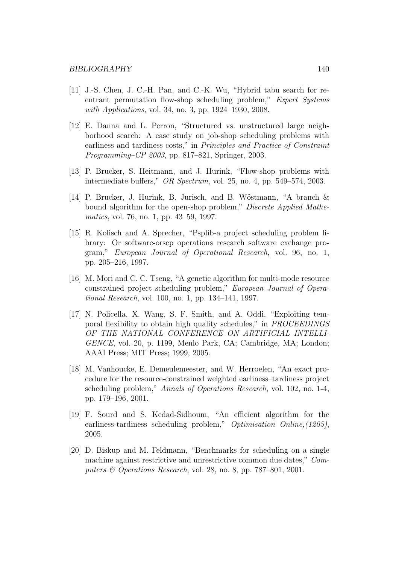- [11] J.-S. Chen, J. C.-H. Pan, and C.-K. Wu, "Hybrid tabu search for reentrant permutation flow-shop scheduling problem," Expert Systems with *Applications*, vol. 34, no. 3, pp. 1924–1930, 2008.
- [12] E. Danna and L. Perron, "Structured vs. unstructured large neighborhood search: A case study on job-shop scheduling problems with earliness and tardiness costs," in Principles and Practice of Constraint Programming–CP 2003, pp. 817–821, Springer, 2003.
- [13] P. Brucker, S. Heitmann, and J. Hurink, "Flow-shop problems with intermediate buffers," OR Spectrum, vol. 25, no. 4, pp. 549–574, 2003.
- [14] P. Brucker, J. Hurink, B. Jurisch, and B. Wöstmann, "A branch  $\&$ bound algorithm for the open-shop problem," Discrete Applied Mathematics, vol. 76, no. 1, pp. 43–59, 1997.
- [15] R. Kolisch and A. Sprecher, "Psplib-a project scheduling problem library: Or software-orsep operations research software exchange program," European Journal of Operational Research, vol. 96, no. 1, pp. 205–216, 1997.
- [16] M. Mori and C. C. Tseng, "A genetic algorithm for multi-mode resource constrained project scheduling problem," European Journal of Operational Research, vol. 100, no. 1, pp. 134–141, 1997.
- [17] N. Policella, X. Wang, S. F. Smith, and A. Oddi, "Exploiting temporal flexibility to obtain high quality schedules," in PROCEEDINGS OF THE NATIONAL CONFERENCE ON ARTIFICIAL INTELLI-GENCE, vol. 20, p. 1199, Menlo Park, CA; Cambridge, MA; London; AAAI Press; MIT Press; 1999, 2005.
- [18] M. Vanhoucke, E. Demeulemeester, and W. Herroelen, "An exact procedure for the resource-constrained weighted earliness–tardiness project scheduling problem," Annals of Operations Research, vol. 102, no. 1-4, pp. 179–196, 2001.
- [19] F. Sourd and S. Kedad-Sidhoum, "An efficient algorithm for the earliness-tardiness scheduling problem," Optimisation Online, (1205), 2005.
- [20] D. Biskup and M. Feldmann, "Benchmarks for scheduling on a single machine against restrictive and unrestrictive common due dates," Computers  $\&$  Operations Research, vol. 28, no. 8, pp. 787–801, 2001.